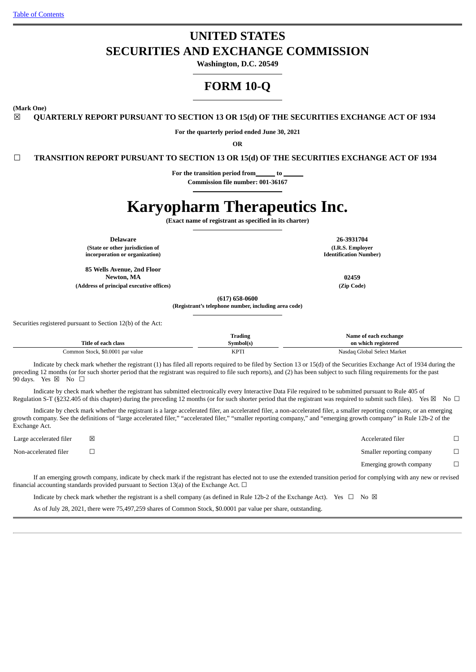# **UNITED STATES SECURITIES AND EXCHANGE COMMISSION**

**Washington, D.C. 20549**

## **FORM 10-Q**

**(Mark One)**

☒ **QUARTERLY REPORT PURSUANT TO SECTION 13 OR 15(d) OF THE SECURITIES EXCHANGE ACT OF 1934**

**For the quarterly period ended June 30, 2021**

**OR**

☐ **TRANSITION REPORT PURSUANT TO SECTION 13 OR 15(d) OF THE SECURITIES EXCHANGE ACT OF 1934**

For the transition period from to

**Commission file number: 001-36167**

# **Karyopharm Therapeutics Inc.**

**(Exact name of registrant as specified in its charter)**

**Delaware 26-3931704 (State or other jurisdiction of incorporation or organization)**

**85 Wells Avenue, 2nd Floor Newton, MA 02459**

**(Address of principal executive offices) (Zip Code)**

**(I.R.S. Employer Identification Number)**

**(617) 658-0600 (Registrant's telephone number, including area code)**

Securities registered pursuant to Section 12(b) of the Act:

|                                  | Trading     | Name of each exchange       |
|----------------------------------|-------------|-----------------------------|
| Title of each class              | Symbol(s)   | on which registered         |
| Common Stock, \$0.0001 par value | <b>KPTI</b> | Nasdag Global Select Market |

Indicate by check mark whether the registrant (1) has filed all reports required to be filed by Section 13 or 15(d) of the Securities Exchange Act of 1934 during the preceding 12 months (or for such shorter period that the registrant was required to file such reports), and (2) has been subject to such filing requirements for the past 90 days. Yes  $\boxtimes$  No  $\Box$ 

Indicate by check mark whether the registrant has submitted electronically every Interactive Data File required to be submitted pursuant to Rule 405 of Regulation S-T (§232.405 of this chapter) during the preceding 12 months (or for such shorter period that the registrant was required to submit such files). Yes  $\boxtimes$  No  $\Box$ 

Indicate by check mark whether the registrant is a large accelerated filer, an accelerated filer, a non-accelerated filer, a smaller reporting company, or an emerging growth company. See the definitions of "large accelerated filer," "accelerated filer," "smaller reporting company," and "emerging growth company" in Rule 12b-2 of the Exchange Act.

Large accelerated filer ☒ Accelerated filer ☐ Non-accelerated filer ☐ Smaller reporting company ☐ Emerging growth company  $\Box$ 

If an emerging growth company, indicate by check mark if the registrant has elected not to use the extended transition period for complying with any new or revised financial accounting standards provided pursuant to Section 13(a) of the Exchange Act.  $\Box$ 

Indicate by check mark whether the registrant is a shell company (as defined in Rule 12b-2 of the Exchange Act). Yes  $\Box$  No  $\boxtimes$ 

As of July 28, 2021, there were 75,497,259 shares of Common Stock, \$0.0001 par value per share, outstanding.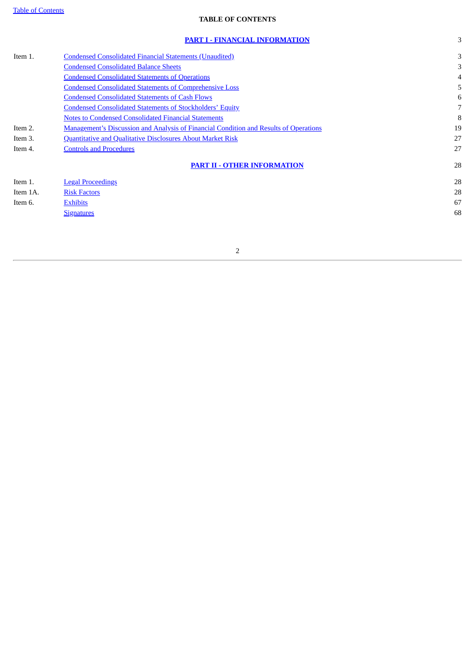## **TABLE OF CONTENTS**

<span id="page-1-0"></span>

|          | <b>PART I - FINANCIAL INFORMATION</b>                                                        | 3  |
|----------|----------------------------------------------------------------------------------------------|----|
| Item 1.  | <b>Condensed Consolidated Financial Statements (Unaudited)</b>                               | 3  |
|          | <b>Condensed Consolidated Balance Sheets</b>                                                 | 3  |
|          | <b>Condensed Consolidated Statements of Operations</b>                                       |    |
|          | <b>Condensed Consolidated Statements of Comprehensive Loss</b>                               | 5  |
|          | <b>Condensed Consolidated Statements of Cash Flows</b>                                       | 6  |
|          | <b>Condensed Consolidated Statements of Stockholders' Equity</b>                             | 7  |
|          | <b>Notes to Condensed Consolidated Financial Statements</b>                                  | 8  |
| Item 2.  | <b>Management's Discussion and Analysis of Financial Condition and Results of Operations</b> | 19 |
| Item 3.  | Quantitative and Qualitative Disclosures About Market Risk                                   | 27 |
| Item 4.  | <b>Controls and Procedures</b>                                                               | 27 |
|          | <b>PART II - OTHER INFORMATION</b>                                                           | 28 |
| Item 1.  | <b>Legal Proceedings</b>                                                                     | 28 |
| Item 1A. | <b>Risk Factors</b>                                                                          | 28 |
| Item 6.  | <b>Exhibits</b>                                                                              | 67 |
|          | <b>Signatures</b>                                                                            | 68 |
|          |                                                                                              |    |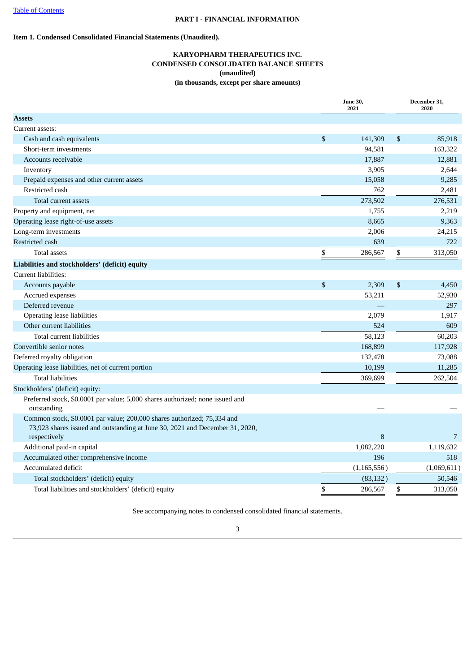## <span id="page-2-2"></span><span id="page-2-1"></span><span id="page-2-0"></span>**Item 1. Condensed Consolidated Financial Statements (Unaudited).**

## **KARYOPHARM THERAPEUTICS INC. CONDENSED CONSOLIDATED BALANCE SHEETS (unaudited) (in thousands, except per share amounts)**

|                                                                                                                                                         |                | <b>June 30,</b><br>2021 |              | December 31,<br>2020 |
|---------------------------------------------------------------------------------------------------------------------------------------------------------|----------------|-------------------------|--------------|----------------------|
| <b>Assets</b>                                                                                                                                           |                |                         |              |                      |
| Current assets:                                                                                                                                         |                |                         |              |                      |
| Cash and cash equivalents                                                                                                                               | $\mathfrak{S}$ | 141,309                 | \$           | 85,918               |
| Short-term investments                                                                                                                                  |                | 94,581                  |              | 163,322              |
| Accounts receivable                                                                                                                                     |                | 17,887                  |              | 12,881               |
| Inventory                                                                                                                                               |                | 3,905                   |              | 2,644                |
| Prepaid expenses and other current assets                                                                                                               |                | 15,058                  |              | 9,285                |
| Restricted cash                                                                                                                                         |                | 762                     |              | 2,481                |
| Total current assets                                                                                                                                    |                | 273,502                 |              | 276,531              |
| Property and equipment, net                                                                                                                             |                | 1,755                   |              | 2,219                |
| Operating lease right-of-use assets                                                                                                                     |                | 8,665                   |              | 9,363                |
| Long-term investments                                                                                                                                   |                | 2,006                   |              | 24,215               |
| Restricted cash                                                                                                                                         |                | 639                     |              | 722                  |
| <b>Total assets</b>                                                                                                                                     | \$             | 286,567                 | \$           | 313,050              |
| Liabilities and stockholders' (deficit) equity                                                                                                          |                |                         |              |                      |
| Current liabilities:                                                                                                                                    |                |                         |              |                      |
| Accounts payable                                                                                                                                        | \$             | 2,309                   | $\mathbb{S}$ | 4,450                |
| Accrued expenses                                                                                                                                        |                | 53,211                  |              | 52,930               |
| Deferred revenue                                                                                                                                        |                |                         |              | 297                  |
| Operating lease liabilities                                                                                                                             |                | 2,079                   |              | 1,917                |
| Other current liabilities                                                                                                                               |                | 524                     |              | 609                  |
| Total current liabilities                                                                                                                               |                | 58,123                  |              | 60,203               |
| Convertible senior notes                                                                                                                                |                | 168,899                 |              | 117,928              |
| Deferred royalty obligation                                                                                                                             |                | 132,478                 |              | 73,088               |
| Operating lease liabilities, net of current portion                                                                                                     |                | 10,199                  |              | 11,285               |
| <b>Total liabilities</b>                                                                                                                                |                | 369,699                 |              | 262,504              |
| Stockholders' (deficit) equity:                                                                                                                         |                |                         |              |                      |
| Preferred stock, \$0.0001 par value; 5,000 shares authorized; none issued and<br>outstanding                                                            |                |                         |              |                      |
| Common stock, \$0.0001 par value; 200,000 shares authorized; 75,334 and<br>73,923 shares issued and outstanding at June 30, 2021 and December 31, 2020, |                |                         |              |                      |
| respectively                                                                                                                                            |                | 8                       |              | 7                    |
| Additional paid-in capital                                                                                                                              |                | 1,082,220               |              | 1,119,632            |
| Accumulated other comprehensive income                                                                                                                  |                | 196                     |              | 518                  |
| Accumulated deficit                                                                                                                                     |                | (1, 165, 556)           |              | (1,069,611)          |
| Total stockholders' (deficit) equity                                                                                                                    |                | (83, 132)               |              | 50,546               |
| Total liabilities and stockholders' (deficit) equity                                                                                                    | \$             | 286,567                 | \$           | 313,050              |

See accompanying notes to condensed consolidated financial statements.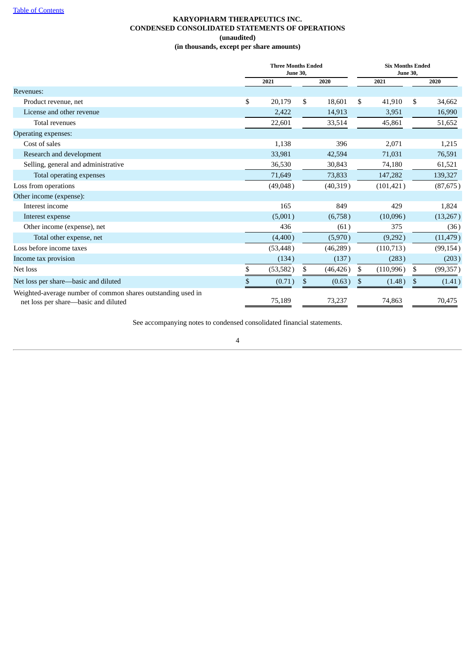## **KARYOPHARM THERAPEUTICS INC. CONDENSED CONSOLIDATED STATEMENTS OF OPERATIONS (unaudited) (in thousands, except per share amounts)**

<span id="page-3-0"></span>

|                                                                                                      | <b>Three Months Ended</b><br><b>June 30,</b> |    |           |    | <b>Six Months Ended</b><br><b>June 30,</b> |    |           |  |
|------------------------------------------------------------------------------------------------------|----------------------------------------------|----|-----------|----|--------------------------------------------|----|-----------|--|
|                                                                                                      | 2021                                         |    | 2020      |    | 2021                                       |    | 2020      |  |
| Revenues:                                                                                            |                                              |    |           |    |                                            |    |           |  |
| Product revenue, net                                                                                 | \$<br>20,179                                 | \$ | 18.601    | \$ | 41,910                                     | \$ | 34,662    |  |
| License and other revenue                                                                            | 2,422                                        |    | 14,913    |    | 3,951                                      |    | 16,990    |  |
| Total revenues                                                                                       | 22,601                                       |    | 33,514    |    | 45,861                                     |    | 51,652    |  |
| <b>Operating expenses:</b>                                                                           |                                              |    |           |    |                                            |    |           |  |
| Cost of sales                                                                                        | 1,138                                        |    | 396       |    | 2,071                                      |    | 1,215     |  |
| Research and development                                                                             | 33,981                                       |    | 42,594    |    | 71,031                                     |    | 76,591    |  |
| Selling, general and administrative                                                                  | 36,530                                       |    | 30,843    |    | 74,180                                     |    | 61,521    |  |
| Total operating expenses                                                                             | 71,649                                       |    | 73,833    |    | 147,282                                    |    | 139,327   |  |
| Loss from operations                                                                                 | (49,048)                                     |    | (40,319)  |    | (101, 421)                                 |    | (87, 675) |  |
| Other income (expense):                                                                              |                                              |    |           |    |                                            |    |           |  |
| Interest income                                                                                      | 165                                          |    | 849       |    | 429                                        |    | 1,824     |  |
| Interest expense                                                                                     | (5,001)                                      |    | (6,758)   |    | (10,096)                                   |    | (13,267)  |  |
| Other income (expense), net                                                                          | 436                                          |    | (61)      |    | 375                                        |    | (36)      |  |
| Total other expense, net                                                                             | (4,400)                                      |    | (5,970)   |    | (9,292)                                    |    | (11, 479) |  |
| Loss before income taxes                                                                             | (53, 448)                                    |    | (46, 289) |    | (110, 713)                                 |    | (99, 154) |  |
| Income tax provision                                                                                 | (134)                                        |    | (137)     |    | (283)                                      |    | (203)     |  |
| Net loss                                                                                             | \$<br>(53, 582)                              | \$ | (46, 426) | \$ | (110, 996)                                 | \$ | (99, 357) |  |
| Net loss per share-basic and diluted                                                                 | \$<br>(0.71)                                 | \$ | (0.63)    | \$ | (1.48)                                     | \$ | (1.41)    |  |
| Weighted-average number of common shares outstanding used in<br>net loss per share—basic and diluted | 75,189                                       |    | 73,237    |    | 74,863                                     |    | 70,475    |  |

See accompanying notes to condensed consolidated financial statements.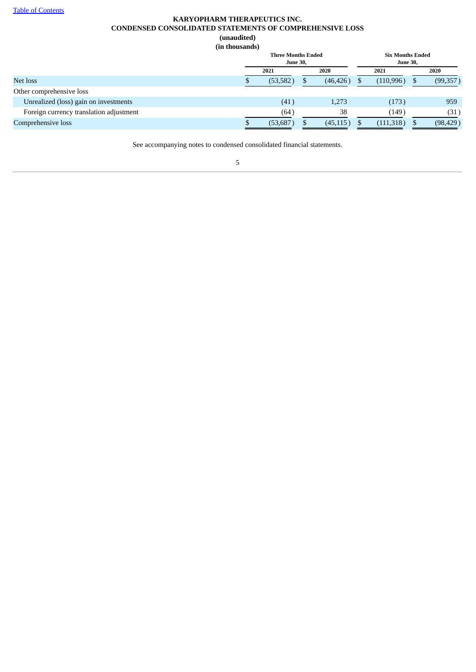## **KARYOPHARM THERAPEUTICS INC. CONDENSED CONSOLIDATED STATEMENTS OF COMPREHENSIVE LOSS (unaudited) (in thousands)**

<span id="page-4-0"></span>

| <b>Three Months Ended</b><br><b>June 30,</b> |  |           |  | <b>Six Months Ended</b><br><b>June 30,</b> |  |           |  |  |
|----------------------------------------------|--|-----------|--|--------------------------------------------|--|-----------|--|--|
| 2021                                         |  | 2020      |  | 2021                                       |  | 2020      |  |  |
| (53, 582)                                    |  | (46, 426) |  | (110, 996)                                 |  | (99, 357) |  |  |
|                                              |  |           |  |                                            |  |           |  |  |
| (41)                                         |  | 1,273     |  | (173)                                      |  | 959       |  |  |
| (64)                                         |  | 38        |  | (149)                                      |  | (31)      |  |  |
| (53,687)                                     |  | (45, 115) |  | (111,318)                                  |  | (98, 429) |  |  |
|                                              |  |           |  |                                            |  |           |  |  |

See accompanying notes to condensed consolidated financial statements.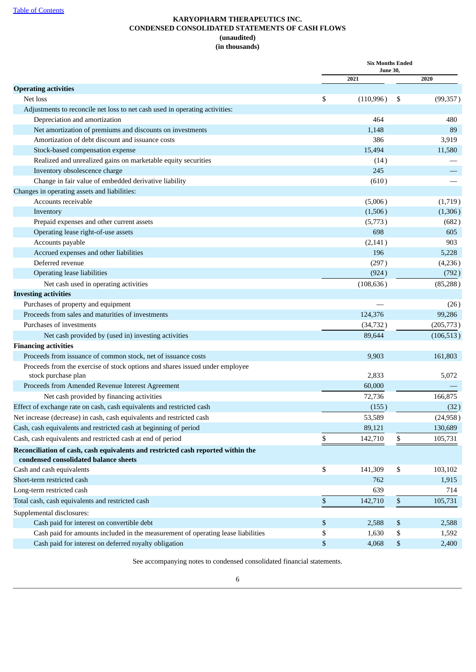## **KARYOPHARM THERAPEUTICS INC. CONDENSED CONSOLIDATED STATEMENTS OF CASH FLOWS (unaudited) (in thousands)**

<span id="page-5-0"></span>

|                                                                                                                           |    | <b>Six Months Ended</b> |              |            |
|---------------------------------------------------------------------------------------------------------------------------|----|-------------------------|--------------|------------|
|                                                                                                                           |    | <b>June 30,</b><br>2021 |              | 2020       |
| <b>Operating activities</b>                                                                                               |    |                         |              |            |
| Net loss                                                                                                                  | \$ | (110,996)               | \$           | (99, 357)  |
| Adjustments to reconcile net loss to net cash used in operating activities:                                               |    |                         |              |            |
| Depreciation and amortization                                                                                             |    | 464                     |              | 480        |
| Net amortization of premiums and discounts on investments                                                                 |    | 1,148                   |              | 89         |
| Amortization of debt discount and issuance costs                                                                          |    | 386                     |              | 3,919      |
| Stock-based compensation expense                                                                                          |    | 15,494                  |              | 11,580     |
| Realized and unrealized gains on marketable equity securities                                                             |    | (14)                    |              |            |
| Inventory obsolescence charge                                                                                             |    | 245                     |              |            |
| Change in fair value of embedded derivative liability                                                                     |    | (610)                   |              |            |
| Changes in operating assets and liabilities:                                                                              |    |                         |              |            |
| Accounts receivable                                                                                                       |    | (5,006)                 |              | (1,719)    |
| Inventory                                                                                                                 |    | (1,506)                 |              | (1,306)    |
| Prepaid expenses and other current assets                                                                                 |    | (5,773)                 |              | (682)      |
| Operating lease right-of-use assets                                                                                       |    | 698                     |              | 605        |
| Accounts payable                                                                                                          |    | (2, 141)                |              | 903        |
| Accrued expenses and other liabilities                                                                                    |    | 196                     |              | 5,228      |
| Deferred revenue                                                                                                          |    | (297)                   |              | (4,236)    |
| <b>Operating lease liabilities</b>                                                                                        |    | (924)                   |              | (792)      |
| Net cash used in operating activities                                                                                     |    | (108, 636)              |              | (85, 288)  |
| <b>Investing activities</b>                                                                                               |    |                         |              |            |
| Purchases of property and equipment                                                                                       |    |                         |              | (26)       |
| Proceeds from sales and maturities of investments                                                                         |    | 124,376                 |              | 99,286     |
| Purchases of investments                                                                                                  |    | (34, 732)               |              | (205, 773) |
| Net cash provided by (used in) investing activities                                                                       |    | 89,644                  |              | (106, 513) |
| <b>Financing activities</b>                                                                                               |    |                         |              |            |
| Proceeds from issuance of common stock, net of issuance costs                                                             |    | 9,903                   |              | 161,803    |
| Proceeds from the exercise of stock options and shares issued under employee                                              |    |                         |              |            |
| stock purchase plan                                                                                                       |    | 2,833                   |              | 5,072      |
| Proceeds from Amended Revenue Interest Agreement                                                                          |    | 60,000                  |              |            |
| Net cash provided by financing activities                                                                                 |    | 72,736                  |              | 166,875    |
| Effect of exchange rate on cash, cash equivalents and restricted cash                                                     |    | (155)                   |              | (32)       |
| Net increase (decrease) in cash, cash equivalents and restricted cash                                                     |    | 53,589                  |              | (24,958)   |
| Cash, cash equivalents and restricted cash at beginning of period                                                         |    | 89,121                  |              | 130,689    |
| Cash, cash equivalents and restricted cash at end of period                                                               | \$ | 142,710                 | \$           | 105,731    |
|                                                                                                                           |    |                         |              |            |
| Reconciliation of cash, cash equivalents and restricted cash reported within the<br>condensed consolidated balance sheets |    |                         |              |            |
| Cash and cash equivalents                                                                                                 | \$ | 141,309                 | \$           | 103,102    |
| Short-term restricted cash                                                                                                |    | 762                     |              | 1,915      |
| Long-term restricted cash                                                                                                 |    | 639                     |              | 714        |
|                                                                                                                           |    |                         |              |            |
| Total cash, cash equivalents and restricted cash                                                                          | \$ | 142,710                 | $\mathbb S$  | 105,731    |
| Supplemental disclosures:                                                                                                 |    |                         |              |            |
| Cash paid for interest on convertible debt                                                                                | \$ | 2,588                   | \$           | 2,588      |
| Cash paid for amounts included in the measurement of operating lease liabilities                                          | \$ | 1,630                   | \$           | 1,592      |
| Cash paid for interest on deferred royalty obligation                                                                     | \$ | 4,068                   | $\mathbb{S}$ | 2,400      |

See accompanying notes to condensed consolidated financial statements.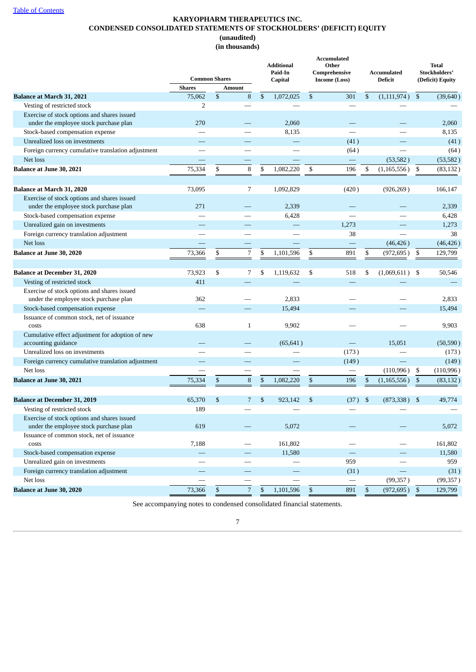## **KARYOPHARM THERAPEUTICS INC. CONDENSED CONSOLIDATED STATEMENTS OF STOCKHOLDERS' (DEFICIT) EQUITY (unaudited) (in thousands)**

<span id="page-6-0"></span>

|                                                                         |                          |                          | <b>Additional</b><br>Paid-In |                | <b>Accumulated</b><br>Other<br>Comprehensive | Accumulated              |                | Total<br>Stockholders' |
|-------------------------------------------------------------------------|--------------------------|--------------------------|------------------------------|----------------|----------------------------------------------|--------------------------|----------------|------------------------|
|                                                                         | <b>Common Shares</b>     |                          | Capital                      |                | <b>Income (Loss)</b>                         | Deficit                  |                | (Deficit) Equity       |
|                                                                         | <b>Shares</b>            | Amount                   |                              |                |                                              |                          |                |                        |
| Balance at March 31, 2021                                               | 75,062                   | \$<br>8                  | \$<br>1,072,025              | $\mathfrak{S}$ | 301                                          | \$<br>(1, 111, 974)      | $\mathfrak{s}$ | (39, 640)              |
| Vesting of restricted stock                                             | $\overline{2}$           |                          |                              |                |                                              |                          |                |                        |
| Exercise of stock options and shares issued                             |                          |                          |                              |                |                                              |                          |                |                        |
| under the employee stock purchase plan                                  | 270                      |                          | 2,060                        |                |                                              |                          |                | 2,060                  |
| Stock-based compensation expense                                        |                          |                          | 8,135                        |                |                                              |                          |                | 8,135                  |
| Unrealized loss on investments                                          |                          | $\overline{\phantom{0}}$ | <u>a an</u>                  |                | (41)                                         |                          |                | (41)                   |
| Foreign currency cumulative translation adjustment                      |                          |                          |                              |                | (64)                                         |                          |                | (64)                   |
| Net loss                                                                |                          |                          |                              |                |                                              | (53, 582)                |                | (53, 582)              |
| Balance at June 30, 2021                                                | 75,334                   | \$<br>8                  | \$<br>1,082,220              | \$             | 196                                          | \$<br>(1, 165, 556)      | -\$            | (83, 132)              |
|                                                                         |                          |                          |                              |                |                                              |                          |                |                        |
| <b>Balance at March 31, 2020</b>                                        | 73,095                   | 7                        | 1,092,829                    |                | (420)                                        | (926, 269)               |                | 166,147                |
| Exercise of stock options and shares issued                             |                          |                          |                              |                |                                              |                          |                |                        |
| under the employee stock purchase plan                                  | 271                      |                          | 2,339                        |                |                                              |                          |                | 2,339                  |
| Stock-based compensation expense                                        |                          |                          | 6,428                        |                |                                              |                          |                | 6,428                  |
| Unrealized gain on investments                                          |                          |                          |                              |                | 1,273                                        |                          |                | 1,273                  |
| Foreign currency translation adjustment                                 |                          |                          |                              |                | 38                                           |                          |                | 38                     |
| Net loss                                                                |                          |                          |                              |                | $\overline{\phantom{0}}$                     | (46, 426)                |                | (46, 426)              |
| Balance at June 30, 2020                                                | 73,366                   | \$<br>7                  | \$<br>1,101,596              | \$             | 891                                          | \$<br>(972, 695)         | -\$            | 129,799                |
|                                                                         |                          |                          |                              |                |                                              |                          |                |                        |
| <b>Balance at December 31, 2020</b>                                     | 73,923                   | \$<br>7                  | \$<br>1,119,632              | \$             | 518                                          | \$<br>(1,069,611)        | -\$            | 50,546                 |
| Vesting of restricted stock                                             | 411                      |                          |                              |                |                                              |                          |                |                        |
| Exercise of stock options and shares issued                             |                          |                          |                              |                |                                              |                          |                |                        |
| under the employee stock purchase plan                                  | 362                      |                          | 2,833                        |                |                                              |                          |                | 2,833                  |
| Stock-based compensation expense                                        |                          |                          | 15,494                       |                |                                              |                          |                | 15,494                 |
| Issuance of common stock, net of issuance<br>costs                      | 638                      | $\mathbf{1}$             | 9,902                        |                |                                              |                          |                | 9,903                  |
|                                                                         |                          |                          |                              |                |                                              |                          |                |                        |
| Cumulative effect adjustment for adoption of new<br>accounting guidance |                          |                          | (65, 641)                    |                |                                              | 15,051                   |                | (50, 590)              |
| Unrealized loss on investments                                          |                          |                          |                              |                | (173)                                        |                          |                | (173)                  |
| Foreign currency cumulative translation adjustment                      |                          |                          |                              |                | (149)                                        |                          |                | (149)                  |
| Net loss                                                                |                          |                          |                              |                |                                              | (110,996)                | \$             | (110, 996)             |
| Balance at June 30, 2021                                                | 75,334                   | \$<br>8                  | \$<br>1,082,220              | $\mathfrak{S}$ | 196                                          | \$<br>(1,165,556)        | \$             | (83, 132)              |
|                                                                         |                          |                          |                              |                |                                              |                          |                |                        |
| <b>Balance at December 31, 2019</b>                                     | 65,370                   | \$<br>7                  | \$<br>923,142                | \$             | (37)                                         | \$<br>(873,338)          | -\$            | 49,774                 |
| Vesting of restricted stock                                             | 189                      |                          |                              |                |                                              |                          |                |                        |
| Exercise of stock options and shares issued                             |                          |                          |                              |                |                                              |                          |                |                        |
| under the employee stock purchase plan                                  | 619                      |                          | 5,072                        |                |                                              |                          |                | 5,072                  |
| Issuance of common stock, net of issuance                               |                          |                          |                              |                |                                              |                          |                |                        |
| costs                                                                   | 7,188                    | -                        | 161,802                      |                |                                              |                          |                | 161,802                |
| Stock-based compensation expense                                        | $\overline{\phantom{0}}$ | $\hspace{0.05cm}$        | 11,580                       |                |                                              | $\overline{\phantom{m}}$ |                | 11,580                 |
| Unrealized gain on investments                                          |                          |                          |                              |                | 959                                          |                          |                | 959                    |
| Foreign currency translation adjustment                                 |                          | $\overline{\phantom{0}}$ |                              |                | (31)                                         |                          |                | (31)                   |
| Net loss                                                                |                          |                          |                              |                |                                              | (99, 357)                |                | (99, 357)              |
| <b>Balance at June 30, 2020</b>                                         | 73,366                   | \$<br>$\overline{7}$     | \$<br>1,101,596              | $\mathfrak{S}$ | 891                                          | \$<br>$(972, 695)$ \$    |                | 129,799                |
|                                                                         |                          |                          |                              |                |                                              |                          |                |                        |

See accompanying notes to condensed consolidated financial statements.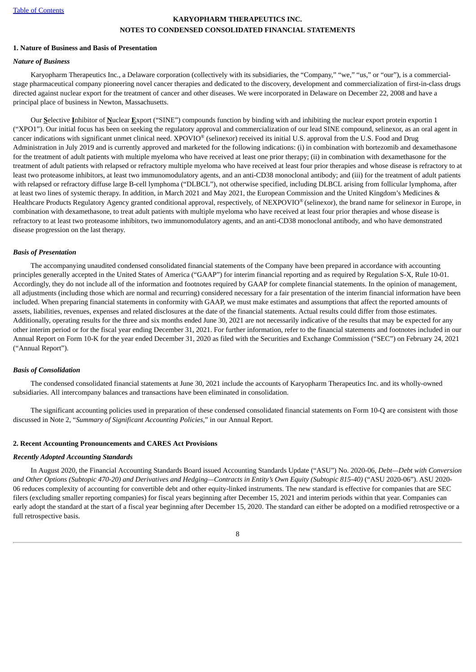## **KARYOPHARM THERAPEUTICS INC. NOTES TO CONDENSED CONSOLIDATED FINANCIAL STATEMENTS**

#### <span id="page-7-0"></span>**1. Nature of Business and Basis of Presentation**

#### *Nature of Business*

Karyopharm Therapeutics Inc., a Delaware corporation (collectively with its subsidiaries, the "Company," "we," "us," or "our"), is a commercialstage pharmaceutical company pioneering novel cancer therapies and dedicated to the discovery, development and commercialization of first-in-class drugs directed against nuclear export for the treatment of cancer and other diseases. We were incorporated in Delaware on December 22, 2008 and have a principal place of business in Newton, Massachusetts.

Our **S**elective **I**nhibitor of **N**uclear **E**xport ("SINE") compounds function by binding with and inhibiting the nuclear export protein exportin 1 ("XPO1"). Our initial focus has been on seeking the regulatory approval and commercialization of our lead SINE compound, selinexor, as an oral agent in cancer indications with significant unmet clinical need. XPOVIO® (selinexor) received its initial U.S. approval from the U.S. Food and Drug Administration in July 2019 and is currently approved and marketed for the following indications: (i) in combination with bortezomib and dexamethasone for the treatment of adult patients with multiple myeloma who have received at least one prior therapy; (ii) in combination with dexamethasone for the treatment of adult patients with relapsed or refractory multiple myeloma who have received at least four prior therapies and whose disease is refractory to at least two proteasome inhibitors, at least two immunomodulatory agents, and an anti-CD38 monoclonal antibody; and (iii) for the treatment of adult patients with relapsed or refractory diffuse large B-cell lymphoma ("DLBCL"), not otherwise specified, including DLBCL arising from follicular lymphoma, after at least two lines of systemic therapy. In addition, in March 2021 and May 2021, the European Commission and the United Kingdom's Medicines & Healthcare Products Regulatory Agency granted conditional approval, respectively, of NEXPOVIO® (selinexor), the brand name for selinexor in Europe, in combination with dexamethasone, to treat adult patients with multiple myeloma who have received at least four prior therapies and whose disease is refractory to at least two proteasome inhibitors, two immunomodulatory agents, and an anti-CD38 monoclonal antibody, and who have demonstrated disease progression on the last therapy.

#### *Basis of Presentation*

The accompanying unaudited condensed consolidated financial statements of the Company have been prepared in accordance with accounting principles generally accepted in the United States of America ("GAAP") for interim financial reporting and as required by Regulation S-X, Rule 10-01. Accordingly, they do not include all of the information and footnotes required by GAAP for complete financial statements. In the opinion of management, all adjustments (including those which are normal and recurring) considered necessary for a fair presentation of the interim financial information have been included. When preparing financial statements in conformity with GAAP, we must make estimates and assumptions that affect the reported amounts of assets, liabilities, revenues, expenses and related disclosures at the date of the financial statements. Actual results could differ from those estimates. Additionally, operating results for the three and six months ended June 30, 2021 are not necessarily indicative of the results that may be expected for any other interim period or for the fiscal year ending December 31, 2021. For further information, refer to the financial statements and footnotes included in our Annual Report on Form 10-K for the year ended December 31, 2020 as filed with the Securities and Exchange Commission ("SEC") on February 24, 2021 ("Annual Report").

#### *Basis of Consolidation*

The condensed consolidated financial statements at June 30, 2021 include the accounts of Karyopharm Therapeutics Inc. and its wholly-owned subsidiaries. All intercompany balances and transactions have been eliminated in consolidation.

The significant accounting policies used in preparation of these condensed consolidated financial statements on Form 10-Q are consistent with those discussed in Note 2, "*Summary of Significant Accounting Policies*," in our Annual Report.

#### **2. Recent Accounting Pronouncements and CARES Act Provisions**

#### *Recently Adopted Accounting Standards*

In August 2020, the Financial Accounting Standards Board issued Accounting Standards Update ("ASU") No. 2020-06, *Debt—Debt with Conversion* and Other Options (Subtopic 470-20) and Derivatives and Hedging-Contracts in Entity's Own Equity (Subtopic 815-40) ("ASU 2020-06"). ASU 2020-06 reduces complexity of accounting for convertible debt and other equity-linked instruments. The new standard is effective for companies that are SEC filers (excluding smaller reporting companies) for fiscal years beginning after December 15, 2021 and interim periods within that year. Companies can early adopt the standard at the start of a fiscal year beginning after December 15, 2020. The standard can either be adopted on a modified retrospective or a full retrospective basis.

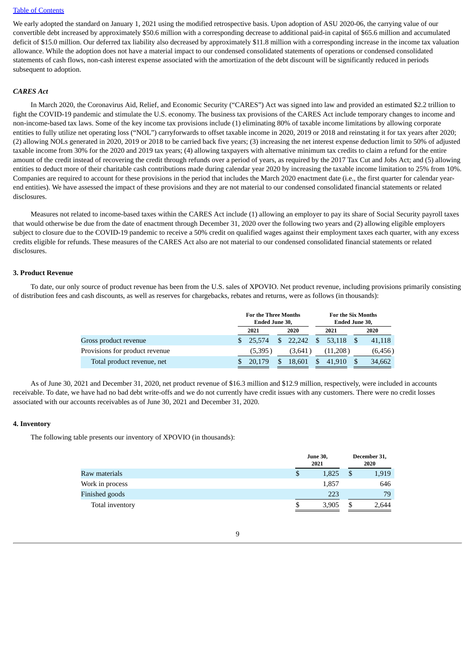We early adopted the standard on January 1, 2021 using the modified retrospective basis. Upon adoption of ASU 2020-06, the carrying value of our convertible debt increased by approximately \$50.6 million with a corresponding decrease to additional paid-in capital of \$65.6 million and accumulated deficit of \$15.0 million. Our deferred tax liability also decreased by approximately \$11.8 million with a corresponding increase in the income tax valuation allowance. While the adoption does not have a material impact to our condensed consolidated statements of operations or condensed consolidated statements of cash flows, non-cash interest expense associated with the amortization of the debt discount will be significantly reduced in periods subsequent to adoption.

#### *CARES Act*

In March 2020, the Coronavirus Aid, Relief, and Economic Security ("CARES") Act was signed into law and provided an estimated \$2.2 trillion to fight the COVID-19 pandemic and stimulate the U.S. economy. The business tax provisions of the CARES Act include temporary changes to income and non-income-based tax laws. Some of the key income tax provisions include (1) eliminating 80% of taxable income limitations by allowing corporate entities to fully utilize net operating loss ("NOL") carryforwards to offset taxable income in 2020, 2019 or 2018 and reinstating it for tax years after 2020; (2) allowing NOLs generated in 2020, 2019 or 2018 to be carried back five years; (3) increasing the net interest expense deduction limit to 50% of adjusted taxable income from 30% for the 2020 and 2019 tax years; (4) allowing taxpayers with alternative minimum tax credits to claim a refund for the entire amount of the credit instead of recovering the credit through refunds over a period of years, as required by the 2017 Tax Cut and Jobs Act; and (5) allowing entities to deduct more of their charitable cash contributions made during calendar year 2020 by increasing the taxable income limitation to 25% from 10%. Companies are required to account for these provisions in the period that includes the March 2020 enactment date (i.e., the first quarter for calendar yearend entities). We have assessed the impact of these provisions and they are not material to our condensed consolidated financial statements or related disclosures.

Measures not related to income-based taxes within the CARES Act include (1) allowing an employer to pay its share of Social Security payroll taxes that would otherwise be due from the date of enactment through December 31, 2020 over the following two years and (2) allowing eligible employers subject to closure due to the COVID-19 pandemic to receive a 50% credit on qualified wages against their employment taxes each quarter, with any excess credits eligible for refunds. These measures of the CARES Act also are not material to our condensed consolidated financial statements or related disclosures.

#### **3. Product Revenue**

To date, our only source of product revenue has been from the U.S. sales of XPOVIO. Net product revenue, including provisions primarily consisting of distribution fees and cash discounts, as well as reserves for chargebacks, rebates and returns, were as follows (in thousands):

|                                | <b>For the Three Months</b><br>Ended June 30, |         |     |           |               |           | <b>For the Six Months</b><br><b>Ended June 30,</b> |          |  |  |
|--------------------------------|-----------------------------------------------|---------|-----|-----------|---------------|-----------|----------------------------------------------------|----------|--|--|
|                                | 2021<br>2020                                  |         |     |           |               | 2021      | 2020                                               |          |  |  |
| Gross product revenue          |                                               | 25.574  | \$. | 22.242 \$ |               | 53.118 \$ |                                                    | 41,118   |  |  |
| Provisions for product revenue |                                               | (5,395) |     | (3,641)   |               | (11,208)  |                                                    | (6, 456) |  |  |
| Total product revenue, net     |                                               | 20,179  |     | 18.601    | <sup>\$</sup> | 41.910    |                                                    | 34,662   |  |  |

As of June 30, 2021 and December 31, 2020, net product revenue of \$16.3 million and \$12.9 million, respectively, were included in accounts receivable. To date, we have had no bad debt write-offs and we do not currently have credit issues with any customers. There were no credit losses associated with our accounts receivables as of June 30, 2021 and December 31, 2020.

#### **4. Inventory**

The following table presents our inventory of XPOVIO (in thousands):

|                 |    | <b>June 30,</b><br>2021 | December 31,<br>2020 |       |  |
|-----------------|----|-------------------------|----------------------|-------|--|
| Raw materials   | S  | 1,825                   |                      | 1,919 |  |
| Work in process |    | 1,857                   |                      | 646   |  |
| Finished goods  |    | 223                     |                      | 79    |  |
| Total inventory | \$ | 3,905                   |                      | 2,644 |  |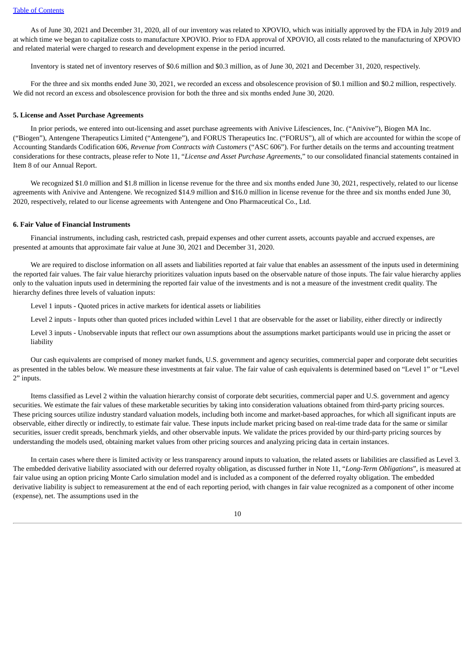As of June 30, 2021 and December 31, 2020, all of our inventory was related to XPOVIO, which was initially approved by the FDA in July 2019 and at which time we began to capitalize costs to manufacture XPOVIO. Prior to FDA approval of XPOVIO, all costs related to the manufacturing of XPOVIO and related material were charged to research and development expense in the period incurred.

Inventory is stated net of inventory reserves of \$0.6 million and \$0.3 million, as of June 30, 2021 and December 31, 2020, respectively.

For the three and six months ended June 30, 2021, we recorded an excess and obsolescence provision of \$0.1 million and \$0.2 million, respectively. We did not record an excess and obsolescence provision for both the three and six months ended June 30, 2020.

#### **5. License and Asset Purchase Agreements**

In prior periods, we entered into out-licensing and asset purchase agreements with Anivive Lifesciences, Inc. ("Anivive"), Biogen MA Inc. ("Biogen"), Antengene Therapeutics Limited ("Antengene"), and FORUS Therapeutics Inc. ("FORUS"), all of which are accounted for within the scope of Accounting Standards Codification 606, *Revenue from Contracts with Customers* ("ASC 606"). For further details on the terms and accounting treatment considerations for these contracts, please refer to Note 11, "*License and Asset Purchase Agreements*," to our consolidated financial statements contained in Item 8 of our Annual Report.

We recognized \$1.0 million and \$1.8 million in license revenue for the three and six months ended June 30, 2021, respectively, related to our license agreements with Anivive and Antengene. We recognized \$14.9 million and \$16.0 million in license revenue for the three and six months ended June 30, 2020, respectively, related to our license agreements with Antengene and Ono Pharmaceutical Co., Ltd.

#### **6. Fair Value of Financial Instruments**

Financial instruments, including cash, restricted cash, prepaid expenses and other current assets, accounts payable and accrued expenses, are presented at amounts that approximate fair value at June 30, 2021 and December 31, 2020.

We are required to disclose information on all assets and liabilities reported at fair value that enables an assessment of the inputs used in determining the reported fair values. The fair value hierarchy prioritizes valuation inputs based on the observable nature of those inputs. The fair value hierarchy applies only to the valuation inputs used in determining the reported fair value of the investments and is not a measure of the investment credit quality. The hierarchy defines three levels of valuation inputs:

Level 1 inputs - Quoted prices in active markets for identical assets or liabilities

Level 2 inputs - Inputs other than quoted prices included within Level 1 that are observable for the asset or liability, either directly or indirectly

Level 3 inputs - Unobservable inputs that reflect our own assumptions about the assumptions market participants would use in pricing the asset or liability

Our cash equivalents are comprised of money market funds, U.S. government and agency securities, commercial paper and corporate debt securities as presented in the tables below. We measure these investments at fair value. The fair value of cash equivalents is determined based on "Level 1" or "Level 2" inputs.

Items classified as Level 2 within the valuation hierarchy consist of corporate debt securities, commercial paper and U.S. government and agency securities. We estimate the fair values of these marketable securities by taking into consideration valuations obtained from third-party pricing sources. These pricing sources utilize industry standard valuation models, including both income and market-based approaches, for which all significant inputs are observable, either directly or indirectly, to estimate fair value. These inputs include market pricing based on real-time trade data for the same or similar securities, issuer credit spreads, benchmark yields, and other observable inputs. We validate the prices provided by our third-party pricing sources by understanding the models used, obtaining market values from other pricing sources and analyzing pricing data in certain instances.

In certain cases where there is limited activity or less transparency around inputs to valuation, the related assets or liabilities are classified as Level 3. The embedded derivative liability associated with our deferred royalty obligation, as discussed further in Note 11, "*Long-Term Obligations*", is measured at fair value using an option pricing Monte Carlo simulation model and is included as a component of the deferred royalty obligation. The embedded derivative liability is subject to remeasurement at the end of each reporting period, with changes in fair value recognized as a component of other income (expense), net. The assumptions used in the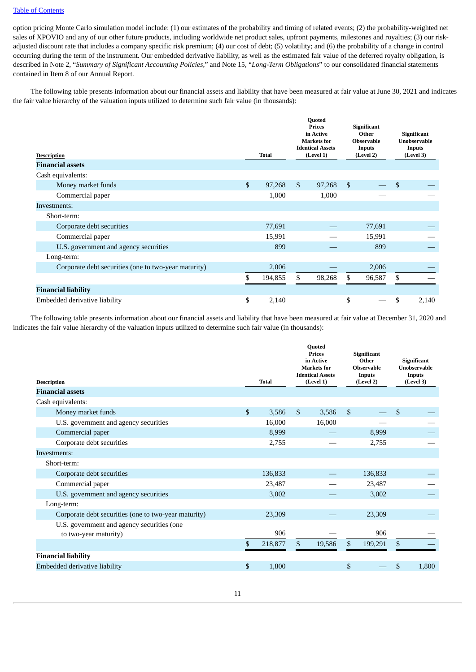option pricing Monte Carlo simulation model include: (1) our estimates of the probability and timing of related events; (2) the probability-weighted net sales of XPOVIO and any of our other future products, including worldwide net product sales, upfront payments, milestones and royalties; (3) our riskadjusted discount rate that includes a company specific risk premium; (4) our cost of debt; (5) volatility; and (6) the probability of a change in control occurring during the term of the instrument. Our embedded derivative liability, as well as the estimated fair value of the deferred royalty obligation, is described in Note 2, "*Summary of Significant Accounting Policies*," and Note 15, "*Long-Term Obligations*" to our consolidated financial statements contained in Item 8 of our Annual Report.

The following table presents information about our financial assets and liability that have been measured at fair value at June 30, 2021 and indicates the fair value hierarchy of the valuation inputs utilized to determine such fair value (in thousands):

| <b>Description</b><br><b>Financial assets</b>        | <b>Total</b>  |              | <b>Quoted</b><br><b>Prices</b><br>in Active<br><b>Markets</b> for<br><b>Identical Assets</b><br>(Level 1) |                | <b>Significant</b><br>Other<br><b>Observable</b><br>Inputs<br>(Level 2) | <b>Significant</b><br><b>Unobservable</b><br><b>Inputs</b><br>(Level 3) |
|------------------------------------------------------|---------------|--------------|-----------------------------------------------------------------------------------------------------------|----------------|-------------------------------------------------------------------------|-------------------------------------------------------------------------|
| Cash equivalents:                                    |               |              |                                                                                                           |                |                                                                         |                                                                         |
| Money market funds                                   | \$<br>97,268  | $\mathbb{S}$ | 97,268                                                                                                    | $\mathfrak{s}$ |                                                                         | \$                                                                      |
| Commercial paper                                     | 1,000         |              | 1,000                                                                                                     |                |                                                                         |                                                                         |
| Investments:                                         |               |              |                                                                                                           |                |                                                                         |                                                                         |
| Short-term:                                          |               |              |                                                                                                           |                |                                                                         |                                                                         |
| Corporate debt securities                            | 77,691        |              |                                                                                                           |                | 77,691                                                                  |                                                                         |
| Commercial paper                                     | 15,991        |              |                                                                                                           |                | 15,991                                                                  |                                                                         |
| U.S. government and agency securities                | 899           |              |                                                                                                           |                | 899                                                                     |                                                                         |
| Long-term:                                           |               |              |                                                                                                           |                |                                                                         |                                                                         |
| Corporate debt securities (one to two-year maturity) | 2,006         |              |                                                                                                           |                | 2,006                                                                   |                                                                         |
|                                                      | \$<br>194,855 | \$           | 98,268                                                                                                    | \$             | 96,587                                                                  | \$                                                                      |
| <b>Financial liability</b>                           |               |              |                                                                                                           |                |                                                                         |                                                                         |
| Embedded derivative liability                        | \$<br>2,140   |              |                                                                                                           | \$             |                                                                         | \$<br>2,140                                                             |

The following table presents information about our financial assets and liability that have been measured at fair value at December 31, 2020 and indicates the fair value hierarchy of the valuation inputs utilized to determine such fair value (in thousands):

| <b>Description</b>                                                  | <b>Total</b>  | <b>Quoted</b><br><b>Prices</b><br>in Active<br><b>Markets</b> for<br><b>Identical Assets</b><br>(Level 1) | <b>Significant</b><br>Other<br><b>Observable</b><br><b>Inputs</b><br>(Level 2) | <b>Significant</b><br><b>Unobservable</b><br><b>Inputs</b><br>(Level 3) |
|---------------------------------------------------------------------|---------------|-----------------------------------------------------------------------------------------------------------|--------------------------------------------------------------------------------|-------------------------------------------------------------------------|
| <b>Financial assets</b>                                             |               |                                                                                                           |                                                                                |                                                                         |
| Cash equivalents:                                                   |               |                                                                                                           |                                                                                |                                                                         |
| Money market funds                                                  | \$<br>3,586   | $\mathfrak{S}$<br>3,586                                                                                   | \$                                                                             | \$                                                                      |
| U.S. government and agency securities                               | 16,000        | 16,000                                                                                                    |                                                                                |                                                                         |
| Commercial paper                                                    | 8,999         |                                                                                                           | 8,999                                                                          |                                                                         |
| Corporate debt securities                                           | 2,755         |                                                                                                           | 2,755                                                                          |                                                                         |
| Investments:                                                        |               |                                                                                                           |                                                                                |                                                                         |
| Short-term:                                                         |               |                                                                                                           |                                                                                |                                                                         |
| Corporate debt securities                                           | 136,833       |                                                                                                           | 136,833                                                                        |                                                                         |
| Commercial paper                                                    | 23,487        |                                                                                                           | 23,487                                                                         |                                                                         |
| U.S. government and agency securities                               | 3,002         |                                                                                                           | 3,002                                                                          |                                                                         |
| Long-term:                                                          |               |                                                                                                           |                                                                                |                                                                         |
| Corporate debt securities (one to two-year maturity)                | 23,309        |                                                                                                           | 23,309                                                                         |                                                                         |
| U.S. government and agency securities (one<br>to two-year maturity) | 906           |                                                                                                           | 906                                                                            |                                                                         |
|                                                                     | \$<br>218,877 | \$<br>19,586                                                                                              | \$<br>199,291                                                                  | \$                                                                      |
| <b>Financial liability</b>                                          |               |                                                                                                           |                                                                                |                                                                         |
| Embedded derivative liability                                       | \$<br>1,800   |                                                                                                           | \$                                                                             | \$<br>1,800                                                             |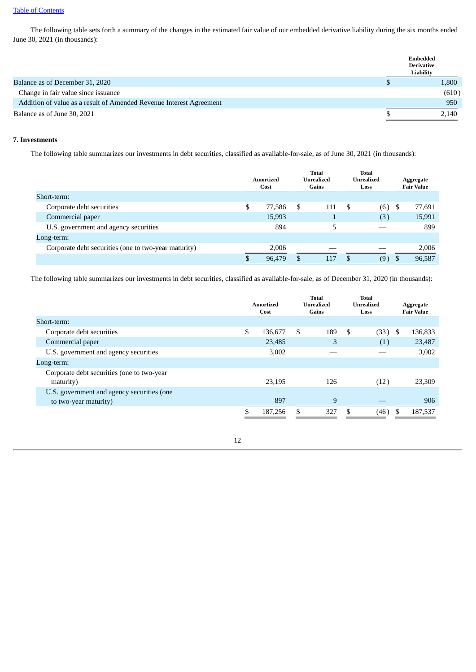The following table sets forth a summary of the changes in the estimated fair value of our embedded derivative liability during the six months ended June 30, 2021 (in thousands):

|                                                                     | Embedded<br><b>Derivative</b><br>Liability |       |
|---------------------------------------------------------------------|--------------------------------------------|-------|
| Balance as of December 31, 2020                                     |                                            | 1,800 |
| Change in fair value since issuance                                 |                                            | (610) |
| Addition of value as a result of Amended Revenue Interest Agreement |                                            | 950   |
| Balance as of June 30, 2021                                         |                                            | 2,140 |

## **7. Investments**

The following table summarizes our investments in debt securities, classified as available-for-sale, as of June 30, 2021 (in thousands):

| Short-term:                                          | Amortized<br>Cost |   | <b>Total</b><br>Unrealized<br>Gains |   | <b>Total</b><br>Unrealized<br>Loss |     | Aggregate<br><b>Fair Value</b> |
|------------------------------------------------------|-------------------|---|-------------------------------------|---|------------------------------------|-----|--------------------------------|
| Corporate debt securities                            | \$<br>77,586      | S | 111                                 | S | (6)                                | - 5 | 77,691                         |
| Commercial paper                                     | 15,993            |   |                                     |   | (3)                                |     | 15,991                         |
| U.S. government and agency securities                | 894               |   | 5                                   |   |                                    |     | 899                            |
| Long-term:                                           |                   |   |                                     |   |                                    |     |                                |
| Corporate debt securities (one to two-year maturity) | 2,006             |   |                                     |   |                                    |     | 2,006                          |
|                                                      | 96.479            | S | 117                                 | S | (9)                                | S   | 96,587                         |

The following table summarizes our investments in debt securities, classified as available-for-sale, as of December 31, 2020 (in thousands):

|                                            | <b>Total</b><br><b>Unrealized</b><br>Amortized<br>Gains<br>Cost |         | <b>Total</b><br>Unrealized<br>Loss |     | Aggregate<br><b>Fair Value</b> |      |      |         |
|--------------------------------------------|-----------------------------------------------------------------|---------|------------------------------------|-----|--------------------------------|------|------|---------|
| Short-term:                                |                                                                 |         |                                    |     |                                |      |      |         |
| Corporate debt securities                  | \$                                                              | 136.677 | S.                                 | 189 | \$                             | (33) | - \$ | 136,833 |
| Commercial paper                           |                                                                 | 23,485  |                                    | 3   |                                | (1)  |      | 23,487  |
| U.S. government and agency securities      |                                                                 | 3,002   |                                    |     |                                |      |      | 3,002   |
| Long-term:                                 |                                                                 |         |                                    |     |                                |      |      |         |
| Corporate debt securities (one to two-year |                                                                 |         |                                    |     |                                |      |      |         |
| maturity)                                  |                                                                 | 23,195  |                                    | 126 |                                | (12) |      | 23,309  |
| U.S. government and agency securities (one |                                                                 |         |                                    |     |                                |      |      |         |
| to two-year maturity)                      |                                                                 | 897     |                                    | 9   |                                |      |      | 906     |
|                                            |                                                                 | 187,256 | \$                                 | 327 | \$.                            | (46) | \$   | 187,537 |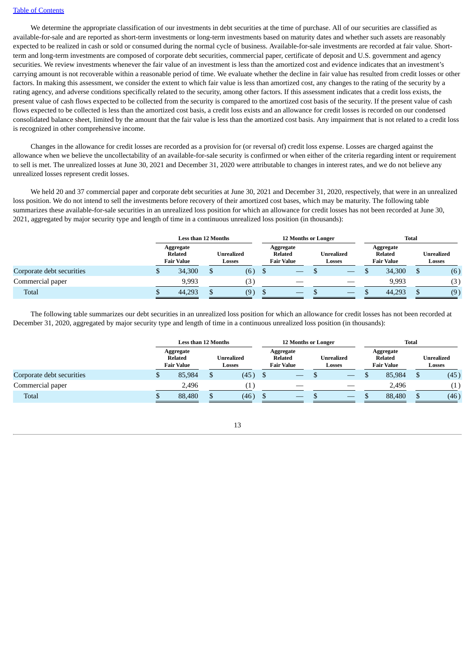We determine the appropriate classification of our investments in debt securities at the time of purchase. All of our securities are classified as available-for-sale and are reported as short-term investments or long-term investments based on maturity dates and whether such assets are reasonably expected to be realized in cash or sold or consumed during the normal cycle of business. Available-for-sale investments are recorded at fair value. Shortterm and long-term investments are composed of corporate debt securities, commercial paper, certificate of deposit and U.S. government and agency securities. We review investments whenever the fair value of an investment is less than the amortized cost and evidence indicates that an investment's carrying amount is not recoverable within a reasonable period of time. We evaluate whether the decline in fair value has resulted from credit losses or other factors. In making this assessment, we consider the extent to which fair value is less than amortized cost, any changes to the rating of the security by a rating agency, and adverse conditions specifically related to the security, among other factors. If this assessment indicates that a credit loss exists, the present value of cash flows expected to be collected from the security is compared to the amortized cost basis of the security. If the present value of cash flows expected to be collected is less than the amortized cost basis, a credit loss exists and an allowance for credit losses is recorded on our condensed consolidated balance sheet, limited by the amount that the fair value is less than the amortized cost basis. Any impairment that is not related to a credit loss is recognized in other comprehensive income.

Changes in the allowance for credit losses are recorded as a provision for (or reversal of) credit loss expense. Losses are charged against the allowance when we believe the uncollectability of an available-for-sale security is confirmed or when either of the criteria regarding intent or requirement to sell is met. The unrealized losses at June 30, 2021 and December 31, 2020 were attributable to changes in interest rates, and we do not believe any unrealized losses represent credit losses.

We held 20 and 37 commercial paper and corporate debt securities at June 30, 2021 and December 31, 2020, respectively, that were in an unrealized loss position. We do not intend to sell the investments before recovery of their amortized cost bases, which may be maturity. The following table summarizes these available-for-sale securities in an unrealized loss position for which an allowance for credit losses has not been recorded at June 30, 2021, aggregated by major security type and length of time in a continuous unrealized loss position (in thousands):

|                           | <b>Less than 12 Months</b>                       |  |                      | <b>12 Months or Longer</b>                       |  |                      |  | <b>Total</b>                                     |  |                             |  |
|---------------------------|--------------------------------------------------|--|----------------------|--------------------------------------------------|--|----------------------|--|--------------------------------------------------|--|-----------------------------|--|
|                           | Aggregate<br><b>Related</b><br><b>Fair Value</b> |  | Unrealized<br>Losses | Aggregate<br><b>Related</b><br><b>Fair Value</b> |  | Unrealized<br>Losses |  | Aggregate<br><b>Related</b><br><b>Fair Value</b> |  | <b>Unrealized</b><br>Losses |  |
| Corporate debt securities | 34,300                                           |  | (6)                  |                                                  |  |                      |  | 34,300                                           |  | (6)                         |  |
| Commercial paper          | 9,993                                            |  | (3)                  |                                                  |  |                      |  | 9.993                                            |  | (3)                         |  |
| <b>Total</b>              | 44,293                                           |  | (9)                  |                                                  |  |                      |  | 44,293                                           |  | (9)                         |  |

The following table summarizes our debt securities in an unrealized loss position for which an allowance for credit losses has not been recorded at December 31, 2020, aggregated by major security type and length of time in a continuous unrealized loss position (in thousands):

|                           | <b>Less than 12 Months</b>                |  |                             | <b>12 Months or Longer</b>                |  |                      |  | <b>Total</b>                                     |    |                             |  |
|---------------------------|-------------------------------------------|--|-----------------------------|-------------------------------------------|--|----------------------|--|--------------------------------------------------|----|-----------------------------|--|
|                           | Aggregate<br>Related<br><b>Fair Value</b> |  | Unrealized<br><b>Losses</b> | Aggregate<br>Related<br><b>Fair Value</b> |  | Unrealized<br>Losses |  | Aggregate<br><b>Related</b><br><b>Fair Value</b> |    | <b>Unrealized</b><br>Losses |  |
| Corporate debt securities | 85,984                                    |  | (45)                        | $-$                                       |  | –                    |  | 85,984                                           | ۰υ | (45)                        |  |
| Commercial paper          | 2.496                                     |  |                             | __                                        |  | __                   |  | 2.496                                            |    | (1)                         |  |
| Total                     | 88,480                                    |  | (46)                        |                                           |  |                      |  | 88,480                                           | ۰υ | (46)                        |  |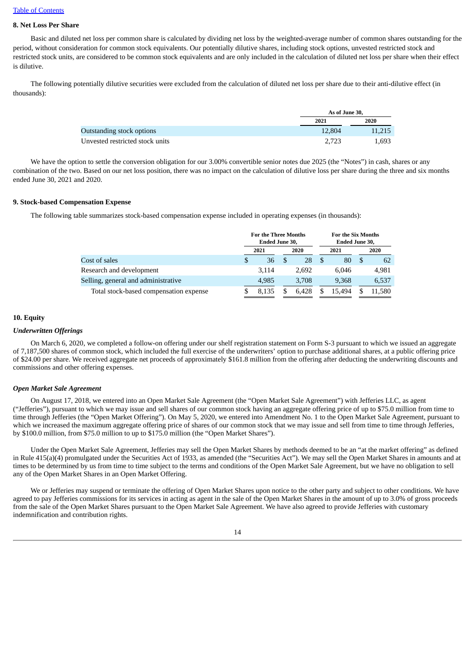## **8. Net Loss Per Share**

Basic and diluted net loss per common share is calculated by dividing net loss by the weighted-average number of common shares outstanding for the period, without consideration for common stock equivalents. Our potentially dilutive shares, including stock options, unvested restricted stock and restricted stock units, are considered to be common stock equivalents and are only included in the calculation of diluted net loss per share when their effect is dilutive.

The following potentially dilutive securities were excluded from the calculation of diluted net loss per share due to their anti-dilutive effect (in thousands):

|                                  |        | As of June 30, |
|----------------------------------|--------|----------------|
|                                  | 2021   | 2020           |
| <b>Outstanding stock options</b> | 12,804 | 11,215         |
| Unvested restricted stock units  | 2.723  | 1,693          |

We have the option to settle the conversion obligation for our 3.00% convertible senior notes due 2025 (the "Notes") in cash, shares or any combination of the two. Based on our net loss position, there was no impact on the calculation of dilutive loss per share during the three and six months ended June 30, 2021 and 2020.

#### **9. Stock-based Compensation Expense**

The following table summarizes stock-based compensation expense included in operating expenses (in thousands):

|                                        | <b>For the Three Months</b><br>Ended June 30, |       |  | <b>For the Six Months</b><br>Ended June 30, |    |        |   |        |
|----------------------------------------|-----------------------------------------------|-------|--|---------------------------------------------|----|--------|---|--------|
|                                        |                                               | 2021  |  | 2020                                        |    | 2021   |   | 2020   |
| Cost of sales                          | \$                                            | 36    |  | 28                                          | -S | 80     | S | 62     |
| Research and development               |                                               | 3.114 |  | 2.692                                       |    | 6.046  |   | 4.981  |
| Selling, general and administrative    |                                               | 4.985 |  | 3,708                                       |    | 9.368  |   | 6,537  |
| Total stock-based compensation expense |                                               | 8.135 |  | 6.428                                       |    | 15.494 |   | 11.580 |

## **10. Equity**

#### *Underwritten Offerings*

On March 6, 2020, we completed a follow-on offering under our shelf registration statement on Form S-3 pursuant to which we issued an aggregate of 7,187,500 shares of common stock, which included the full exercise of the underwriters' option to purchase additional shares, at a public offering price of \$24.00 per share. We received aggregate net proceeds of approximately \$161.8 million from the offering after deducting the underwriting discounts and commissions and other offering expenses.

#### *Open Market Sale Agreement*

On August 17, 2018, we entered into an Open Market Sale Agreement (the "Open Market Sale Agreement") with Jefferies LLC, as agent ("Jefferies"), pursuant to which we may issue and sell shares of our common stock having an aggregate offering price of up to \$75.0 million from time to time through Jefferies (the "Open Market Offering"). On May 5, 2020, we entered into Amendment No. 1 to the Open Market Sale Agreement, pursuant to which we increased the maximum aggregate offering price of shares of our common stock that we may issue and sell from time to time through Jefferies, by \$100.0 million, from \$75.0 million to up to \$175.0 million (the "Open Market Shares").

Under the Open Market Sale Agreement, Jefferies may sell the Open Market Shares by methods deemed to be an "at the market offering" as defined in Rule 415(a)(4) promulgated under the Securities Act of 1933, as amended (the "Securities Act"). We may sell the Open Market Shares in amounts and at times to be determined by us from time to time subject to the terms and conditions of the Open Market Sale Agreement, but we have no obligation to sell any of the Open Market Shares in an Open Market Offering.

We or Jefferies may suspend or terminate the offering of Open Market Shares upon notice to the other party and subject to other conditions. We have agreed to pay Jefferies commissions for its services in acting as agent in the sale of the Open Market Shares in the amount of up to 3.0% of gross proceeds from the sale of the Open Market Shares pursuant to the Open Market Sale Agreement. We have also agreed to provide Jefferies with customary indemnification and contribution rights.

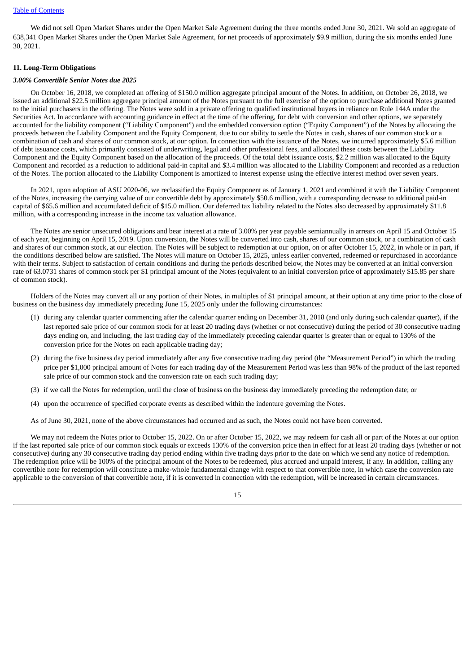We did not sell Open Market Shares under the Open Market Sale Agreement during the three months ended June 30, 2021. We sold an aggregate of 638,341 Open Market Shares under the Open Market Sale Agreement, for net proceeds of approximately \$9.9 million, during the six months ended June 30, 2021.

#### **11. Long-Term Obligations**

#### *3.00% Convertible Senior Notes due 2025*

On October 16, 2018, we completed an offering of \$150.0 million aggregate principal amount of the Notes. In addition, on October 26, 2018, we issued an additional \$22.5 million aggregate principal amount of the Notes pursuant to the full exercise of the option to purchase additional Notes granted to the initial purchasers in the offering. The Notes were sold in a private offering to qualified institutional buyers in reliance on Rule 144A under the Securities Act. In accordance with accounting guidance in effect at the time of the offering, for debt with conversion and other options, we separately accounted for the liability component ("Liability Component") and the embedded conversion option ("Equity Component") of the Notes by allocating the proceeds between the Liability Component and the Equity Component, due to our ability to settle the Notes in cash, shares of our common stock or a combination of cash and shares of our common stock, at our option. In connection with the issuance of the Notes, we incurred approximately \$5.6 million of debt issuance costs, which primarily consisted of underwriting, legal and other professional fees, and allocated these costs between the Liability Component and the Equity Component based on the allocation of the proceeds. Of the total debt issuance costs, \$2.2 million was allocated to the Equity Component and recorded as a reduction to additional paid-in capital and \$3.4 million was allocated to the Liability Component and recorded as a reduction of the Notes. The portion allocated to the Liability Component is amortized to interest expense using the effective interest method over seven years.

In 2021, upon adoption of ASU 2020-06, we reclassified the Equity Component as of January 1, 2021 and combined it with the Liability Component of the Notes, increasing the carrying value of our convertible debt by approximately \$50.6 million, with a corresponding decrease to additional paid-in capital of \$65.6 million and accumulated deficit of \$15.0 million. Our deferred tax liability related to the Notes also decreased by approximately \$11.8 million, with a corresponding increase in the income tax valuation allowance.

The Notes are senior unsecured obligations and bear interest at a rate of 3.00% per year payable semiannually in arrears on April 15 and October 15 of each year, beginning on April 15, 2019. Upon conversion, the Notes will be converted into cash, shares of our common stock, or a combination of cash and shares of our common stock, at our election. The Notes will be subject to redemption at our option, on or after October 15, 2022, in whole or in part, if the conditions described below are satisfied. The Notes will mature on October 15, 2025, unless earlier converted, redeemed or repurchased in accordance with their terms. Subject to satisfaction of certain conditions and during the periods described below, the Notes may be converted at an initial conversion rate of 63.0731 shares of common stock per \$1 principal amount of the Notes (equivalent to an initial conversion price of approximately \$15.85 per share of common stock).

Holders of the Notes may convert all or any portion of their Notes, in multiples of \$1 principal amount, at their option at any time prior to the close of business on the business day immediately preceding June 15, 2025 only under the following circumstances:

- (1) during any calendar quarter commencing after the calendar quarter ending on December 31, 2018 (and only during such calendar quarter), if the last reported sale price of our common stock for at least 20 trading days (whether or not consecutive) during the period of 30 consecutive trading days ending on, and including, the last trading day of the immediately preceding calendar quarter is greater than or equal to 130% of the conversion price for the Notes on each applicable trading day;
- (2) during the five business day period immediately after any five consecutive trading day period (the "Measurement Period") in which the trading price per \$1,000 principal amount of Notes for each trading day of the Measurement Period was less than 98% of the product of the last reported sale price of our common stock and the conversion rate on each such trading day;
- (3) if we call the Notes for redemption, until the close of business on the business day immediately preceding the redemption date; or
- (4) upon the occurrence of specified corporate events as described within the indenture governing the Notes.

As of June 30, 2021, none of the above circumstances had occurred and as such, the Notes could not have been converted.

We may not redeem the Notes prior to October 15, 2022. On or after October 15, 2022, we may redeem for cash all or part of the Notes at our option if the last reported sale price of our common stock equals or exceeds 130% of the conversion price then in effect for at least 20 trading days (whether or not consecutive) during any 30 consecutive trading day period ending within five trading days prior to the date on which we send any notice of redemption. The redemption price will be 100% of the principal amount of the Notes to be redeemed, plus accrued and unpaid interest, if any. In addition, calling any convertible note for redemption will constitute a make-whole fundamental change with respect to that convertible note, in which case the conversion rate applicable to the conversion of that convertible note, if it is converted in connection with the redemption, will be increased in certain circumstances.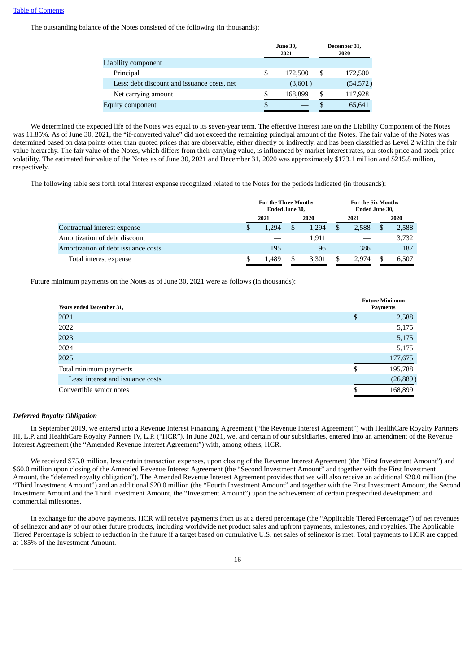The outstanding balance of the Notes consisted of the following (in thousands):

|                                             | <b>June 30,</b><br>2021 | December 31,<br>2020 |
|---------------------------------------------|-------------------------|----------------------|
| Liability component                         |                         |                      |
| Principal                                   | 172,500                 | \$<br>172,500        |
| Less: debt discount and issuance costs, net | (3,601)                 | (54, 572)            |
| Net carrying amount                         | 168,899                 | 117,928              |
| Equity component                            |                         | 65,641               |

We determined the expected life of the Notes was equal to its seven-year term. The effective interest rate on the Liability Component of the Notes was 11.85%. As of June 30, 2021, the "if-converted value" did not exceed the remaining principal amount of the Notes. The fair value of the Notes was determined based on data points other than quoted prices that are observable, either directly or indirectly, and has been classified as Level 2 within the fair value hierarchy. The fair value of the Notes, which differs from their carrying value, is influenced by market interest rates, our stock price and stock price volatility. The estimated fair value of the Notes as of June 30, 2021 and December 31, 2020 was approximately \$173.1 million and \$215.8 million, respectively.

The following table sets forth total interest expense recognized related to the Notes for the periods indicated (in thousands):

|                                     | <b>For the Three Months</b><br><b>Ended June 30.</b> |  |       | For the Six Months<br>Ended June 30, |       |  |       |
|-------------------------------------|------------------------------------------------------|--|-------|--------------------------------------|-------|--|-------|
|                                     | 2021                                                 |  | 2020  |                                      | 2021  |  | 2020  |
| Contractual interest expense        | \$<br>1.294                                          |  | 1,294 | \$                                   | 2,588 |  | 2,588 |
| Amortization of debt discount       |                                                      |  | 1.911 |                                      |       |  | 3,732 |
| Amortization of debt issuance costs | 195                                                  |  | 96    |                                      | 386   |  | 187   |
| Total interest expense              | 1.489                                                |  | 3,301 | S                                    | 2.974 |  | 6,507 |

Future minimum payments on the Notes as of June 30, 2021 were as follows (in thousands):

| <b>Years ended December 31,</b>   |    | <b>Future Minimum</b><br><b>Payments</b> |
|-----------------------------------|----|------------------------------------------|
| 2021                              | S  | 2,588                                    |
| 2022                              |    | 5,175                                    |
| 2023                              |    | 5,175                                    |
| 2024                              |    | 5,175                                    |
| 2025                              |    | 177,675                                  |
| Total minimum payments            | \$ | 195,788                                  |
| Less: interest and issuance costs |    | (26, 889)                                |
| Convertible senior notes          | S  | 168,899                                  |

#### *Deferred Royalty Obligation*

In September 2019, we entered into a Revenue Interest Financing Agreement ("the Revenue Interest Agreement") with HealthCare Royalty Partners III, L.P. and HealthCare Royalty Partners IV, L.P. ("HCR"). In June 2021, we, and certain of our subsidiaries, entered into an amendment of the Revenue Interest Agreement (the "Amended Revenue Interest Agreement") with, among others, HCR.

We received \$75.0 million, less certain transaction expenses, upon closing of the Revenue Interest Agreement (the "First Investment Amount") and \$60.0 million upon closing of the Amended Revenue Interest Agreement (the "Second Investment Amount" and together with the First Investment Amount, the "deferred royalty obligation"). The Amended Revenue Interest Agreement provides that we will also receive an additional \$20.0 million (the "Third Investment Amount") and an additional \$20.0 million (the "Fourth Investment Amount" and together with the First Investment Amount, the Second Investment Amount and the Third Investment Amount, the "Investment Amount") upon the achievement of certain prespecified development and commercial milestones.

In exchange for the above payments, HCR will receive payments from us at a tiered percentage (the "Applicable Tiered Percentage") of net revenues of selinexor and any of our other future products, including worldwide net product sales and upfront payments, milestones, and royalties. The Applicable Tiered Percentage is subject to reduction in the future if a target based on cumulative U.S. net sales of selinexor is met. Total payments to HCR are capped at 185% of the Investment Amount.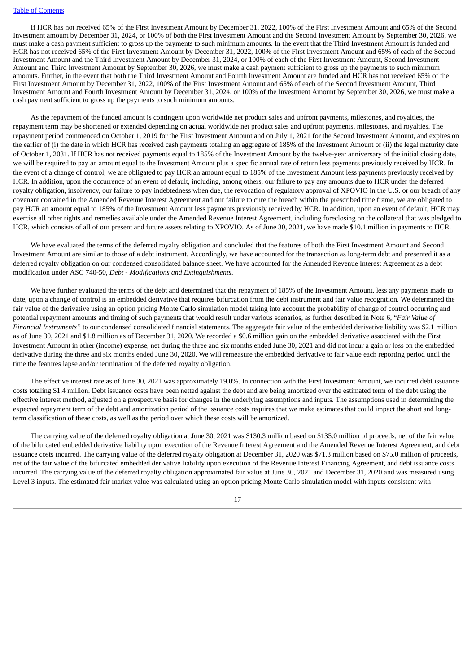If HCR has not received 65% of the First Investment Amount by December 31, 2022, 100% of the First Investment Amount and 65% of the Second Investment amount by December 31, 2024, or 100% of both the First Investment Amount and the Second Investment Amount by September 30, 2026, we must make a cash payment sufficient to gross up the payments to such minimum amounts. In the event that the Third Investment Amount is funded and HCR has not received 65% of the First Investment Amount by December 31, 2022, 100% of the First Investment Amount and 65% of each of the Second Investment Amount and the Third Investment Amount by December 31, 2024, or 100% of each of the First Investment Amount, Second Investment Amount and Third Investment Amount by September 30, 2026, we must make a cash payment sufficient to gross up the payments to such minimum amounts. Further, in the event that both the Third Investment Amount and Fourth Investment Amount are funded and HCR has not received 65% of the First Investment Amount by December 31, 2022, 100% of the First Investment Amount and 65% of each of the Second Investment Amount, Third Investment Amount and Fourth Investment Amount by December 31, 2024, or 100% of the Investment Amount by September 30, 2026, we must make a cash payment sufficient to gross up the payments to such minimum amounts.

As the repayment of the funded amount is contingent upon worldwide net product sales and upfront payments, milestones, and royalties, the repayment term may be shortened or extended depending on actual worldwide net product sales and upfront payments, milestones, and royalties. The repayment period commenced on October 1, 2019 for the First Investment Amount and on July 1, 2021 for the Second Investment Amount, and expires on the earlier of (i) the date in which HCR has received cash payments totaling an aggregate of 185% of the Investment Amount or (ii) the legal maturity date of October 1, 2031. If HCR has not received payments equal to 185% of the Investment Amount by the twelve-year anniversary of the initial closing date, we will be required to pay an amount equal to the Investment Amount plus a specific annual rate of return less payments previously received by HCR. In the event of a change of control, we are obligated to pay HCR an amount equal to 185% of the Investment Amount less payments previously received by HCR. In addition, upon the occurrence of an event of default, including, among others, our failure to pay any amounts due to HCR under the deferred royalty obligation, insolvency, our failure to pay indebtedness when due, the revocation of regulatory approval of XPOVIO in the U.S. or our breach of any covenant contained in the Amended Revenue Interest Agreement and our failure to cure the breach within the prescribed time frame, we are obligated to pay HCR an amount equal to 185% of the Investment Amount less payments previously received by HCR. In addition, upon an event of default, HCR may exercise all other rights and remedies available under the Amended Revenue Interest Agreement, including foreclosing on the collateral that was pledged to HCR, which consists of all of our present and future assets relating to XPOVIO. As of June 30, 2021, we have made \$10.1 million in payments to HCR.

We have evaluated the terms of the deferred royalty obligation and concluded that the features of both the First Investment Amount and Second Investment Amount are similar to those of a debt instrument. Accordingly, we have accounted for the transaction as long-term debt and presented it as a deferred royalty obligation on our condensed consolidated balance sheet. We have accounted for the Amended Revenue Interest Agreement as a debt modification under ASC 740-50, *Debt - Modifications and Extinguishments*.

We have further evaluated the terms of the debt and determined that the repayment of 185% of the Investment Amount, less any payments made to date, upon a change of control is an embedded derivative that requires bifurcation from the debt instrument and fair value recognition. We determined the fair value of the derivative using an option pricing Monte Carlo simulation model taking into account the probability of change of control occurring and potential repayment amounts and timing of such payments that would result under various scenarios, as further described in Note 6, "*Fair Value of Financial Instruments"* to our condensed consolidated financial statements. The aggregate fair value of the embedded derivative liability was \$2.1 million as of June 30, 2021 and \$1.8 million as of December 31, 2020. We recorded a \$0.6 million gain on the embedded derivative associated with the First Investment Amount in other (income) expense, net during the three and six months ended June 30, 2021 and did not incur a gain or loss on the embedded derivative during the three and six months ended June 30, 2020. We will remeasure the embedded derivative to fair value each reporting period until the time the features lapse and/or termination of the deferred royalty obligation.

The effective interest rate as of June 30, 2021 was approximately 19.0%. In connection with the First Investment Amount, we incurred debt issuance costs totaling \$1.4 million. Debt issuance costs have been netted against the debt and are being amortized over the estimated term of the debt using the effective interest method, adjusted on a prospective basis for changes in the underlying assumptions and inputs. The assumptions used in determining the expected repayment term of the debt and amortization period of the issuance costs requires that we make estimates that could impact the short and longterm classification of these costs, as well as the period over which these costs will be amortized.

The carrying value of the deferred royalty obligation at June 30, 2021 was \$130.3 million based on \$135.0 million of proceeds, net of the fair value of the bifurcated embedded derivative liability upon execution of the Revenue Interest Agreement and the Amended Revenue Interest Agreement, and debt issuance costs incurred. The carrying value of the deferred royalty obligation at December 31, 2020 was \$71.3 million based on \$75.0 million of proceeds, net of the fair value of the bifurcated embedded derivative liability upon execution of the Revenue Interest Financing Agreement, and debt issuance costs incurred. The carrying value of the deferred royalty obligation approximated fair value at June 30, 2021 and December 31, 2020 and was measured using Level 3 inputs. The estimated fair market value was calculated using an option pricing Monte Carlo simulation model with inputs consistent with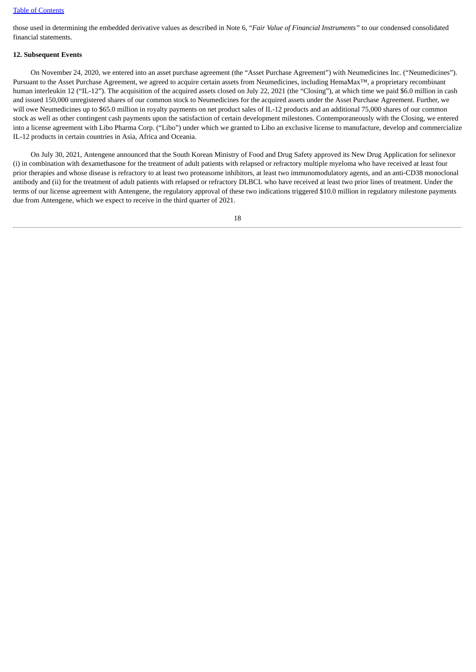those used in determining the embedded derivative values as described in Note 6, "*Fair Value of Financial Instruments"* to our condensed consolidated financial statements.

#### **12. Subsequent Events**

On November 24, 2020, we entered into an asset purchase agreement (the "Asset Purchase Agreement") with Neumedicines Inc. ("Neumedicines"). Pursuant to the Asset Purchase Agreement, we agreed to acquire certain assets from Neumedicines, including HemaMax™, a proprietary recombinant human interleukin 12 ("IL-12"). The acquisition of the acquired assets closed on July 22, 2021 (the "Closing"), at which time we paid \$6.0 million in cash and issued 150,000 unregistered shares of our common stock to Neumedicines for the acquired assets under the Asset Purchase Agreement. Further, we will owe Neumedicines up to \$65.0 million in royalty payments on net product sales of IL-12 products and an additional 75,000 shares of our common stock as well as other contingent cash payments upon the satisfaction of certain development milestones. Contemporaneously with the Closing, we entered into a license agreement with Libo Pharma Corp. ("Libo") under which we granted to Libo an exclusive license to manufacture, develop and commercialize IL-12 products in certain countries in Asia, Africa and Oceania.

On July 30, 2021, Antengene announced that the South Korean Ministry of Food and Drug Safety approved its New Drug Application for selinexor (i) in combination with dexamethasone for the treatment of adult patients with relapsed or refractory multiple myeloma who have received at least four prior therapies and whose disease is refractory to at least two proteasome inhibitors, at least two immunomodulatory agents, and an anti-CD38 monoclonal antibody and (ii) for the treatment of adult patients with relapsed or refractory DLBCL who have received at least two prior lines of treatment. Under the terms of our license agreement with Antengene, the regulatory approval of these two indications triggered \$10.0 million in regulatory milestone payments due from Antengene, which we expect to receive in the third quarter of 2021.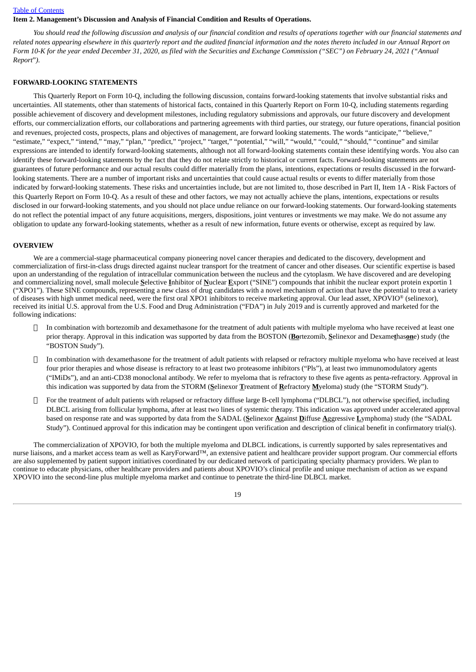#### <span id="page-18-0"></span>**Item 2. Management's Discussion and Analysis of Financial Condition and Results of Operations.**

You should read the following discussion and analysis of our financial condition and results of operations together with our financial statements and related notes appearing elsewhere in this quarterly report and the audited financial information and the notes thereto included in our Annual Report on Form 10-K for the vear ended December 31, 2020, as filed with the Securities and Exchange Commission ("SEC") on February 24, 2021 ("Annual *Report*"*).*

#### **FORWARD-LOOKING STATEMENTS**

This Quarterly Report on Form 10-Q, including the following discussion, contains forward-looking statements that involve substantial risks and uncertainties. All statements, other than statements of historical facts, contained in this Quarterly Report on Form 10-Q, including statements regarding possible achievement of discovery and development milestones, including regulatory submissions and approvals, our future discovery and development efforts, our commercialization efforts, our collaborations and partnering agreements with third parties, our strategy, our future operations, financial position and revenues, projected costs, prospects, plans and objectives of management, are forward looking statements. The words "anticipate," "believe," "estimate," "expect," "intend," "may," "plan," "predict," "project," "target," "potential," "will," "would," "could," "should," "continue" and similar expressions are intended to identify forward-looking statements, although not all forward-looking statements contain these identifying words. You also can identify these forward-looking statements by the fact that they do not relate strictly to historical or current facts. Forward-looking statements are not guarantees of future performance and our actual results could differ materially from the plans, intentions, expectations or results discussed in the forwardlooking statements. There are a number of important risks and uncertainties that could cause actual results or events to differ materially from those indicated by forward-looking statements. These risks and uncertainties include, but are not limited to, those described in Part II, Item 1A - Risk Factors of this Quarterly Report on Form 10-Q. As a result of these and other factors, we may not actually achieve the plans, intentions, expectations or results disclosed in our forward-looking statements, and you should not place undue reliance on our forward-looking statements. Our forward-looking statements do not reflect the potential impact of any future acquisitions, mergers, dispositions, joint ventures or investments we may make. We do not assume any obligation to update any forward-looking statements, whether as a result of new information, future events or otherwise, except as required by law.

#### **OVERVIEW**

We are a commercial-stage pharmaceutical company pioneering novel cancer therapies and dedicated to the discovery, development and commercialization of first-in-class drugs directed against nuclear transport for the treatment of cancer and other diseases. Our scientific expertise is based upon an understanding of the regulation of intracellular communication between the nucleus and the cytoplasm. We have discovered and are developing and commercializing novel, small molecule **S**elective **I**nhibitor of **N**uclear **E**xport ("SINE") compounds that inhibit the nuclear export protein exportin 1 ("XPO1"). These SINE compounds, representing a new class of drug candidates with a novel mechanism of action that have the potential to treat a variety of diseases with high unmet medical need, were the first oral XPO1 inhibitors to receive marketing approval. Our lead asset, XPOVIO® (selinexor), received its initial U.S. approval from the U.S. Food and Drug Administration ("FDA") in July 2019 and is currently approved and marketed for the following indications:

- In combination with bortezomib and dexamethasone for the treatment of adult patients with multiple myeloma who have received at least one prior therapy. Approval in this indication was supported by data from the BOSTON (**Bo**rtezomib, **S**elinexor and Dexame**t**has**on**e) study (the "BOSTON Study").
- In combination with dexamethasone for the treatment of adult patients with relapsed or refractory multiple myeloma who have received at least four prior therapies and whose disease is refractory to at least two proteasome inhibitors ("Pls"), at least two immunomodulatory agents ("IMiDs"), and an anti-CD38 monoclonal antibody. We refer to myeloma that is refractory to these five agents as penta-refractory. Approval in this indication was supported by data from the STORM (**S**elinexor **T**reatment of **R**efractory **M**yeloma) study (the "STORM Study").
- For the treatment of adult patients with relapsed or refractory diffuse large B-cell lymphoma ("DLBCL"), not otherwise specified, including DLBCL arising from follicular lymphoma, after at least two lines of systemic therapy. This indication was approved under accelerated approval based on response rate and was supported by data from the SADAL (**S**elinexor **A**gainst **D**iffuse **A**ggressive **L**ymphoma) study (the "SADAL Study"). Continued approval for this indication may be contingent upon verification and description of clinical benefit in confirmatory trial(s).

The commercialization of XPOVIO, for both the multiple myeloma and DLBCL indications, is currently supported by sales representatives and nurse liaisons, and a market access team as well as KaryForward™, an extensive patient and healthcare provider support program. Our commercial efforts are also supplemented by patient support initiatives coordinated by our dedicated network of participating specialty pharmacy providers. We plan to continue to educate physicians, other healthcare providers and patients about XPOVIO's clinical profile and unique mechanism of action as we expand XPOVIO into the second-line plus multiple myeloma market and continue to penetrate the third-line DLBCL market.

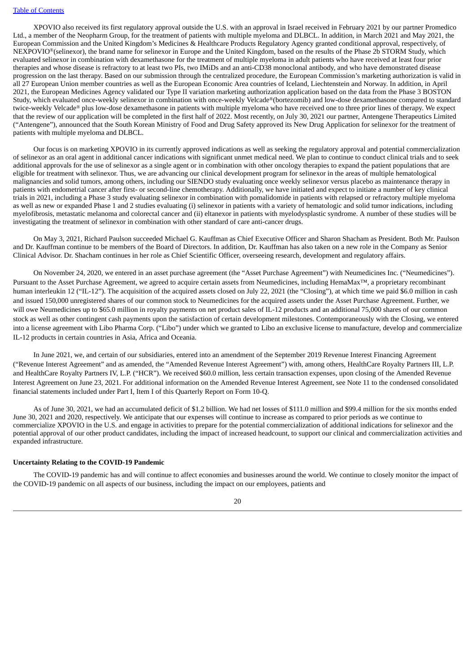XPOVIO also received its first regulatory approval outside the U.S. with an approval in Israel received in February 2021 by our partner Promedico Ltd., a member of the Neopharm Group, for the treatment of patients with multiple myeloma and DLBCL. In addition, in March 2021 and May 2021, the European Commission and the United Kingdom's Medicines & Healthcare Products Regulatory Agency granted conditional approval, respectively, of NEXPOVIO®(selinexor), the brand name for selinexor in Europe and the United Kingdom, based on the results of the Phase 2b STORM Study, which evaluated selinexor in combination with dexamethasone for the treatment of multiple myeloma in adult patients who have received at least four prior therapies and whose disease is refractory to at least two PIs, two IMiDs and an anti-CD38 monoclonal antibody, and who have demonstrated disease progression on the last therapy. Based on our submission through the centralized procedure, the European Commission's marketing authorization is valid in all 27 European Union member countries as well as the European Economic Area countries of Iceland, Liechtenstein and Norway. In addition, in April 2021, the European Medicines Agency validated our Type II variation marketing authorization application based on the data from the Phase 3 BOSTON Study, which evaluated once-weekly selinexor in combination with once-weekly Velcade®(bortezomib) and low-dose dexamethasone compared to standard twice-weekly Velcade® plus low-dose dexamethasone in patients with multiple myeloma who have received one to three prior lines of therapy. We expect that the review of our application will be completed in the first half of 2022. Most recently, on July 30, 2021 our partner, Antengene Therapeutics Limited ("Antengene"), announced that the South Korean Ministry of Food and Drug Safety approved its New Drug Application for selinexor for the treatment of patients with multiple myeloma and DLBCL.

Our focus is on marketing XPOVIO in its currently approved indications as well as seeking the regulatory approval and potential commercialization of selinexor as an oral agent in additional cancer indications with significant unmet medical need. We plan to continue to conduct clinical trials and to seek additional approvals for the use of selinexor as a single agent or in combination with other oncology therapies to expand the patient populations that are eligible for treatment with selinexor. Thus, we are advancing our clinical development program for selinexor in the areas of multiple hematological malignancies and solid tumors, among others, including our SIENDO study evaluating once weekly selinexor versus placebo as maintenance therapy in patients with endometrial cancer after first- or second-line chemotherapy. Additionally, we have initiated and expect to initiate a number of key clinical trials in 2021, including a Phase 3 study evaluating selinexor in combination with pomalidomide in patients with relapsed or refractory multiple myeloma as well as new or expanded Phase 1 and 2 studies evaluating (i) selinexor in patients with a variety of hematologic and solid tumor indications, including myelofibrosis, metastatic melanoma and colorectal cancer and (ii) eltanexor in patients with myelodysplastic syndrome. A number of these studies will be investigating the treatment of selinexor in combination with other standard of care anti-cancer drugs.

On May 3, 2021, Richard Paulson succeeded Michael G. Kauffman as Chief Executive Officer and Sharon Shacham as President. Both Mr. Paulson and Dr. Kauffman continue to be members of the Board of Directors. In addition, Dr. Kauffman has also taken on a new role in the Company as Senior Clinical Advisor. Dr. Shacham continues in her role as Chief Scientific Officer, overseeing research, development and regulatory affairs.

On November 24, 2020, we entered in an asset purchase agreement (the "Asset Purchase Agreement") with Neumedicines Inc. ("Neumedicines"). Pursuant to the Asset Purchase Agreement, we agreed to acquire certain assets from Neumedicines, including HemaMax™, a proprietary recombinant human interleukin 12 ("IL-12"). The acquisition of the acquired assets closed on July 22, 2021 (the "Closing"), at which time we paid \$6.0 million in cash and issued 150,000 unregistered shares of our common stock to Neumedicines for the acquired assets under the Asset Purchase Agreement. Further, we will owe Neumedicines up to \$65.0 million in royalty payments on net product sales of IL-12 products and an additional 75,000 shares of our common stock as well as other contingent cash payments upon the satisfaction of certain development milestones. Contemporaneously with the Closing, we entered into a license agreement with Libo Pharma Corp. ("Libo") under which we granted to Libo an exclusive license to manufacture, develop and commercialize IL-12 products in certain countries in Asia, Africa and Oceania.

In June 2021, we, and certain of our subsidiaries, entered into an amendment of the September 2019 Revenue Interest Financing Agreement ("Revenue Interest Agreement" and as amended, the "Amended Revenue Interest Agreement") with, among others, HealthCare Royalty Partners III, L.P. and HealthCare Royalty Partners IV, L.P. ("HCR"). We received \$60.0 million, less certain transaction expenses, upon closing of the Amended Revenue Interest Agreement on June 23, 2021. For additional information on the Amended Revenue Interest Agreement, see Note 11 to the condensed consolidated financial statements included under Part I, Item I of this Quarterly Report on Form 10-Q.

As of June 30, 2021, we had an accumulated deficit of \$1.2 billion. We had net losses of \$111.0 million and \$99.4 million for the six months ended June 30, 2021 and 2020, respectively. We anticipate that our expenses will continue to increase as compared to prior periods as we continue to commercialize XPOVIO in the U.S. and engage in activities to prepare for the potential commercialization of additional indications for selinexor and the potential approval of our other product candidates, including the impact of increased headcount, to support our clinical and commercialization activities and expanded infrastructure.

#### **Uncertainty Relating to the COVID-19 Pandemic**

The COVID-19 pandemic has and will continue to affect economies and businesses around the world. We continue to closely monitor the impact of the COVID-19 pandemic on all aspects of our business, including the impact on our employees, patients and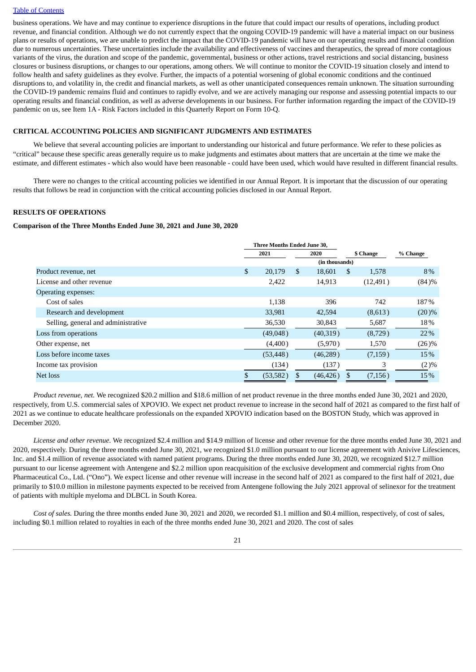business operations. We have and may continue to experience disruptions in the future that could impact our results of operations, including product revenue, and financial condition. Although we do not currently expect that the ongoing COVID-19 pandemic will have a material impact on our business plans or results of operations, we are unable to predict the impact that the COVID-19 pandemic will have on our operating results and financial condition due to numerous uncertainties. These uncertainties include the availability and effectiveness of vaccines and therapeutics, the spread of more contagious variants of the virus, the duration and scope of the pandemic, governmental, business or other actions, travel restrictions and social distancing, business closures or business disruptions, or changes to our operations, among others. We will continue to monitor the COVID-19 situation closely and intend to follow health and safety guidelines as they evolve. Further, the impacts of a potential worsening of global economic conditions and the continued disruptions to, and volatility in, the credit and financial markets, as well as other unanticipated consequences remain unknown. The situation surrounding the COVID-19 pandemic remains fluid and continues to rapidly evolve, and we are actively managing our response and assessing potential impacts to our operating results and financial condition, as well as adverse developments in our business. For further information regarding the impact of the COVID-19 pandemic on us, see Item 1A - Risk Factors included in this Quarterly Report on Form 10-Q.

#### **CRITICAL ACCOUNTING POLICIES AND SIGNIFICANT JUDGMENTS AND ESTIMATES**

We believe that several accounting policies are important to understanding our historical and future performance. We refer to these policies as "critical" because these specific areas generally require us to make judgments and estimates about matters that are uncertain at the time we make the estimate, and different estimates - which also would have been reasonable - could have been used, which would have resulted in different financial results.

There were no changes to the critical accounting policies we identified in our Annual Report. It is important that the discussion of our operating results that follows be read in conjunction with the critical accounting policies disclosed in our Annual Report.

#### **RESULTS OF OPERATIONS**

#### **Comparison of the Three Months Ended June 30, 2021 and June 30, 2020**

|                                     | Three Months Ended June 30, |           |     |                |     |           |          |
|-------------------------------------|-----------------------------|-----------|-----|----------------|-----|-----------|----------|
|                                     |                             | 2021      |     | 2020           |     | \$ Change | % Change |
|                                     |                             |           |     | (in thousands) |     |           |          |
| Product revenue, net                | \$                          | 20,179    | \$. | 18,601         | \$. | 1,578     | 8%       |
| License and other revenue           |                             | 2,422     |     | 14,913         |     | (12, 491) | (84)%    |
| Operating expenses:                 |                             |           |     |                |     |           |          |
| Cost of sales                       |                             | 1,138     |     | 396            |     | 742       | 187%     |
| Research and development            |                             | 33,981    |     | 42,594         |     | (8,613)   | $(20)\%$ |
| Selling, general and administrative |                             | 36,530    |     | 30,843         |     | 5,687     | 18%      |
| Loss from operations                |                             | (49,048)  |     | (40,319)       |     | (8,729)   | 22%      |
| Other expense, net                  |                             | (4,400)   |     | (5,970)        |     | 1,570     | $(26)\%$ |
| Loss before income taxes            |                             | (53, 448) |     | (46, 289)      |     | (7, 159)  | 15%      |
| Income tax provision                |                             | (134)     |     | (137)          |     | 3         | $(2)\%$  |
| Net loss                            |                             | (53, 582) |     | (46, 426)      | \$. | (7, 156)  | 15%      |

*Product revenue, net.* We recognized \$20.2 million and \$18.6 million of net product revenue in the three months ended June 30, 2021 and 2020, respectively, from U.S. commercial sales of XPOVIO. We expect net product revenue to increase in the second half of 2021 as compared to the first half of 2021 as we continue to educate healthcare professionals on the expanded XPOVIO indication based on the BOSTON Study, which was approved in December 2020.

*License and other revenue.* We recognized \$2.4 million and \$14.9 million of license and other revenue for the three months ended June 30, 2021 and 2020, respectively. During the three months ended June 30, 2021, we recognized \$1.0 million pursuant to our license agreement with Anivive Lifesciences, Inc. and \$1.4 million of revenue associated with named patient programs. During the three months ended June 30, 2020, we recognized \$12.7 million pursuant to our license agreement with Antengene and \$2.2 million upon reacquisition of the exclusive development and commercial rights from Ono Pharmaceutical Co., Ltd. ("Ono"). We expect license and other revenue will increase in the second half of 2021 as compared to the first half of 2021, due primarily to \$10.0 million in milestone payments expected to be received from Antengene following the July 2021 approval of selinexor for the treatment of patients with multiple myeloma and DLBCL in South Korea.

*Cost of sales.* During the three months ended June 30, 2021 and 2020, we recorded \$1.1 million and \$0.4 million, respectively, of cost of sales, including \$0.1 million related to royalties in each of the three months ended June 30, 2021 and 2020. The cost of sales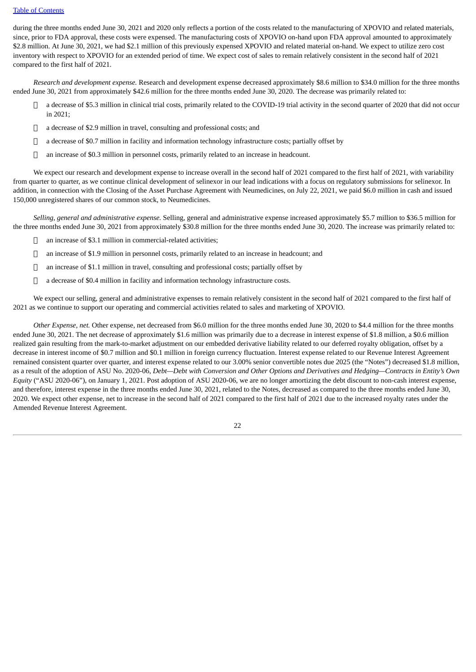during the three months ended June 30, 2021 and 2020 only reflects a portion of the costs related to the manufacturing of XPOVIO and related materials, since, prior to FDA approval, these costs were expensed. The manufacturing costs of XPOVIO on-hand upon FDA approval amounted to approximately \$2.8 million. At June 30, 2021, we had \$2.1 million of this previously expensed XPOVIO and related material on-hand. We expect to utilize zero cost inventory with respect to XPOVIO for an extended period of time. We expect cost of sales to remain relatively consistent in the second half of 2021 compared to the first half of 2021.

*Research and development expense.* Research and development expense decreased approximately \$8.6 million to \$34.0 million for the three months ended June 30, 2021 from approximately \$42.6 million for the three months ended June 30, 2020. The decrease was primarily related to:

- a decrease of \$5.3 million in clinical trial costs, primarily related to the COVID-19 trial activity in the second quarter of 2020 that did not occur in 2021;
- $\Box$  a decrease of \$2.9 million in travel, consulting and professional costs; and
- $\Box$  a decrease of \$0.7 million in facility and information technology infrastructure costs; partially offset by
- an increase of \$0.3 million in personnel costs, primarily related to an increase in headcount.

We expect our research and development expense to increase overall in the second half of 2021 compared to the first half of 2021, with variability from quarter to quarter, as we continue clinical development of selinexor in our lead indications with a focus on regulatory submissions for selinexor. In addition, in connection with the Closing of the Asset Purchase Agreement with Neumedicines, on July 22, 2021, we paid \$6.0 million in cash and issued 150,000 unregistered shares of our common stock, to Neumedicines.

*Selling, general and administrative expense.* Selling, general and administrative expense increased approximately \$5.7 million to \$36.5 million for the three months ended June 30, 2021 from approximately \$30.8 million for the three months ended June 30, 2020. The increase was primarily related to:

- an increase of \$3.1 million in commercial-related activities;
- an increase of \$1.9 million in personnel costs, primarily related to an increase in headcount; and
- an increase of \$1.1 million in travel, consulting and professional costs; partially offset by
- $\Box$  a decrease of \$0.4 million in facility and information technology infrastructure costs.

We expect our selling, general and administrative expenses to remain relatively consistent in the second half of 2021 compared to the first half of 2021 as we continue to support our operating and commercial activities related to sales and marketing of XPOVIO.

*Other Expense, net.* Other expense, net decreased from \$6.0 million for the three months ended June 30, 2020 to \$4.4 million for the three months ended June 30, 2021. The net decrease of approximately \$1.6 million was primarily due to a decrease in interest expense of \$1.8 million, a \$0.6 million realized gain resulting from the mark-to-market adjustment on our embedded derivative liability related to our deferred royalty obligation, offset by a decrease in interest income of \$0.7 million and \$0.1 million in foreign currency fluctuation. Interest expense related to our Revenue Interest Agreement remained consistent quarter over quarter, and interest expense related to our 3.00% senior convertible notes due 2025 (the "Notes") decreased \$1.8 million, as a result of the adoption of ASU No. 2020-06, Debt-Debt with Conversion and Other Options and Derivatives and Hedging-Contracts in Entity's Own *Equity* ("ASU 2020-06"), on January 1, 2021. Post adoption of ASU 2020-06, we are no longer amortizing the debt discount to non-cash interest expense, and therefore, interest expense in the three months ended June 30, 2021, related to the Notes, decreased as compared to the three months ended June 30, 2020. We expect other expense, net to increase in the second half of 2021 compared to the first half of 2021 due to the increased royalty rates under the Amended Revenue Interest Agreement.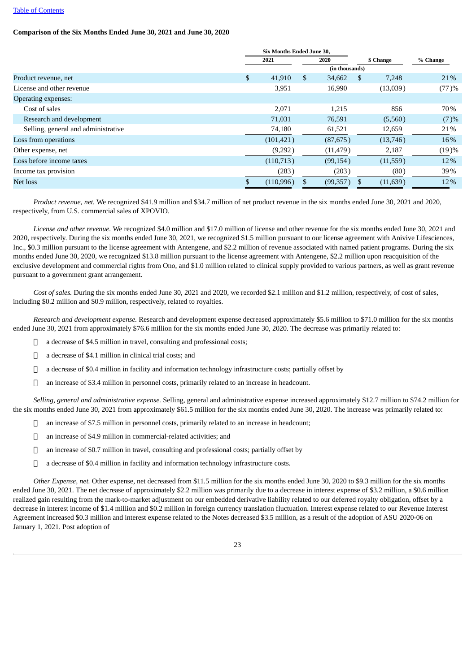#### **Comparison of the Six Months Ended June 30, 2021 and June 30, 2020**

|                                     | <b>Six Months Ended June 30,</b> |            |               |                |              |           |          |  |
|-------------------------------------|----------------------------------|------------|---------------|----------------|--------------|-----------|----------|--|
|                                     |                                  | 2021       | 2020          |                | \$ Change    |           | % Change |  |
|                                     |                                  |            |               | (in thousands) |              |           |          |  |
| Product revenue, net                | \$                               | 41,910     | <sup>\$</sup> | 34,662         | <sup>S</sup> | 7,248     | 21%      |  |
| License and other revenue           |                                  | 3,951      |               | 16,990         |              | (13,039)  | (77)%    |  |
| Operating expenses:                 |                                  |            |               |                |              |           |          |  |
| Cost of sales                       |                                  | 2,071      |               | 1.215          |              | 856       | 70%      |  |
| Research and development            |                                  | 71,031     |               | 76,591         |              | (5,560)   | (7)%     |  |
| Selling, general and administrative |                                  | 74,180     |               | 61,521         |              | 12,659    | 21%      |  |
| Loss from operations                |                                  | (101, 421) |               | (87,675)       |              | (13,746)  | 16%      |  |
| Other expense, net                  |                                  | (9,292)    |               | (11, 479)      |              | 2,187     | (19)%    |  |
| Loss before income taxes            |                                  | (110, 713) |               | (99, 154)      |              | (11,559)  | 12%      |  |
| Income tax provision                |                                  | (283)      |               | (203)          |              | (80)      | 39%      |  |
| Net loss                            |                                  | (110, 996) |               | (99, 357)      | S.           | (11, 639) | 12%      |  |

*Product revenue, net.* We recognized \$41.9 million and \$34.7 million of net product revenue in the six months ended June 30, 2021 and 2020, respectively, from U.S. commercial sales of XPOVIO.

*License and other revenue.* We recognized \$4.0 million and \$17.0 million of license and other revenue for the six months ended June 30, 2021 and 2020, respectively. During the six months ended June 30, 2021, we recognized \$1.5 million pursuant to our license agreement with Anivive Lifesciences, Inc., \$0.3 million pursuant to the license agreement with Antengene, and \$2.2 million of revenue associated with named patient programs. During the six months ended June 30, 2020, we recognized \$13.8 million pursuant to the license agreement with Antengene, \$2.2 million upon reacquisition of the exclusive development and commercial rights from Ono, and \$1.0 million related to clinical supply provided to various partners, as well as grant revenue pursuant to a government grant arrangement.

*Cost of sales.* During the six months ended June 30, 2021 and 2020, we recorded \$2.1 million and \$1.2 million, respectively, of cost of sales, including \$0.2 million and \$0.9 million, respectively, related to royalties.

*Research and development expense.* Research and development expense decreased approximately \$5.6 million to \$71.0 million for the six months ended June 30, 2021 from approximately \$76.6 million for the six months ended June 30, 2020. The decrease was primarily related to:

- a decrease of \$4.5 million in travel, consulting and professional costs;
- a decrease of \$4.1 million in clinical trial costs; and
- a decrease of \$0.4 million in facility and information technology infrastructure costs; partially offset by
- $\Box$  an increase of \$3.4 million in personnel costs, primarily related to an increase in headcount.

*Selling, general and administrative expense.* Selling, general and administrative expense increased approximately \$12.7 million to \$74.2 million for the six months ended June 30, 2021 from approximately \$61.5 million for the six months ended June 30, 2020. The increase was primarily related to:

- an increase of \$7.5 million in personnel costs, primarily related to an increase in headcount;
- an increase of \$4.9 million in commercial-related activities; and
- an increase of \$0.7 million in travel, consulting and professional costs; partially offset by
- $\Box$  a decrease of \$0.4 million in facility and information technology infrastructure costs.

*Other Expense, net.* Other expense, net decreased from \$11.5 million for the six months ended June 30, 2020 to \$9.3 million for the six months ended June 30, 2021. The net decrease of approximately \$2.2 million was primarily due to a decrease in interest expense of \$3.2 million, a \$0.6 million realized gain resulting from the mark-to-market adjustment on our embedded derivative liability related to our deferred royalty obligation, offset by a decrease in interest income of \$1.4 million and \$0.2 million in foreign currency translation fluctuation. Interest expense related to our Revenue Interest Agreement increased \$0.3 million and interest expense related to the Notes decreased \$3.5 million, as a result of the adoption of ASU 2020-06 on January 1, 2021. Post adoption of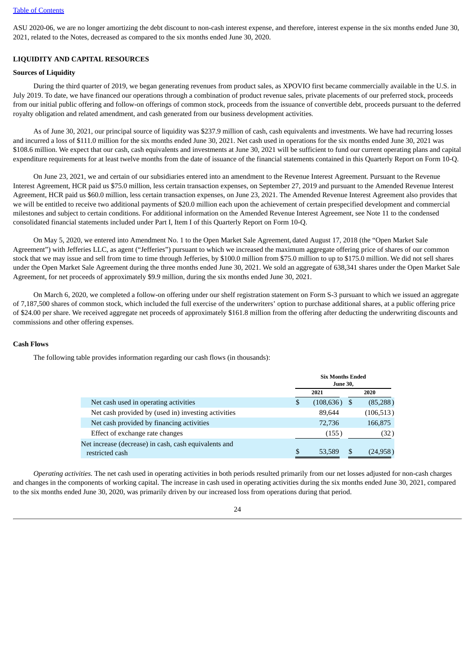ASU 2020-06, we are no longer amortizing the debt discount to non-cash interest expense, and therefore, interest expense in the six months ended June 30, 2021, related to the Notes, decreased as compared to the six months ended June 30, 2020.

#### **LIQUIDITY AND CAPITAL RESOURCES**

#### **Sources of Liquidity**

During the third quarter of 2019, we began generating revenues from product sales, as XPOVIO first became commercially available in the U.S. in July 2019. To date, we have financed our operations through a combination of product revenue sales, private placements of our preferred stock, proceeds from our initial public offering and follow-on offerings of common stock, proceeds from the issuance of convertible debt, proceeds pursuant to the deferred royalty obligation and related amendment, and cash generated from our business development activities.

As of June 30, 2021, our principal source of liquidity was \$237.9 million of cash, cash equivalents and investments. We have had recurring losses and incurred a loss of \$111.0 million for the six months ended June 30, 2021. Net cash used in operations for the six months ended June 30, 2021 was \$108.6 million. We expect that our cash, cash equivalents and investments at June 30, 2021 will be sufficient to fund our current operating plans and capital expenditure requirements for at least twelve months from the date of issuance of the financial statements contained in this Quarterly Report on Form 10-Q.

On June 23, 2021, we and certain of our subsidiaries entered into an amendment to the Revenue Interest Agreement. Pursuant to the Revenue Interest Agreement, HCR paid us \$75.0 million, less certain transaction expenses, on September 27, 2019 and pursuant to the Amended Revenue Interest Agreement, HCR paid us \$60.0 million, less certain transaction expenses, on June 23, 2021. The Amended Revenue Interest Agreement also provides that we will be entitled to receive two additional payments of \$20.0 million each upon the achievement of certain prespecified development and commercial milestones and subject to certain conditions. For additional information on the Amended Revenue Interest Agreement, see Note 11 to the condensed consolidated financial statements included under Part I, Item I of this Quarterly Report on Form 10-Q.

On May 5, 2020, we entered into Amendment No. 1 to the Open Market Sale Agreement, dated August 17, 2018 (the "Open Market Sale Agreement") with Jefferies LLC, as agent ("Jefferies") pursuant to which we increased the maximum aggregate offering price of shares of our common stock that we may issue and sell from time to time through Jefferies, by \$100.0 million from \$75.0 million to up to \$175.0 million. We did not sell shares under the Open Market Sale Agreement during the three months ended June 30, 2021. We sold an aggregate of 638,341 shares under the Open Market Sale Agreement, for net proceeds of approximately \$9.9 million, during the six months ended June 30, 2021.

On March 6, 2020, we completed a follow-on offering under our shelf registration statement on Form S-3 pursuant to which we issued an aggregate of 7,187,500 shares of common stock, which included the full exercise of the underwriters' option to purchase additional shares, at a public offering price of \$24.00 per share. We received aggregate net proceeds of approximately \$161.8 million from the offering after deducting the underwriting discounts and commissions and other offering expenses.

#### **Cash Flows**

The following table provides information regarding our cash flows (in thousands):

|                                                                          |     | <b>Six Months Ended</b><br><b>June 30,</b> |    |            |  |  |  |
|--------------------------------------------------------------------------|-----|--------------------------------------------|----|------------|--|--|--|
|                                                                          |     | 2021                                       |    | 2020       |  |  |  |
| Net cash used in operating activities                                    | \$  | $(108, 636)$ \$                            |    | (85, 288)  |  |  |  |
| Net cash provided by (used in) investing activities                      |     | 89,644                                     |    | (106, 513) |  |  |  |
| Net cash provided by financing activities                                |     | 72,736                                     |    | 166,875    |  |  |  |
| Effect of exchange rate changes                                          |     | (155)                                      |    | (32)       |  |  |  |
| Net increase (decrease) in cash, cash equivalents and<br>restricted cash | \$. | 53,589                                     | \$ | (24, 958)  |  |  |  |

*Operating activities.* The net cash used in operating activities in both periods resulted primarily from our net losses adjusted for non-cash charges and changes in the components of working capital. The increase in cash used in operating activities during the six months ended June 30, 2021, compared to the six months ended June 30, 2020, was primarily driven by our increased loss from operations during that period.

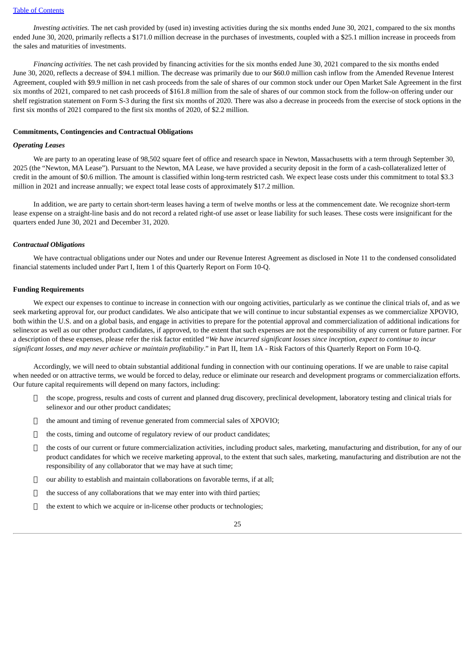*Investing activities.* The net cash provided by (used in) investing activities during the six months ended June 30, 2021, compared to the six months ended June 30, 2020, primarily reflects a \$171.0 million decrease in the purchases of investments, coupled with a \$25.1 million increase in proceeds from the sales and maturities of investments.

*Financing activities.* The net cash provided by financing activities for the six months ended June 30, 2021 compared to the six months ended June 30, 2020, reflects a decrease of \$94.1 million. The decrease was primarily due to our \$60.0 million cash inflow from the Amended Revenue Interest Agreement, coupled with \$9.9 million in net cash proceeds from the sale of shares of our common stock under our Open Market Sale Agreement in the first six months of 2021, compared to net cash proceeds of \$161.8 million from the sale of shares of our common stock from the follow-on offering under our shelf registration statement on Form S-3 during the first six months of 2020. There was also a decrease in proceeds from the exercise of stock options in the first six months of 2021 compared to the first six months of 2020, of \$2.2 million.

#### **Commitments, Contingencies and Contractual Obligations**

#### *Operating Leases*

We are party to an operating lease of 98,502 square feet of office and research space in Newton, Massachusetts with a term through September 30, 2025 (the "Newton, MA Lease"). Pursuant to the Newton, MA Lease, we have provided a security deposit in the form of a cash-collateralized letter of credit in the amount of \$0.6 million. The amount is classified within long-term restricted cash. We expect lease costs under this commitment to total \$3.3 million in 2021 and increase annually; we expect total lease costs of approximately \$17.2 million.

In addition, we are party to certain short-term leases having a term of twelve months or less at the commencement date. We recognize short-term lease expense on a straight-line basis and do not record a related right-of use asset or lease liability for such leases. These costs were insignificant for the quarters ended June 30, 2021 and December 31, 2020.

#### *Contractual Obligations*

We have contractual obligations under our Notes and under our Revenue Interest Agreement as disclosed in Note 11 to the condensed consolidated financial statements included under Part I, Item 1 of this Quarterly Report on Form 10-Q.

#### **Funding Requirements**

We expect our expenses to continue to increase in connection with our ongoing activities, particularly as we continue the clinical trials of, and as we seek marketing approval for, our product candidates. We also anticipate that we will continue to incur substantial expenses as we commercialize XPOVIO, both within the U.S. and on a global basis, and engage in activities to prepare for the potential approval and commercialization of additional indications for selinexor as well as our other product candidates, if approved, to the extent that such expenses are not the responsibility of any current or future partner. For a description of these expenses, please refer the risk factor entitled "We have incurred significant losses since inception, expect to continue to incur *significant losses, and may never achieve or maintain profitability*." in Part II, Item 1A - Risk Factors of this Quarterly Report on Form 10-Q.

Accordingly, we will need to obtain substantial additional funding in connection with our continuing operations. If we are unable to raise capital when needed or on attractive terms, we would be forced to delay, reduce or eliminate our research and development programs or commercialization efforts. Our future capital requirements will depend on many factors, including:

- $\Box$  the scope, progress, results and costs of current and planned drug discovery, preclinical development, laboratory testing and clinical trials for selinexor and our other product candidates;
- the amount and timing of revenue generated from commercial sales of XPOVIO;
- $\Box$  the costs, timing and outcome of regulatory review of our product candidates;
- $\Box$  the costs of our current or future commercialization activities, including product sales, marketing, manufacturing and distribution, for any of our product candidates for which we receive marketing approval, to the extent that such sales, marketing, manufacturing and distribution are not the responsibility of any collaborator that we may have at such time;
- $\Box$  our ability to establish and maintain collaborations on favorable terms, if at all:
- the success of any collaborations that we may enter into with third parties;
- $\Box$  the extent to which we acquire or in-license other products or technologies;

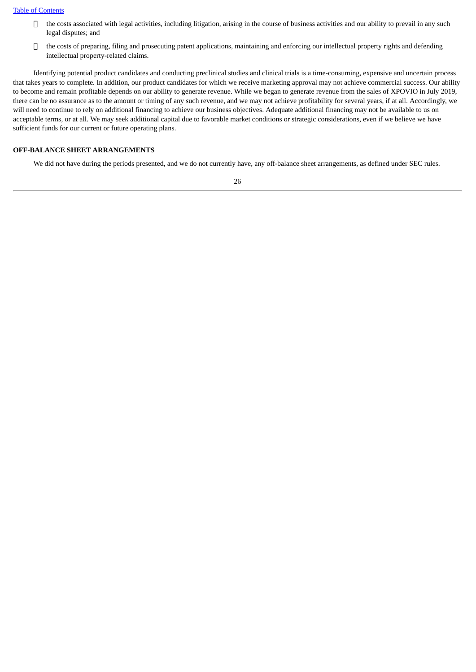- $\Box$  the costs associated with legal activities, including litigation, arising in the course of business activities and our ability to prevail in any such legal disputes; and
- the costs of preparing, filing and prosecuting patent applications, maintaining and enforcing our intellectual property rights and defending intellectual property-related claims.

Identifying potential product candidates and conducting preclinical studies and clinical trials is a time-consuming, expensive and uncertain process that takes years to complete. In addition, our product candidates for which we receive marketing approval may not achieve commercial success. Our ability to become and remain profitable depends on our ability to generate revenue. While we began to generate revenue from the sales of XPOVIO in July 2019, there can be no assurance as to the amount or timing of any such revenue, and we may not achieve profitability for several years, if at all. Accordingly, we will need to continue to rely on additional financing to achieve our business objectives. Adequate additional financing may not be available to us on acceptable terms, or at all. We may seek additional capital due to favorable market conditions or strategic considerations, even if we believe we have sufficient funds for our current or future operating plans.

#### **OFF-BALANCE SHEET ARRANGEMENTS**

We did not have during the periods presented, and we do not currently have, any off-balance sheet arrangements, as defined under SEC rules.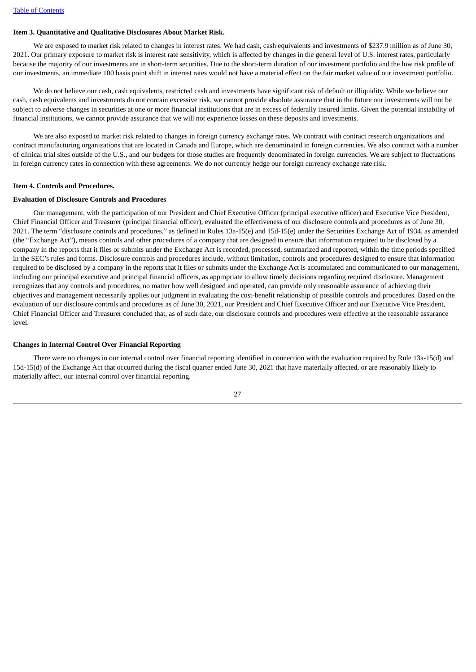#### <span id="page-26-0"></span>**Item 3. Quantitative and Qualitative Disclosures About Market Risk.**

We are exposed to market risk related to changes in interest rates. We had cash, cash equivalents and investments of \$237.9 million as of June 30, 2021. Our primary exposure to market risk is interest rate sensitivity, which is affected by changes in the general level of U.S. interest rates, particularly because the majority of our investments are in short-term securities. Due to the short-term duration of our investment portfolio and the low risk profile of our investments, an immediate 100 basis point shift in interest rates would not have a material effect on the fair market value of our investment portfolio.

We do not believe our cash, cash equivalents, restricted cash and investments have significant risk of default or illiquidity. While we believe our cash, cash equivalents and investments do not contain excessive risk, we cannot provide absolute assurance that in the future our investments will not be subject to adverse changes in securities at one or more financial institutions that are in excess of federally insured limits. Given the potential instability of financial institutions, we cannot provide assurance that we will not experience losses on these deposits and investments.

We are also exposed to market risk related to changes in foreign currency exchange rates. We contract with contract research organizations and contract manufacturing organizations that are located in Canada and Europe, which are denominated in foreign currencies. We also contract with a number of clinical trial sites outside of the U.S., and our budgets for those studies are frequently denominated in foreign currencies. We are subject to fluctuations in foreign currency rates in connection with these agreements. We do not currently hedge our foreign currency exchange rate risk.

#### <span id="page-26-1"></span>**Item 4. Controls and Procedures.**

#### **Evaluation of Disclosure Controls and Procedures**

Our management, with the participation of our President and Chief Executive Officer (principal executive officer) and Executive Vice President, Chief Financial Officer and Treasurer (principal financial officer), evaluated the effectiveness of our disclosure controls and procedures as of June 30, 2021. The term "disclosure controls and procedures," as defined in Rules 13a-15(e) and 15d-15(e) under the Securities Exchange Act of 1934, as amended (the "Exchange Act"), means controls and other procedures of a company that are designed to ensure that information required to be disclosed by a company in the reports that it files or submits under the Exchange Act is recorded, processed, summarized and reported, within the time periods specified in the SEC's rules and forms. Disclosure controls and procedures include, without limitation, controls and procedures designed to ensure that information required to be disclosed by a company in the reports that it files or submits under the Exchange Act is accumulated and communicated to our management, including our principal executive and principal financial officers, as appropriate to allow timely decisions regarding required disclosure. Management recognizes that any controls and procedures, no matter how well designed and operated, can provide only reasonable assurance of achieving their objectives and management necessarily applies our judgment in evaluating the cost-benefit relationship of possible controls and procedures. Based on the evaluation of our disclosure controls and procedures as of June 30, 2021, our President and Chief Executive Officer and our Executive Vice President, Chief Financial Officer and Treasurer concluded that, as of such date, our disclosure controls and procedures were effective at the reasonable assurance level.

#### **Changes in Internal Control Over Financial Reporting**

There were no changes in our internal control over financial reporting identified in connection with the evaluation required by Rule 13a-15(d) and 15d-15(d) of the Exchange Act that occurred during the fiscal quarter ended June 30, 2021 that have materially affected, or are reasonably likely to materially affect, our internal control over financial reporting.

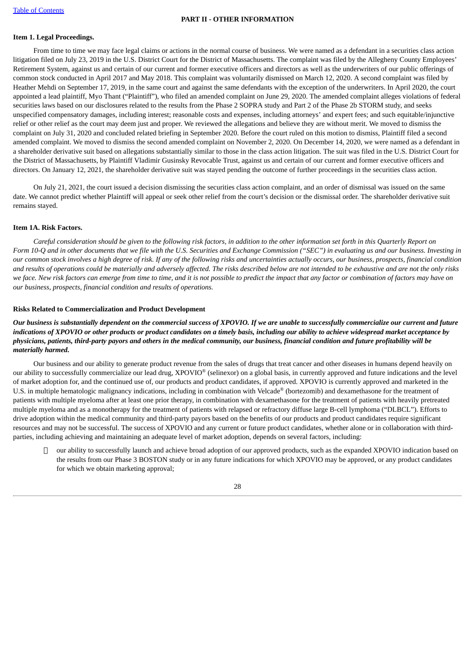#### **PART II - OTHER INFORMATION**

#### <span id="page-27-1"></span><span id="page-27-0"></span>**Item 1. Legal Proceedings.**

From time to time we may face legal claims or actions in the normal course of business. We were named as a defendant in a securities class action litigation filed on July 23, 2019 in the U.S. District Court for the District of Massachusetts. The complaint was filed by the Allegheny County Employees' Retirement System, against us and certain of our current and former executive officers and directors as well as the underwriters of our public offerings of common stock conducted in April 2017 and May 2018. This complaint was voluntarily dismissed on March 12, 2020. A second complaint was filed by Heather Mehdi on September 17, 2019, in the same court and against the same defendants with the exception of the underwriters. In April 2020, the court appointed a lead plaintiff, Myo Thant ("Plaintiff"), who filed an amended complaint on June 29, 2020. The amended complaint alleges violations of federal securities laws based on our disclosures related to the results from the Phase 2 SOPRA study and Part 2 of the Phase 2b STORM study, and seeks unspecified compensatory damages, including interest; reasonable costs and expenses, including attorneys' and expert fees; and such equitable/injunctive relief or other relief as the court may deem just and proper. We reviewed the allegations and believe they are without merit. We moved to dismiss the complaint on July 31, 2020 and concluded related briefing in September 2020. Before the court ruled on this motion to dismiss, Plaintiff filed a second amended complaint. We moved to dismiss the second amended complaint on November 2, 2020. On December 14, 2020, we were named as a defendant in a shareholder derivative suit based on allegations substantially similar to those in the class action litigation. The suit was filed in the U.S. District Court for the District of Massachusetts, by Plaintiff Vladimir Gusinsky Revocable Trust, against us and certain of our current and former executive officers and directors. On January 12, 2021, the shareholder derivative suit was stayed pending the outcome of further proceedings in the securities class action.

On July 21, 2021, the court issued a decision dismissing the securities class action complaint, and an order of dismissal was issued on the same date. We cannot predict whether Plaintiff will appeal or seek other relief from the court's decision or the dismissal order. The shareholder derivative suit remains stayed.

#### <span id="page-27-2"></span>**Item 1A. Risk Factors.**

Careful consideration should be aiven to the followina risk factors, in addition to the other information set forth in this Quarterly Report on Form 10-Q and in other documents that we file with the U.S. Securities and Exchange Commission ("SEC") in evaluating us and our business. Investing in our common stock involves a high degree of risk. If any of the following risks and uncertainties actually occurs, our business, prospects, financial condition and results of operations could be materially and adversely affected. The risks described below are not intended to be exhaustive and are not the only risks we face. New risk factors can emerge from time to time, and it is not possible to predict the impact that any factor or combination of factors may have on *our business, prospects, financial condition and results of operations.*

#### **Risks Related to Commercialization and Product Development**

Our business is substantially dependent on the commercial success of XPOVIO. If we are unable to successfully commercialize our current and future indications of XPOVIO or other products or product candidates on a timely basis, including our ability to achieve widespread market acceptance by physicians, patients, third-party payors and others in the medical community, our business, financial condition and future profitability will be *materially harmed.*

Our business and our ability to generate product revenue from the sales of drugs that treat cancer and other diseases in humans depend heavily on our ability to successfully commercialize our lead drug, XPOVIO ® (selinexor) on a global basis, in currently approved and future indications and the level of market adoption for, and the continued use of, our products and product candidates, if approved. XPOVIO is currently approved and marketed in the U.S. in multiple hematologic malignancy indications, including in combination with Velcade® (bortezomib) and dexamethasone for the treatment of patients with multiple myeloma after at least one prior therapy, in combination with dexamethasone for the treatment of patients with heavily pretreated multiple myeloma and as a monotherapy for the treatment of patients with relapsed or refractory diffuse large B-cell lymphoma ("DLBCL"). Efforts to drive adoption within the medical community and third-party payors based on the benefits of our products and product candidates require significant resources and may not be successful. The success of XPOVIO and any current or future product candidates, whether alone or in collaboration with thirdparties, including achieving and maintaining an adequate level of market adoption, depends on several factors, including:

 our ability to successfully launch and achieve broad adoption of our approved products, such as the expanded XPOVIO indication based on the results from our Phase 3 BOSTON study or in any future indications for which XPOVIO may be approved, or any product candidates for which we obtain marketing approval;

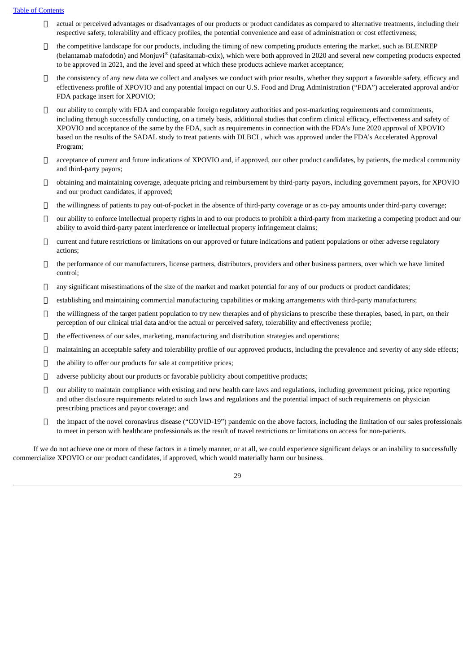- $\Box$  actual or perceived advantages or disadvantages of our products or product candidates as compared to alternative treatments, including their respective safety, tolerability and efficacy profiles, the potential convenience and ease of administration or cost effectiveness;
- $\Box$  the competitive landscape for our products, including the timing of new competing products entering the market, such as BLENREP (belantamab mafodotin) and Monjuvi® (tafasitamab-cxix), which were both approved in 2020 and several new competing products expected to be approved in 2021, and the level and speed at which these products achieve market acceptance;
- $\Box$  the consistency of any new data we collect and analyses we conduct with prior results, whether they support a favorable safety, efficacy and effectiveness profile of XPOVIO and any potential impact on our U.S. Food and Drug Administration ("FDA") accelerated approval and/or FDA package insert for XPOVIO;
- $\Box$  our ability to comply with FDA and comparable foreign regulatory authorities and post-marketing requirements and commitments, including through successfully conducting, on a timely basis, additional studies that confirm clinical efficacy, effectiveness and safety of XPOVIO and acceptance of the same by the FDA, such as requirements in connection with the FDA's June 2020 approval of XPOVIO based on the results of the SADAL study to treat patients with DLBCL, which was approved under the FDA's Accelerated Approval Program;
- $\Box$  acceptance of current and future indications of XPOVIO and, if approved, our other product candidates, by patients, the medical community and third-party payors;
- obtaining and maintaining coverage, adequate pricing and reimbursement by third-party payors, including government payors, for XPOVIO and our product candidates, if approved;
- the willingness of patients to pay out-of-pocket in the absence of third-party coverage or as co-pay amounts under third-party coverage;
- $\Box$  our ability to enforce intellectual property rights in and to our products to prohibit a third-party from marketing a competing product and our ability to avoid third-party patent interference or intellectual property infringement claims;
- $\Box$  current and future restrictions or limitations on our approved or future indications and patient populations or other adverse regulatory actions;
- $\Box$  the performance of our manufacturers, license partners, distributors, providers and other business partners, over which we have limited control;
- $\Box$  any significant misestimations of the size of the market and market potential for any of our products or product candidates;
- $\Box$  establishing and maintaining commercial manufacturing capabilities or making arrangements with third-party manufacturers;
- $\Box$  the willingness of the target patient population to try new therapies and of physicians to prescribe these therapies, based, in part, on their perception of our clinical trial data and/or the actual or perceived safety, tolerability and effectiveness profile;
- the effectiveness of our sales, marketing, manufacturing and distribution strategies and operations;
- $\Box$  maintaining an acceptable safety and tolerability profile of our approved products, including the prevalence and severity of any side effects;
- $\Box$  the ability to offer our products for sale at competitive prices;
- $\Box$  adverse publicity about our products or favorable publicity about competitive products;
- $\Box$  our ability to maintain compliance with existing and new health care laws and regulations, including government pricing, price reporting and other disclosure requirements related to such laws and regulations and the potential impact of such requirements on physician prescribing practices and payor coverage; and
- $\Box$  the impact of the novel coronavirus disease ("COVID-19") pandemic on the above factors, including the limitation of our sales professionals to meet in person with healthcare professionals as the result of travel restrictions or limitations on access for non-patients.

If we do not achieve one or more of these factors in a timely manner, or at all, we could experience significant delays or an inability to successfully commercialize XPOVIO or our product candidates, if approved, which would materially harm our business.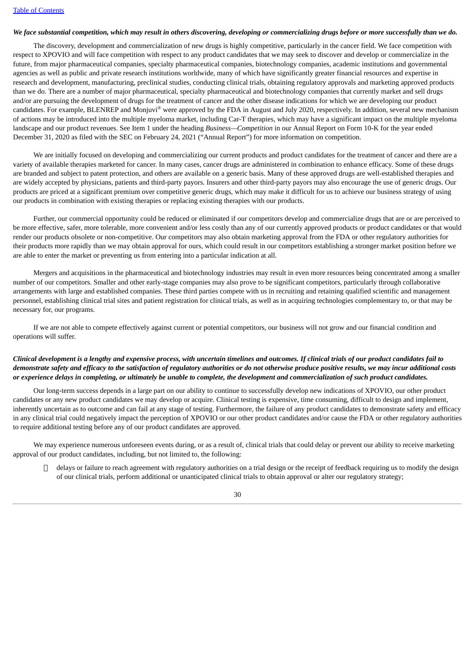#### We face substantial competition, which may result in others discovering, developing or commercializing drugs before or more successfully than we do.

The discovery, development and commercialization of new drugs is highly competitive, particularly in the cancer field. We face competition with respect to XPOVIO and will face competition with respect to any product candidates that we may seek to discover and develop or commercialize in the future, from major pharmaceutical companies, specialty pharmaceutical companies, biotechnology companies, academic institutions and governmental agencies as well as public and private research institutions worldwide, many of which have significantly greater financial resources and expertise in research and development, manufacturing, preclinical studies, conducting clinical trials, obtaining regulatory approvals and marketing approved products than we do. There are a number of major pharmaceutical, specialty pharmaceutical and biotechnology companies that currently market and sell drugs and/or are pursuing the development of drugs for the treatment of cancer and the other disease indications for which we are developing our product candidates. For example, BLENREP and Monjuvi® were approved by the FDA in August and July 2020, respectively. In addition, several new mechanism of actions may be introduced into the multiple myeloma market, including Car-T therapies, which may have a significant impact on the multiple myeloma landscape and our product revenues. See Item 1 under the heading *Business—Competition* in our Annual Report on Form 10-K for the year ended December 31, 2020 as filed with the SEC on February 24, 2021 ("Annual Report") for more information on competition.

We are initially focused on developing and commercializing our current products and product candidates for the treatment of cancer and there are a variety of available therapies marketed for cancer. In many cases, cancer drugs are administered in combination to enhance efficacy. Some of these drugs are branded and subject to patent protection, and others are available on a generic basis. Many of these approved drugs are well-established therapies and are widely accepted by physicians, patients and third-party payors. Insurers and other third-party payors may also encourage the use of generic drugs. Our products are priced at a significant premium over competitive generic drugs, which may make it difficult for us to achieve our business strategy of using our products in combination with existing therapies or replacing existing therapies with our products.

Further, our commercial opportunity could be reduced or eliminated if our competitors develop and commercialize drugs that are or are perceived to be more effective, safer, more tolerable, more convenient and/or less costly than any of our currently approved products or product candidates or that would render our products obsolete or non-competitive. Our competitors may also obtain marketing approval from the FDA or other regulatory authorities for their products more rapidly than we may obtain approval for ours, which could result in our competitors establishing a stronger market position before we are able to enter the market or preventing us from entering into a particular indication at all.

Mergers and acquisitions in the pharmaceutical and biotechnology industries may result in even more resources being concentrated among a smaller number of our competitors. Smaller and other early-stage companies may also prove to be significant competitors, particularly through collaborative arrangements with large and established companies. These third parties compete with us in recruiting and retaining qualified scientific and management personnel, establishing clinical trial sites and patient registration for clinical trials, as well as in acquiring technologies complementary to, or that may be necessary for, our programs.

If we are not able to compete effectively against current or potential competitors, our business will not grow and our financial condition and operations will suffer.

## Clinical development is a lengthy and expensive process, with uncertain timelines and outcomes. If clinical trials of our product candidates fail to demonstrate safety and efficacy to the satisfaction of regulatory authorities or do not otherwise produce positive results, we may incur additional costs or experience delays in completing, or ultimately be unable to complete, the development and commercialization of such product candidates.

Our long-term success depends in a large part on our ability to continue to successfully develop new indications of XPOVIO, our other product candidates or any new product candidates we may develop or acquire. Clinical testing is expensive, time consuming, difficult to design and implement, inherently uncertain as to outcome and can fail at any stage of testing. Furthermore, the failure of any product candidates to demonstrate safety and efficacy in any clinical trial could negatively impact the perception of XPOVIO or our other product candidates and/or cause the FDA or other regulatory authorities to require additional testing before any of our product candidates are approved.

We may experience numerous unforeseen events during, or as a result of, clinical trials that could delay or prevent our ability to receive marketing approval of our product candidates, including, but not limited to, the following:

 $\Box$  delays or failure to reach agreement with regulatory authorities on a trial design or the receipt of feedback requiring us to modify the design of our clinical trials, perform additional or unanticipated clinical trials to obtain approval or alter our regulatory strategy;

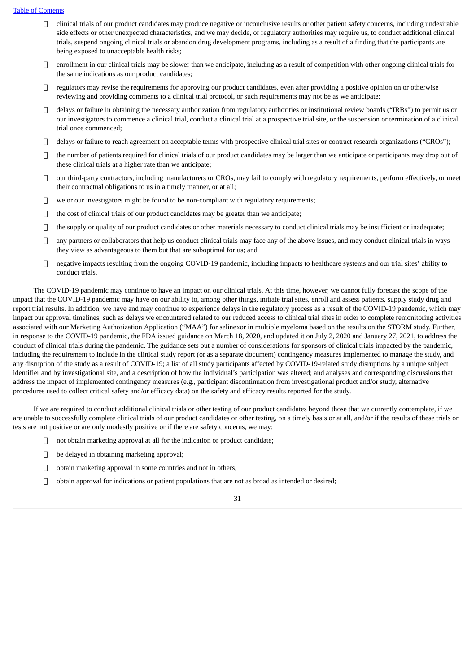- $\Box$  clinical trials of our product candidates may produce negative or inconclusive results or other patient safety concerns, including undesirable side effects or other unexpected characteristics, and we may decide, or regulatory authorities may require us, to conduct additional clinical trials, suspend ongoing clinical trials or abandon drug development programs, including as a result of a finding that the participants are being exposed to unacceptable health risks;
- $\Box$  enrollment in our clinical trials may be slower than we anticipate, including as a result of competition with other ongoing clinical trials for the same indications as our product candidates;
- $\Box$  regulators may revise the requirements for approving our product candidates, even after providing a positive opinion on or otherwise reviewing and providing comments to a clinical trial protocol, or such requirements may not be as we anticipate;
- $\Box$  delays or failure in obtaining the necessary authorization from regulatory authorities or institutional review boards ("IRBs") to permit us or our investigators to commence a clinical trial, conduct a clinical trial at a prospective trial site, or the suspension or termination of a clinical trial once commenced;
- delays or failure to reach agreement on acceptable terms with prospective clinical trial sites or contract research organizations ("CROs");
- $\Box$  the number of patients required for clinical trials of our product candidates may be larger than we anticipate or participants may drop out of these clinical trials at a higher rate than we anticipate;
- our third-party contractors, including manufacturers or CROs, may fail to comply with regulatory requirements, perform effectively, or meet their contractual obligations to us in a timely manner, or at all;
- $\Box$  we or our investigators might be found to be non-compliant with regulatory requirements;
- the cost of clinical trials of our product candidates may be greater than we anticipate;
- $\Box$  the supply or quality of our product candidates or other materials necessary to conduct clinical trials may be insufficient or inadequate;
- $\Box$  any partners or collaborators that help us conduct clinical trials may face any of the above issues, and may conduct clinical trials in ways they view as advantageous to them but that are suboptimal for us; and
- negative impacts resulting from the ongoing COVID-19 pandemic, including impacts to healthcare systems and our trial sites' ability to conduct trials.

The COVID-19 pandemic may continue to have an impact on our clinical trials. At this time, however, we cannot fully forecast the scope of the impact that the COVID-19 pandemic may have on our ability to, among other things, initiate trial sites, enroll and assess patients, supply study drug and report trial results. In addition, we have and may continue to experience delays in the regulatory process as a result of the COVID-19 pandemic, which may impact our approval timelines, such as delays we encountered related to our reduced access to clinical trial sites in order to complete remonitoring activities associated with our Marketing Authorization Application ("MAA") for selinexor in multiple myeloma based on the results on the STORM study. Further, in response to the COVID-19 pandemic, the FDA issued guidance on March 18, 2020, and updated it on July 2, 2020 and January 27, 2021, to address the conduct of clinical trials during the pandemic. The guidance sets out a number of considerations for sponsors of clinical trials impacted by the pandemic, including the requirement to include in the clinical study report (or as a separate document) contingency measures implemented to manage the study, and any disruption of the study as a result of COVID-19; a list of all study participants affected by COVID-19-related study disruptions by a unique subject identifier and by investigational site, and a description of how the individual's participation was altered; and analyses and corresponding discussions that address the impact of implemented contingency measures (e.g., participant discontinuation from investigational product and/or study, alternative procedures used to collect critical safety and/or efficacy data) on the safety and efficacy results reported for the study.

If we are required to conduct additional clinical trials or other testing of our product candidates beyond those that we currently contemplate, if we are unable to successfully complete clinical trials of our product candidates or other testing, on a timely basis or at all, and/or if the results of these trials or tests are not positive or are only modestly positive or if there are safety concerns, we may:

- not obtain marketing approval at all for the indication or product candidate;
- □ be delayed in obtaining marketing approval;
- $\Box$  obtain marketing approval in some countries and not in others;
- obtain approval for indications or patient populations that are not as broad as intended or desired;

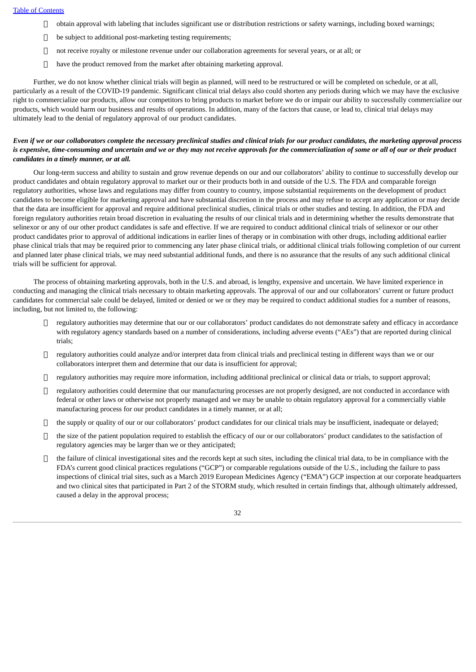- $\Box$  obtain approval with labeling that includes significant use or distribution restrictions or safety warnings, including boxed warnings;
- $\Box$  be subject to additional post-marketing testing requirements;
- not receive royalty or milestone revenue under our collaboration agreements for several years, or at all; or
- $\Box$  have the product removed from the market after obtaining marketing approval.

Further, we do not know whether clinical trials will begin as planned, will need to be restructured or will be completed on schedule, or at all, particularly as a result of the COVID-19 pandemic. Significant clinical trial delays also could shorten any periods during which we may have the exclusive right to commercialize our products, allow our competitors to bring products to market before we do or impair our ability to successfully commercialize our products, which would harm our business and results of operations. In addition, many of the factors that cause, or lead to, clinical trial delays may ultimately lead to the denial of regulatory approval of our product candidates.

## Even if we or our collaborators complete the necessary preclinical studies and clinical trials for our product candidates, the marketing approval process is expensive, time-consuming and uncertain and we or they may not receive approvals for the commercialization of some or all of our or their product *candidates in a timely manner, or at all.*

Our long-term success and ability to sustain and grow revenue depends on our and our collaborators' ability to continue to successfully develop our product candidates and obtain regulatory approval to market our or their products both in and outside of the U.S. The FDA and comparable foreign regulatory authorities, whose laws and regulations may differ from country to country, impose substantial requirements on the development of product candidates to become eligible for marketing approval and have substantial discretion in the process and may refuse to accept any application or may decide that the data are insufficient for approval and require additional preclinical studies, clinical trials or other studies and testing. In addition, the FDA and foreign regulatory authorities retain broad discretion in evaluating the results of our clinical trials and in determining whether the results demonstrate that selinexor or any of our other product candidates is safe and effective. If we are required to conduct additional clinical trials of selinexor or our other product candidates prior to approval of additional indications in earlier lines of therapy or in combination with other drugs, including additional earlier phase clinical trials that may be required prior to commencing any later phase clinical trials, or additional clinical trials following completion of our current and planned later phase clinical trials, we may need substantial additional funds, and there is no assurance that the results of any such additional clinical trials will be sufficient for approval.

The process of obtaining marketing approvals, both in the U.S. and abroad, is lengthy, expensive and uncertain. We have limited experience in conducting and managing the clinical trials necessary to obtain marketing approvals. The approval of our and our collaborators' current or future product candidates for commercial sale could be delayed, limited or denied or we or they may be required to conduct additional studies for a number of reasons, including, but not limited to, the following:

- $\Box$  regulatory authorities may determine that our or our collaborators' product candidates do not demonstrate safety and efficacy in accordance with regulatory agency standards based on a number of considerations, including adverse events ("AEs") that are reported during clinical trials;
- $\Box$  regulatory authorities could analyze and/or interpret data from clinical trials and preclinical testing in different ways than we or our collaborators interpret them and determine that our data is insufficient for approval;
- $\Box$  regulatory authorities may require more information, including additional preclinical or clinical data or trials, to support approval;
- $\Box$  regulatory authorities could determine that our manufacturing processes are not properly designed, are not conducted in accordance with federal or other laws or otherwise not properly managed and we may be unable to obtain regulatory approval for a commercially viable manufacturing process for our product candidates in a timely manner, or at all;
- $\Box$  the supply or quality of our or our collaborators' product candidates for our clinical trials may be insufficient, inadequate or delayed;
- $\Box$  the size of the patient population required to establish the efficacy of our or our collaborators' product candidates to the satisfaction of regulatory agencies may be larger than we or they anticipated;
- $\Box$  the failure of clinical investigational sites and the records kept at such sites, including the clinical trial data, to be in compliance with the FDA's current good clinical practices regulations ("GCP") or comparable regulations outside of the U.S., including the failure to pass inspections of clinical trial sites, such as a March 2019 European Medicines Agency ("EMA") GCP inspection at our corporate headquarters and two clinical sites that participated in Part 2 of the STORM study, which resulted in certain findings that, although ultimately addressed, caused a delay in the approval process;

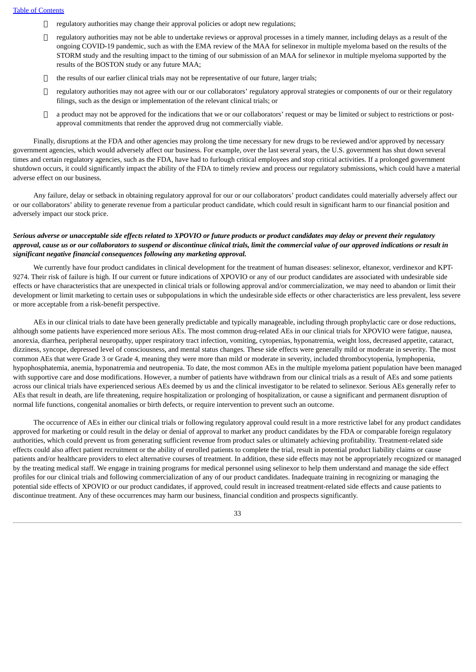- $\Box$  regulatory authorities may change their approval policies or adopt new regulations;
- $\Box$  regulatory authorities may not be able to undertake reviews or approval processes in a timely manner, including delays as a result of the ongoing COVID-19 pandemic, such as with the EMA review of the MAA for selinexor in multiple myeloma based on the results of the STORM study and the resulting impact to the timing of our submission of an MAA for selinexor in multiple myeloma supported by the results of the BOSTON study or any future MAA;
- the results of our earlier clinical trials may not be representative of our future, larger trials;
- $\Box$  regulatory authorities may not agree with our or our collaborators' regulatory approval strategies or components of our or their regulatory filings, such as the design or implementation of the relevant clinical trials; or
- $\Box$  a product may not be approved for the indications that we or our collaborators' request or may be limited or subject to restrictions or postapproval commitments that render the approved drug not commercially viable.

Finally, disruptions at the FDA and other agencies may prolong the time necessary for new drugs to be reviewed and/or approved by necessary government agencies, which would adversely affect our business. For example, over the last several years, the U.S. government has shut down several times and certain regulatory agencies, such as the FDA, have had to furlough critical employees and stop critical activities. If a prolonged government shutdown occurs, it could significantly impact the ability of the FDA to timely review and process our regulatory submissions, which could have a material adverse effect on our business.

Any failure, delay or setback in obtaining regulatory approval for our or our collaborators' product candidates could materially adversely affect our or our collaborators' ability to generate revenue from a particular product candidate, which could result in significant harm to our financial position and adversely impact our stock price.

## Serious adverse or unacceptable side effects related to XPOVIO or future products or product candidates may delay or prevent their regulatory approval, cause us or our collaborators to suspend or discontinue clinical trials, limit the commercial value of our approved indications or result in *significant negative financial consequences following any marketing approval.*

We currently have four product candidates in clinical development for the treatment of human diseases: selinexor, eltanexor, verdinexor and KPT-9274. Their risk of failure is high. If our current or future indications of XPOVIO or any of our product candidates are associated with undesirable side effects or have characteristics that are unexpected in clinical trials or following approval and/or commercialization, we may need to abandon or limit their development or limit marketing to certain uses or subpopulations in which the undesirable side effects or other characteristics are less prevalent, less severe or more acceptable from a risk-benefit perspective.

AEs in our clinical trials to date have been generally predictable and typically manageable, including through prophylactic care or dose reductions, although some patients have experienced more serious AEs. The most common drug-related AEs in our clinical trials for XPOVIO were fatigue, nausea, anorexia, diarrhea, peripheral neuropathy, upper respiratory tract infection, vomiting, cytopenias, hyponatremia, weight loss, decreased appetite, cataract, dizziness, syncope, depressed level of consciousness, and mental status changes. These side effects were generally mild or moderate in severity. The most common AEs that were Grade 3 or Grade 4, meaning they were more than mild or moderate in severity, included thrombocytopenia, lymphopenia, hypophosphatemia, anemia, hyponatremia and neutropenia. To date, the most common AEs in the multiple myeloma patient population have been managed with supportive care and dose modifications. However, a number of patients have withdrawn from our clinical trials as a result of AEs and some patients across our clinical trials have experienced serious AEs deemed by us and the clinical investigator to be related to selinexor. Serious AEs generally refer to AEs that result in death, are life threatening, require hospitalization or prolonging of hospitalization, or cause a significant and permanent disruption of normal life functions, congenital anomalies or birth defects, or require intervention to prevent such an outcome.

The occurrence of AEs in either our clinical trials or following regulatory approval could result in a more restrictive label for any product candidates approved for marketing or could result in the delay or denial of approval to market any product candidates by the FDA or comparable foreign regulatory authorities, which could prevent us from generating sufficient revenue from product sales or ultimately achieving profitability. Treatment-related side effects could also affect patient recruitment or the ability of enrolled patients to complete the trial, result in potential product liability claims or cause patients and/or healthcare providers to elect alternative courses of treatment. In addition, these side effects may not be appropriately recognized or managed by the treating medical staff. We engage in training programs for medical personnel using selinexor to help them understand and manage the side effect profiles for our clinical trials and following commercialization of any of our product candidates. Inadequate training in recognizing or managing the potential side effects of XPOVIO or our product candidates, if approved, could result in increased treatment-related side effects and cause patients to discontinue treatment. Any of these occurrences may harm our business, financial condition and prospects significantly.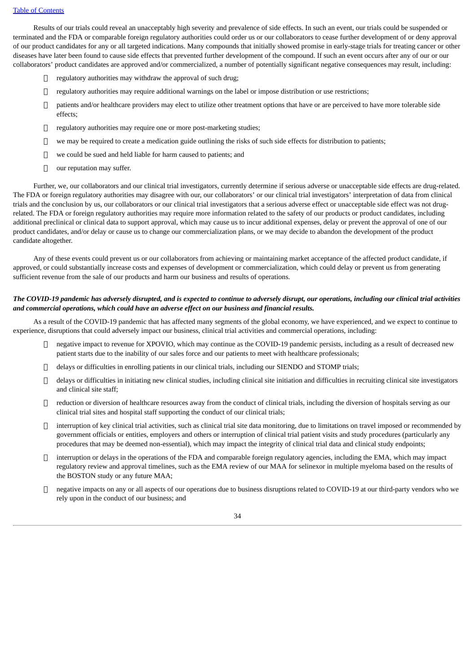Results of our trials could reveal an unacceptably high severity and prevalence of side effects. In such an event, our trials could be suspended or terminated and the FDA or comparable foreign regulatory authorities could order us or our collaborators to cease further development of or deny approval of our product candidates for any or all targeted indications. Many compounds that initially showed promise in early-stage trials for treating cancer or other diseases have later been found to cause side effects that prevented further development of the compound. If such an event occurs after any of our or our collaborators' product candidates are approved and/or commercialized, a number of potentially significant negative consequences may result, including:

- $\Box$  regulatory authorities may withdraw the approval of such drug;
- $\Box$  regulatory authorities may require additional warnings on the label or impose distribution or use restrictions;
- $\Box$  patients and/or healthcare providers may elect to utilize other treatment options that have or are perceived to have more tolerable side effects;
- $\Box$  regulatory authorities may require one or more post-marketing studies;
- $\Box$  we may be required to create a medication guide outlining the risks of such side effects for distribution to patients;
- $\Box$  we could be sued and held liable for harm caused to patients; and
- $\Box$  our reputation may suffer.

Further, we, our collaborators and our clinical trial investigators, currently determine if serious adverse or unacceptable side effects are drug-related. The FDA or foreign regulatory authorities may disagree with our, our collaborators' or our clinical trial investigators' interpretation of data from clinical trials and the conclusion by us, our collaborators or our clinical trial investigators that a serious adverse effect or unacceptable side effect was not drugrelated. The FDA or foreign regulatory authorities may require more information related to the safety of our products or product candidates, including additional preclinical or clinical data to support approval, which may cause us to incur additional expenses, delay or prevent the approval of one of our product candidates, and/or delay or cause us to change our commercialization plans, or we may decide to abandon the development of the product candidate altogether.

Any of these events could prevent us or our collaborators from achieving or maintaining market acceptance of the affected product candidate, if approved, or could substantially increase costs and expenses of development or commercialization, which could delay or prevent us from generating sufficient revenue from the sale of our products and harm our business and results of operations.

## The COVID-19 pandemic has adversely disrupted, and is expected to continue to adversely disrupt, our operations, including our clinical trial activities *and commercial operations, which could have an adverse effect on our business and financial results.*

As a result of the COVID-19 pandemic that has affected many segments of the global economy, we have experienced, and we expect to continue to experience, disruptions that could adversely impact our business, clinical trial activities and commercial operations, including:

- negative impact to revenue for XPOVIO, which may continue as the COVID-19 pandemic persists, including as a result of decreased new patient starts due to the inability of our sales force and our patients to meet with healthcare professionals;
- delays or difficulties in enrolling patients in our clinical trials, including our SIENDO and STOMP trials;
- $\Box$  delays or difficulties in initiating new clinical studies, including clinical site initiation and difficulties in recruiting clinical site investigators and clinical site staff;
- $\Box$  reduction or diversion of healthcare resources away from the conduct of clinical trials, including the diversion of hospitals serving as our clinical trial sites and hospital staff supporting the conduct of our clinical trials;
- $\Box$  interruption of key clinical trial activities, such as clinical trial site data monitoring, due to limitations on travel imposed or recommended by government officials or entities, employers and others or interruption of clinical trial patient visits and study procedures (particularly any procedures that may be deemed non-essential), which may impact the integrity of clinical trial data and clinical study endpoints;
- $\Box$  interruption or delays in the operations of the FDA and comparable foreign regulatory agencies, including the EMA, which may impact regulatory review and approval timelines, such as the EMA review of our MAA for selinexor in multiple myeloma based on the results of the BOSTON study or any future MAA;
- $\Box$  negative impacts on any or all aspects of our operations due to business disruptions related to COVID-19 at our third-party vendors who we rely upon in the conduct of our business; and

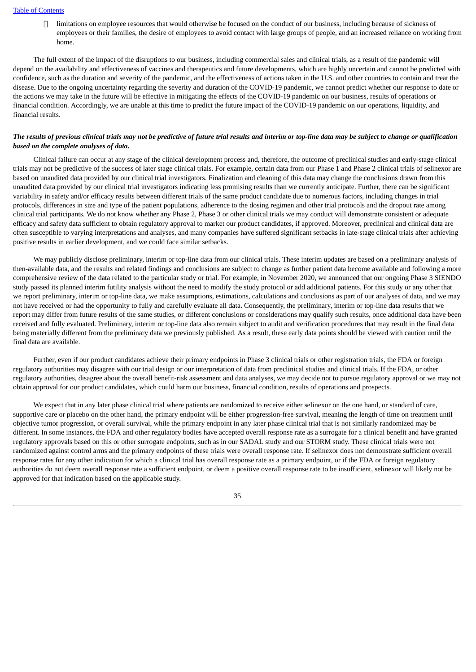limitations on employee resources that would otherwise be focused on the conduct of our business, including because of sickness of employees or their families, the desire of employees to avoid contact with large groups of people, and an increased reliance on working from home.

The full extent of the impact of the disruptions to our business, including commercial sales and clinical trials, as a result of the pandemic will depend on the availability and effectiveness of vaccines and therapeutics and future developments, which are highly uncertain and cannot be predicted with confidence, such as the duration and severity of the pandemic, and the effectiveness of actions taken in the U.S. and other countries to contain and treat the disease. Due to the ongoing uncertainty regarding the severity and duration of the COVID-19 pandemic, we cannot predict whether our response to date or the actions we may take in the future will be effective in mitigating the effects of the COVID-19 pandemic on our business, results of operations or financial condition. Accordingly, we are unable at this time to predict the future impact of the COVID-19 pandemic on our operations, liquidity, and financial results.

#### The results of previous clinical trials may not be predictive of future trial results and interim or top-line data may be subject to change or qualification *based on the complete analyses of data.*

Clinical failure can occur at any stage of the clinical development process and, therefore, the outcome of preclinical studies and early-stage clinical trials may not be predictive of the success of later stage clinical trials. For example, certain data from our Phase 1 and Phase 2 clinical trials of selinexor are based on unaudited data provided by our clinical trial investigators. Finalization and cleaning of this data may change the conclusions drawn from this unaudited data provided by our clinical trial investigators indicating less promising results than we currently anticipate. Further, there can be significant variability in safety and/or efficacy results between different trials of the same product candidate due to numerous factors, including changes in trial protocols, differences in size and type of the patient populations, adherence to the dosing regimen and other trial protocols and the dropout rate among clinical trial participants. We do not know whether any Phase 2, Phase 3 or other clinical trials we may conduct will demonstrate consistent or adequate efficacy and safety data sufficient to obtain regulatory approval to market our product candidates, if approved. Moreover, preclinical and clinical data are often susceptible to varying interpretations and analyses, and many companies have suffered significant setbacks in late-stage clinical trials after achieving positive results in earlier development, and we could face similar setbacks.

We may publicly disclose preliminary, interim or top-line data from our clinical trials. These interim updates are based on a preliminary analysis of then-available data, and the results and related findings and conclusions are subject to change as further patient data become available and following a more comprehensive review of the data related to the particular study or trial. For example, in November 2020, we announced that our ongoing Phase 3 SIENDO study passed its planned interim futility analysis without the need to modify the study protocol or add additional patients. For this study or any other that we report preliminary, interim or top-line data, we make assumptions, estimations, calculations and conclusions as part of our analyses of data, and we may not have received or had the opportunity to fully and carefully evaluate all data. Consequently, the preliminary, interim or top-line data results that we report may differ from future results of the same studies, or different conclusions or considerations may qualify such results, once additional data have been received and fully evaluated. Preliminary, interim or top-line data also remain subject to audit and verification procedures that may result in the final data being materially different from the preliminary data we previously published. As a result, these early data points should be viewed with caution until the final data are available.

Further, even if our product candidates achieve their primary endpoints in Phase 3 clinical trials or other registration trials, the FDA or foreign regulatory authorities may disagree with our trial design or our interpretation of data from preclinical studies and clinical trials. If the FDA, or other regulatory authorities, disagree about the overall benefit-risk assessment and data analyses, we may decide not to pursue regulatory approval or we may not obtain approval for our product candidates, which could harm our business, financial condition, results of operations and prospects.

We expect that in any later phase clinical trial where patients are randomized to receive either selinexor on the one hand, or standard of care, supportive care or placebo on the other hand, the primary endpoint will be either progression-free survival, meaning the length of time on treatment until objective tumor progression, or overall survival, while the primary endpoint in any later phase clinical trial that is not similarly randomized may be different. In some instances, the FDA and other regulatory bodies have accepted overall response rate as a surrogate for a clinical benefit and have granted regulatory approvals based on this or other surrogate endpoints, such as in our SADAL study and our STORM study. These clinical trials were not randomized against control arms and the primary endpoints of these trials were overall response rate. If selinexor does not demonstrate sufficient overall response rates for any other indication for which a clinical trial has overall response rate as a primary endpoint, or if the FDA or foreign regulatory authorities do not deem overall response rate a sufficient endpoint, or deem a positive overall response rate to be insufficient, selinexor will likely not be approved for that indication based on the applicable study.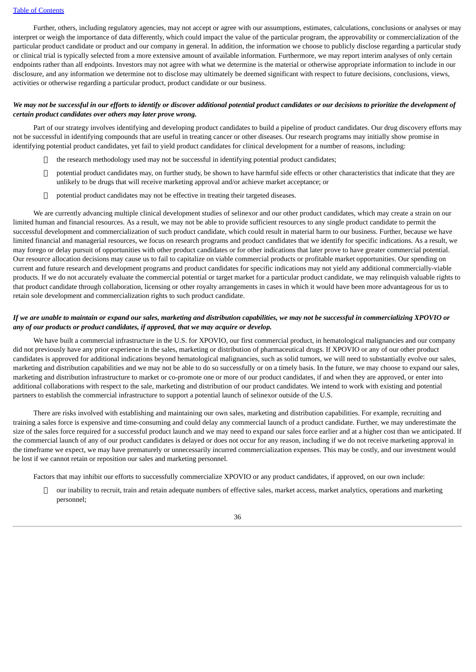Further, others, including regulatory agencies, may not accept or agree with our assumptions, estimates, calculations, conclusions or analyses or may interpret or weigh the importance of data differently, which could impact the value of the particular program, the approvability or commercialization of the particular product candidate or product and our company in general. In addition, the information we choose to publicly disclose regarding a particular study or clinical trial is typically selected from a more extensive amount of available information. Furthermore, we may report interim analyses of only certain endpoints rather than all endpoints. Investors may not agree with what we determine is the material or otherwise appropriate information to include in our disclosure, and any information we determine not to disclose may ultimately be deemed significant with respect to future decisions, conclusions, views, activities or otherwise regarding a particular product, product candidate or our business.

### We may not be successful in our efforts to identify or discover additional potential product candidates or our decisions to prioritize the development of *certain product candidates over others may later prove wrong.*

Part of our strategy involves identifying and developing product candidates to build a pipeline of product candidates. Our drug discovery efforts may not be successful in identifying compounds that are useful in treating cancer or other diseases. Our research programs may initially show promise in identifying potential product candidates, yet fail to yield product candidates for clinical development for a number of reasons, including:

- $\Box$  the research methodology used may not be successful in identifying potential product candidates;
- $\Box$  potential product candidates may, on further study, be shown to have harmful side effects or other characteristics that indicate that they are unlikely to be drugs that will receive marketing approval and/or achieve market acceptance; or
- □ potential product candidates may not be effective in treating their targeted diseases.

We are currently advancing multiple clinical development studies of selinexor and our other product candidates, which may create a strain on our limited human and financial resources. As a result, we may not be able to provide sufficient resources to any single product candidate to permit the successful development and commercialization of such product candidate, which could result in material harm to our business. Further, because we have limited financial and managerial resources, we focus on research programs and product candidates that we identify for specific indications. As a result, we may forego or delay pursuit of opportunities with other product candidates or for other indications that later prove to have greater commercial potential. Our resource allocation decisions may cause us to fail to capitalize on viable commercial products or profitable market opportunities. Our spending on current and future research and development programs and product candidates for specific indications may not yield any additional commercially-viable products. If we do not accurately evaluate the commercial potential or target market for a particular product candidate, we may relinquish valuable rights to that product candidate through collaboration, licensing or other royalty arrangements in cases in which it would have been more advantageous for us to retain sole development and commercialization rights to such product candidate.

#### If we are unable to maintain or expand our sales, marketing and distribution capabilities, we may not be successful in commercializing XPOVIO or *any of our products or product candidates, if approved, that we may acquire or develop.*

We have built a commercial infrastructure in the U.S. for XPOVIO, our first commercial product, in hematological malignancies and our company did not previously have any prior experience in the sales, marketing or distribution of pharmaceutical drugs. If XPOVIO or any of our other product candidates is approved for additional indications beyond hematological malignancies, such as solid tumors, we will need to substantially evolve our sales, marketing and distribution capabilities and we may not be able to do so successfully or on a timely basis. In the future, we may choose to expand our sales, marketing and distribution infrastructure to market or co-promote one or more of our product candidates, if and when they are approved, or enter into additional collaborations with respect to the sale, marketing and distribution of our product candidates. We intend to work with existing and potential partners to establish the commercial infrastructure to support a potential launch of selinexor outside of the U.S.

There are risks involved with establishing and maintaining our own sales, marketing and distribution capabilities. For example, recruiting and training a sales force is expensive and time-consuming and could delay any commercial launch of a product candidate. Further, we may underestimate the size of the sales force required for a successful product launch and we may need to expand our sales force earlier and at a higher cost than we anticipated. If the commercial launch of any of our product candidates is delayed or does not occur for any reason, including if we do not receive marketing approval in the timeframe we expect, we may have prematurely or unnecessarily incurred commercialization expenses. This may be costly, and our investment would be lost if we cannot retain or reposition our sales and marketing personnel.

Factors that may inhibit our efforts to successfully commercialize XPOVIO or any product candidates, if approved, on our own include:

 $\Box$  our inability to recruit, train and retain adequate numbers of effective sales, market access, market analytics, operations and marketing personnel;

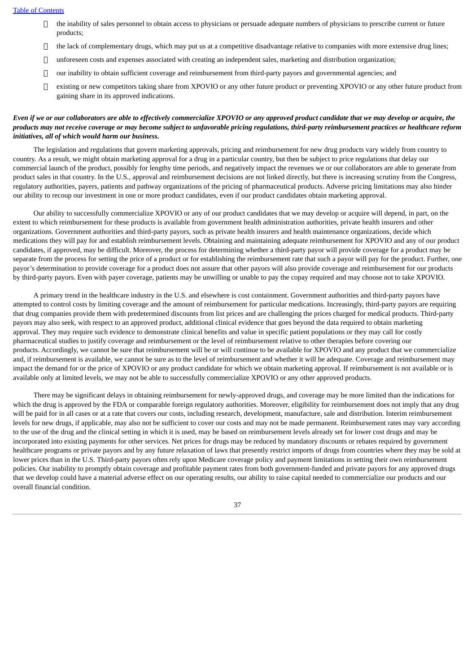- $\Box$  the inability of sales personnel to obtain access to physicians or persuade adequate numbers of physicians to prescribe current or future products;
- $\Box$  the lack of complementary drugs, which may put us at a competitive disadvantage relative to companies with more extensive drug lines;
- $\Box$  unforeseen costs and expenses associated with creating an independent sales, marketing and distribution organization;
- $\Box$  our inability to obtain sufficient coverage and reimbursement from third-party payors and governmental agencies; and
- existing or new competitors taking share from XPOVIO or any other future product or preventing XPOVIO or any other future product from gaining share in its approved indications.

## Even if we or our collaborators are able to effectively commercialize XPOVIO or any approved product candidate that we may develop or acquire, the products may not receive coverage or may become subject to unfavorable pricing regulations, third-party reimbursement practices or healthcare reform *initiatives, all of which would harm our business.*

The legislation and regulations that govern marketing approvals, pricing and reimbursement for new drug products vary widely from country to country. As a result, we might obtain marketing approval for a drug in a particular country, but then be subject to price regulations that delay our commercial launch of the product, possibly for lengthy time periods, and negatively impact the revenues we or our collaborators are able to generate from product sales in that country. In the U.S., approval and reimbursement decisions are not linked directly, but there is increasing scrutiny from the Congress, regulatory authorities, payers, patients and pathway organizations of the pricing of pharmaceutical products. Adverse pricing limitations may also hinder our ability to recoup our investment in one or more product candidates, even if our product candidates obtain marketing approval.

Our ability to successfully commercialize XPOVIO or any of our product candidates that we may develop or acquire will depend, in part, on the extent to which reimbursement for these products is available from government health administration authorities, private health insurers and other organizations. Government authorities and third-party payors, such as private health insurers and health maintenance organizations, decide which medications they will pay for and establish reimbursement levels. Obtaining and maintaining adequate reimbursement for XPOVIO and any of our product candidates, if approved, may be difficult. Moreover, the process for determining whether a third-party payor will provide coverage for a product may be separate from the process for setting the price of a product or for establishing the reimbursement rate that such a payor will pay for the product. Further, one payor's determination to provide coverage for a product does not assure that other payors will also provide coverage and reimbursement for our products by third-party payors. Even with payer coverage, patients may be unwilling or unable to pay the copay required and may choose not to take XPOVIO.

A primary trend in the healthcare industry in the U.S. and elsewhere is cost containment. Government authorities and third-party payors have attempted to control costs by limiting coverage and the amount of reimbursement for particular medications. Increasingly, third-party payors are requiring that drug companies provide them with predetermined discounts from list prices and are challenging the prices charged for medical products. Third-party payors may also seek, with respect to an approved product, additional clinical evidence that goes beyond the data required to obtain marketing approval. They may require such evidence to demonstrate clinical benefits and value in specific patient populations or they may call for costly pharmaceutical studies to justify coverage and reimbursement or the level of reimbursement relative to other therapies before covering our products. Accordingly, we cannot be sure that reimbursement will be or will continue to be available for XPOVIO and any product that we commercialize and, if reimbursement is available, we cannot be sure as to the level of reimbursement and whether it will be adequate. Coverage and reimbursement may impact the demand for or the price of XPOVIO or any product candidate for which we obtain marketing approval. If reimbursement is not available or is available only at limited levels, we may not be able to successfully commercialize XPOVIO or any other approved products.

There may be significant delays in obtaining reimbursement for newly-approved drugs, and coverage may be more limited than the indications for which the drug is approved by the FDA or comparable foreign regulatory authorities. Moreover, eligibility for reimbursement does not imply that any drug will be paid for in all cases or at a rate that covers our costs, including research, development, manufacture, sale and distribution. Interim reimbursement levels for new drugs, if applicable, may also not be sufficient to cover our costs and may not be made permanent. Reimbursement rates may vary according to the use of the drug and the clinical setting in which it is used, may be based on reimbursement levels already set for lower cost drugs and may be incorporated into existing payments for other services. Net prices for drugs may be reduced by mandatory discounts or rebates required by government healthcare programs or private payors and by any future relaxation of laws that presently restrict imports of drugs from countries where they may be sold at lower prices than in the U.S. Third-party payors often rely upon Medicare coverage policy and payment limitations in setting their own reimbursement policies. Our inability to promptly obtain coverage and profitable payment rates from both government-funded and private payors for any approved drugs that we develop could have a material adverse effect on our operating results, our ability to raise capital needed to commercialize our products and our overall financial condition.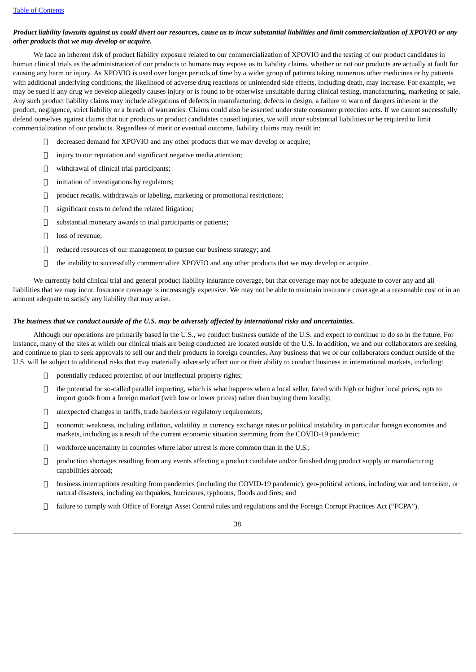## Product liability lawsuits against us could divert our resources, cause us to incur substantial liabilities and limit commercialization of XPOVIO or any *other products that we may develop or acquire.*

We face an inherent risk of product liability exposure related to our commercialization of XPOVIO and the testing of our product candidates in human clinical trials as the administration of our products to humans may expose us to liability claims, whether or not our products are actually at fault for causing any harm or injury. As XPOVIO is used over longer periods of time by a wider group of patients taking numerous other medicines or by patients with additional underlying conditions, the likelihood of adverse drug reactions or unintended side effects, including death, may increase. For example, we may be sued if any drug we develop allegedly causes injury or is found to be otherwise unsuitable during clinical testing, manufacturing, marketing or sale. Any such product liability claims may include allegations of defects in manufacturing, defects in design, a failure to warn of dangers inherent in the product, negligence, strict liability or a breach of warranties. Claims could also be asserted under state consumer protection acts. If we cannot successfully defend ourselves against claims that our products or product candidates caused injuries, we will incur substantial liabilities or be required to limit commercialization of our products. Regardless of merit or eventual outcome, liability claims may result in:

- decreased demand for XPOVIO and any other products that we may develop or acquire;
- $\Box$  injury to our reputation and significant negative media attention;
- withdrawal of clinical trial participants;
- $\Box$  initiation of investigations by regulators;
- product recalls, withdrawals or labeling, marketing or promotional restrictions;
- $\Box$  significant costs to defend the related litigation:
- $\Box$  substantial monetary awards to trial participants or patients;
- loss of revenue;
- □ reduced resources of our management to pursue our business strategy; and
- $\Box$  the inability to successfully commercialize XPOVIO and any other products that we may develop or acquire.

We currently hold clinical trial and general product liability insurance coverage, but that coverage may not be adequate to cover any and all liabilities that we may incur. Insurance coverage is increasingly expensive. We may not be able to maintain insurance coverage at a reasonable cost or in an amount adequate to satisfy any liability that may arise.

## The business that we conduct outside of the U.S. may be adversely affected by international risks and uncertainties.

Although our operations are primarily based in the U.S., we conduct business outside of the U.S. and expect to continue to do so in the future. For instance, many of the sites at which our clinical trials are being conducted are located outside of the U.S. In addition, we and our collaborators are seeking and continue to plan to seek approvals to sell our and their products in foreign countries. Any business that we or our collaborators conduct outside of the U.S. will be subject to additional risks that may materially adversely affect our or their ability to conduct business in international markets, including:

- $\Box$  potentially reduced protection of our intellectual property rights;
- $\Box$  the potential for so-called parallel importing, which is what happens when a local seller, faced with high or higher local prices, opts to import goods from a foreign market (with low or lower prices) rather than buying them locally;
- □ unexpected changes in tariffs, trade barriers or regulatory requirements;
- economic weakness, including inflation, volatility in currency exchange rates or political instability in particular foreign economies and markets, including as a result of the current economic situation stemming from the COVID-19 pandemic;
- $\Box$  workforce uncertainty in countries where labor unrest is more common than in the U.S.;
- production shortages resulting from any events affecting a product candidate and/or finished drug product supply or manufacturing capabilities abroad;
- $\Box$  business interruptions resulting from pandemics (including the COVID-19 pandemic), geo-political actions, including war and terrorism, or natural disasters, including earthquakes, hurricanes, typhoons, floods and fires; and
- $\Box$  failure to comply with Office of Foreign Asset Control rules and regulations and the Foreign Corrupt Practices Act ("FCPA").

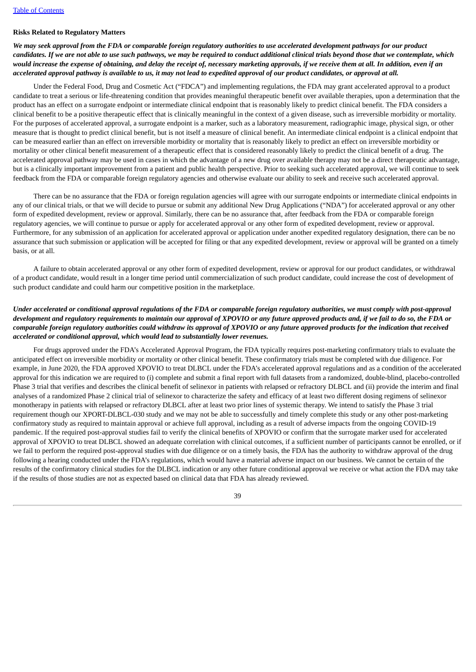## **Risks Related to Regulatory Matters**

We may seek approval from the FDA or comparable foreian reaulatory authorities to use accelerated development pathways for our product candidates. If we are not able to use such pathways, we may be required to conduct additional clinical trials beyond those that we contemplate, which would increase the expense of obtaining, and delay the receipt of, necessary marketing approvals, if we receive them at all. In addition, even if an accelerated approval pathway is available to us, it may not lead to expedited approval of our product candidates, or approval at all.

Under the Federal Food, Drug and Cosmetic Act ("FDCA") and implementing regulations, the FDA may grant accelerated approval to a product candidate to treat a serious or life-threatening condition that provides meaningful therapeutic benefit over available therapies, upon a determination that the product has an effect on a surrogate endpoint or intermediate clinical endpoint that is reasonably likely to predict clinical benefit. The FDA considers a clinical benefit to be a positive therapeutic effect that is clinically meaningful in the context of a given disease, such as irreversible morbidity or mortality. For the purposes of accelerated approval, a surrogate endpoint is a marker, such as a laboratory measurement, radiographic image, physical sign, or other measure that is thought to predict clinical benefit, but is not itself a measure of clinical benefit. An intermediate clinical endpoint is a clinical endpoint that can be measured earlier than an effect on irreversible morbidity or mortality that is reasonably likely to predict an effect on irreversible morbidity or mortality or other clinical benefit measurement of a therapeutic effect that is considered reasonably likely to predict the clinical benefit of a drug. The accelerated approval pathway may be used in cases in which the advantage of a new drug over available therapy may not be a direct therapeutic advantage, but is a clinically important improvement from a patient and public health perspective. Prior to seeking such accelerated approval, we will continue to seek feedback from the FDA or comparable foreign regulatory agencies and otherwise evaluate our ability to seek and receive such accelerated approval.

There can be no assurance that the FDA or foreign regulation agencies will agree with our surrogate endpoints or intermediate clinical endpoints in any of our clinical trials, or that we will decide to pursue or submit any additional New Drug Applications ("NDA") for accelerated approval or any other form of expedited development, review or approval. Similarly, there can be no assurance that, after feedback from the FDA or comparable foreign regulatory agencies, we will continue to pursue or apply for accelerated approval or any other form of expedited development, review or approval. Furthermore, for any submission of an application for accelerated approval or application under another expedited regulatory designation, there can be no assurance that such submission or application will be accepted for filing or that any expedited development, review or approval will be granted on a timely basis, or at all.

A failure to obtain accelerated approval or any other form of expedited development, review or approval for our product candidates, or withdrawal of a product candidate, would result in a longer time period until commercialization of such product candidate, could increase the cost of development of such product candidate and could harm our competitive position in the marketplace.

## Under accelerated or conditional approval regulations of the FDA or comparable foreign regulatory authorities, we must comply with post-approval development and regulatory requirements to maintain our approval of XPOVIO or any future approved products and, if we fail to do so, the FDA or comparable foreign regulatory authorities could withdraw its approval of XPOVIO or any future approved products for the indication that received *accelerated or conditional approval, which would lead to substantially lower revenues.*

For drugs approved under the FDA's Accelerated Approval Program, the FDA typically requires post-marketing confirmatory trials to evaluate the anticipated effect on irreversible morbidity or mortality or other clinical benefit. These confirmatory trials must be completed with due diligence. For example, in June 2020, the FDA approved XPOVIO to treat DLBCL under the FDA's accelerated approval regulations and as a condition of the accelerated approval for this indication we are required to (i) complete and submit a final report with full datasets from a randomized, double-blind, placebo-controlled Phase 3 trial that verifies and describes the clinical benefit of selinexor in patients with relapsed or refractory DLBCL and (ii) provide the interim and final analyses of a randomized Phase 2 clinical trial of selinexor to characterize the safety and efficacy of at least two different dosing regimens of selinexor monotherapy in patients with relapsed or refractory DLBCL after at least two prior lines of systemic therapy. We intend to satisfy the Phase 3 trial requirement though our XPORT-DLBCL-030 study and we may not be able to successfully and timely complete this study or any other post-marketing confirmatory study as required to maintain approval or achieve full approval, including as a result of adverse impacts from the ongoing COVID-19 pandemic. If the required post-approval studies fail to verify the clinical benefits of XPOVIO or confirm that the surrogate marker used for accelerated approval of XPOVIO to treat DLBCL showed an adequate correlation with clinical outcomes, if a sufficient number of participants cannot be enrolled, or if we fail to perform the required post-approval studies with due diligence or on a timely basis, the FDA has the authority to withdraw approval of the drug following a hearing conducted under the FDA's regulations, which would have a material adverse impact on our business. We cannot be certain of the results of the confirmatory clinical studies for the DLBCL indication or any other future conditional approval we receive or what action the FDA may take if the results of those studies are not as expected based on clinical data that FDA has already reviewed.

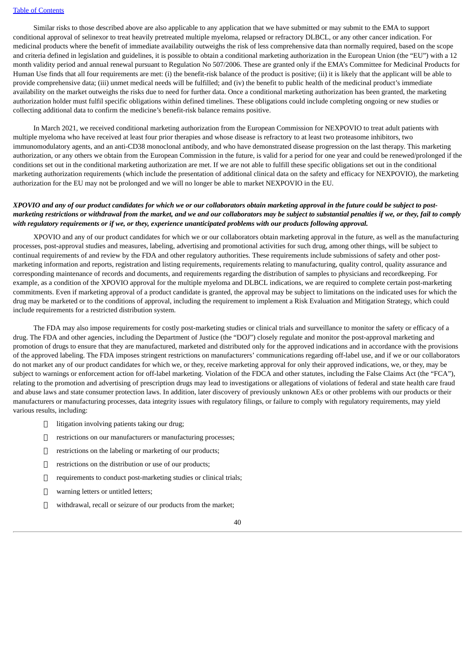Similar risks to those described above are also applicable to any application that we have submitted or may submit to the EMA to support conditional approval of selinexor to treat heavily pretreated multiple myeloma, relapsed or refractory DLBCL, or any other cancer indication. For medicinal products where the benefit of immediate availability outweighs the risk of less comprehensive data than normally required, based on the scope and criteria defined in legislation and guidelines, it is possible to obtain a conditional marketing authorization in the European Union (the "EU") with a 12 month validity period and annual renewal pursuant to Regulation No 507/2006. These are granted only if the EMA's Committee for Medicinal Products for Human Use finds that all four requirements are met: (i) the benefit-risk balance of the product is positive; (ii) it is likely that the applicant will be able to provide comprehensive data; (iii) unmet medical needs will be fulfilled; and (iv) the benefit to public health of the medicinal product's immediate availability on the market outweighs the risks due to need for further data. Once a conditional marketing authorization has been granted, the marketing authorization holder must fulfil specific obligations within defined timelines. These obligations could include completing ongoing or new studies or collecting additional data to confirm the medicine's benefit-risk balance remains positive.

In March 2021, we received conditional marketing authorization from the European Commission for NEXPOVIO to treat adult patients with multiple myeloma who have received at least four prior therapies and whose disease is refractory to at least two proteasome inhibitors, two immunomodulatory agents, and an anti-CD38 monoclonal antibody, and who have demonstrated disease progression on the last therapy. This marketing authorization, or any others we obtain from the European Commission in the future, is valid for a period for one year and could be renewed/prolonged if the conditions set out in the conditional marketing authorization are met. If we are not able to fulfill these specific obligations set out in the conditional marketing authorization requirements (which include the presentation of additional clinical data on the safety and efficacy for NEXPOVIO), the marketing authorization for the EU may not be prolonged and we will no longer be able to market NEXPOVIO in the EU.

## XPOVIO and any of our product candidates for which we or our collaborators obtain marketing approval in the future could be subject to postmarketing restrictions or withdrawal from the market, and we and our collaborators may be subject to substantial penalties if we, or they, fail to comply with regulatory requirements or if we, or they, experience unanticipated problems with our products following approval.

XPOVIO and any of our product candidates for which we or our collaborators obtain marketing approval in the future, as well as the manufacturing processes, post-approval studies and measures, labeling, advertising and promotional activities for such drug, among other things, will be subject to continual requirements of and review by the FDA and other regulatory authorities. These requirements include submissions of safety and other postmarketing information and reports, registration and listing requirements, requirements relating to manufacturing, quality control, quality assurance and corresponding maintenance of records and documents, and requirements regarding the distribution of samples to physicians and recordkeeping. For example, as a condition of the XPOVIO approval for the multiple myeloma and DLBCL indications, we are required to complete certain post-marketing commitments. Even if marketing approval of a product candidate is granted, the approval may be subject to limitations on the indicated uses for which the drug may be marketed or to the conditions of approval, including the requirement to implement a Risk Evaluation and Mitigation Strategy, which could include requirements for a restricted distribution system.

The FDA may also impose requirements for costly post-marketing studies or clinical trials and surveillance to monitor the safety or efficacy of a drug. The FDA and other agencies, including the Department of Justice (the "DOJ") closely regulate and monitor the post-approval marketing and promotion of drugs to ensure that they are manufactured, marketed and distributed only for the approved indications and in accordance with the provisions of the approved labeling. The FDA imposes stringent restrictions on manufacturers' communications regarding off-label use, and if we or our collaborators do not market any of our product candidates for which we, or they, receive marketing approval for only their approved indications, we, or they, may be subject to warnings or enforcement action for off-label marketing. Violation of the FDCA and other statutes, including the False Claims Act (the "FCA"), relating to the promotion and advertising of prescription drugs may lead to investigations or allegations of violations of federal and state health care fraud and abuse laws and state consumer protection laws. In addition, later discovery of previously unknown AEs or other problems with our products or their manufacturers or manufacturing processes, data integrity issues with regulatory filings, or failure to comply with regulatory requirements, may yield various results, including:

- $\Box$  litigation involving patients taking our drug;
- restrictions on our manufacturers or manufacturing processes;
- restrictions on the labeling or marketing of our products;
- restrictions on the distribution or use of our products;
- requirements to conduct post-marketing studies or clinical trials;
- **D** warning letters or untitled letters;
- withdrawal, recall or seizure of our products from the market;

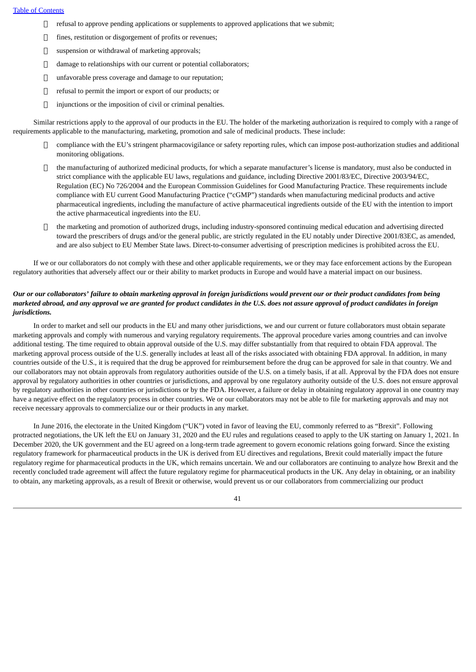- $\Box$  refusal to approve pending applications or supplements to approved applications that we submit;
- fines, restitution or disgorgement of profits or revenues;
- $\Box$  suspension or withdrawal of marketing approvals;
- $\Box$  damage to relationships with our current or potential collaborators;
- $\Box$  unfavorable press coverage and damage to our reputation;
- □ refusal to permit the import or export of our products; or
- $\Box$  injunctions or the imposition of civil or criminal penalties.

Similar restrictions apply to the approval of our products in the EU. The holder of the marketing authorization is required to comply with a range of requirements applicable to the manufacturing, marketing, promotion and sale of medicinal products. These include:

- $\Box$  compliance with the EU's stringent pharmacovigilance or safety reporting rules, which can impose post-authorization studies and additional monitoring obligations.
- the manufacturing of authorized medicinal products, for which a separate manufacturer's license is mandatory, must also be conducted in strict compliance with the applicable EU laws, regulations and guidance, including Directive 2001/83/EC, Directive 2003/94/EC, Regulation (EC) No 726/2004 and the European Commission Guidelines for Good Manufacturing Practice. These requirements include compliance with EU current Good Manufacturing Practice ("cGMP") standards when manufacturing medicinal products and active pharmaceutical ingredients, including the manufacture of active pharmaceutical ingredients outside of the EU with the intention to import the active pharmaceutical ingredients into the EU.
- $\Box$  the marketing and promotion of authorized drugs, including industry-sponsored continuing medical education and advertising directed toward the prescribers of drugs and/or the general public, are strictly regulated in the EU notably under Directive 2001/83EC, as amended, and are also subject to EU Member State laws. Direct-to-consumer advertising of prescription medicines is prohibited across the EU.

If we or our collaborators do not comply with these and other applicable requirements, we or they may face enforcement actions by the European regulatory authorities that adversely affect our or their ability to market products in Europe and would have a material impact on our business.

## Our or our collaborators' failure to obtain marketing approval in foreign jurisdictions would prevent our or their product candidates from being marketed abroad, and any approval we are granted for product candidates in the U.S. does not assure approval of product candidates in foreign *jurisdictions.*

In order to market and sell our products in the EU and many other jurisdictions, we and our current or future collaborators must obtain separate marketing approvals and comply with numerous and varying regulatory requirements. The approval procedure varies among countries and can involve additional testing. The time required to obtain approval outside of the U.S. may differ substantially from that required to obtain FDA approval. The marketing approval process outside of the U.S. generally includes at least all of the risks associated with obtaining FDA approval. In addition, in many countries outside of the U.S., it is required that the drug be approved for reimbursement before the drug can be approved for sale in that country. We and our collaborators may not obtain approvals from regulatory authorities outside of the U.S. on a timely basis, if at all. Approval by the FDA does not ensure approval by regulatory authorities in other countries or jurisdictions, and approval by one regulatory authority outside of the U.S. does not ensure approval by regulatory authorities in other countries or jurisdictions or by the FDA. However, a failure or delay in obtaining regulatory approval in one country may have a negative effect on the regulatory process in other countries. We or our collaborators may not be able to file for marketing approvals and may not receive necessary approvals to commercialize our or their products in any market.

In June 2016, the electorate in the United Kingdom ("UK") voted in favor of leaving the EU, commonly referred to as "Brexit". Following protracted negotiations, the UK left the EU on January 31, 2020 and the EU rules and regulations ceased to apply to the UK starting on January 1, 2021. In December 2020, the UK government and the EU agreed on a long-term trade agreement to govern economic relations going forward. Since the existing regulatory framework for pharmaceutical products in the UK is derived from EU directives and regulations, Brexit could materially impact the future regulatory regime for pharmaceutical products in the UK, which remains uncertain. We and our collaborators are continuing to analyze how Brexit and the recently concluded trade agreement will affect the future regulatory regime for pharmaceutical products in the UK. Any delay in obtaining, or an inability to obtain, any marketing approvals, as a result of Brexit or otherwise, would prevent us or our collaborators from commercializing our product

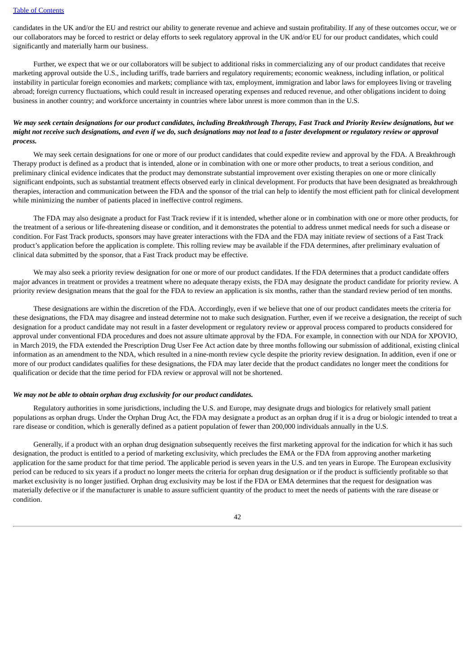candidates in the UK and/or the EU and restrict our ability to generate revenue and achieve and sustain profitability. If any of these outcomes occur, we or our collaborators may be forced to restrict or delay efforts to seek regulatory approval in the UK and/or EU for our product candidates, which could significantly and materially harm our business.

Further, we expect that we or our collaborators will be subject to additional risks in commercializing any of our product candidates that receive marketing approval outside the U.S., including tariffs, trade barriers and regulatory requirements; economic weakness, including inflation, or political instability in particular foreign economies and markets; compliance with tax, employment, immigration and labor laws for employees living or traveling abroad; foreign currency fluctuations, which could result in increased operating expenses and reduced revenue, and other obligations incident to doing business in another country; and workforce uncertainty in countries where labor unrest is more common than in the U.S.

## We may seek certain designations for our product candidates, including Breakthrough Therapy, Fast Track and Priority Review designations, but we might not receive such designations, and even if we do, such designations may not lead to a faster development or regulatory review or approval *process.*

We may seek certain designations for one or more of our product candidates that could expedite review and approval by the FDA. A Breakthrough Therapy product is defined as a product that is intended, alone or in combination with one or more other products, to treat a serious condition, and preliminary clinical evidence indicates that the product may demonstrate substantial improvement over existing therapies on one or more clinically significant endpoints, such as substantial treatment effects observed early in clinical development. For products that have been designated as breakthrough therapies, interaction and communication between the FDA and the sponsor of the trial can help to identify the most efficient path for clinical development while minimizing the number of patients placed in ineffective control regimens.

The FDA may also designate a product for Fast Track review if it is intended, whether alone or in combination with one or more other products, for the treatment of a serious or life-threatening disease or condition, and it demonstrates the potential to address unmet medical needs for such a disease or condition. For Fast Track products, sponsors may have greater interactions with the FDA and the FDA may initiate review of sections of a Fast Track product's application before the application is complete. This rolling review may be available if the FDA determines, after preliminary evaluation of clinical data submitted by the sponsor, that a Fast Track product may be effective.

We may also seek a priority review designation for one or more of our product candidates. If the FDA determines that a product candidate offers major advances in treatment or provides a treatment where no adequate therapy exists, the FDA may designate the product candidate for priority review. A priority review designation means that the goal for the FDA to review an application is six months, rather than the standard review period of ten months.

These designations are within the discretion of the FDA. Accordingly, even if we believe that one of our product candidates meets the criteria for these designations, the FDA may disagree and instead determine not to make such designation. Further, even if we receive a designation, the receipt of such designation for a product candidate may not result in a faster development or regulatory review or approval process compared to products considered for approval under conventional FDA procedures and does not assure ultimate approval by the FDA. For example, in connection with our NDA for XPOVIO, in March 2019, the FDA extended the Prescription Drug User Fee Act action date by three months following our submission of additional, existing clinical information as an amendment to the NDA, which resulted in a nine-month review cycle despite the priority review designation. In addition, even if one or more of our product candidates qualifies for these designations, the FDA may later decide that the product candidates no longer meet the conditions for qualification or decide that the time period for FDA review or approval will not be shortened.

#### *We may not be able to obtain orphan drug exclusivity for our product candidates.*

Regulatory authorities in some jurisdictions, including the U.S. and Europe, may designate drugs and biologics for relatively small patient populations as orphan drugs. Under the Orphan Drug Act, the FDA may designate a product as an orphan drug if it is a drug or biologic intended to treat a rare disease or condition, which is generally defined as a patient population of fewer than 200,000 individuals annually in the U.S.

Generally, if a product with an orphan drug designation subsequently receives the first marketing approval for the indication for which it has such designation, the product is entitled to a period of marketing exclusivity, which precludes the EMA or the FDA from approving another marketing application for the same product for that time period. The applicable period is seven years in the U.S. and ten years in Europe. The European exclusivity period can be reduced to six years if a product no longer meets the criteria for orphan drug designation or if the product is sufficiently profitable so that market exclusivity is no longer justified. Orphan drug exclusivity may be lost if the FDA or EMA determines that the request for designation was materially defective or if the manufacturer is unable to assure sufficient quantity of the product to meet the needs of patients with the rare disease or condition.

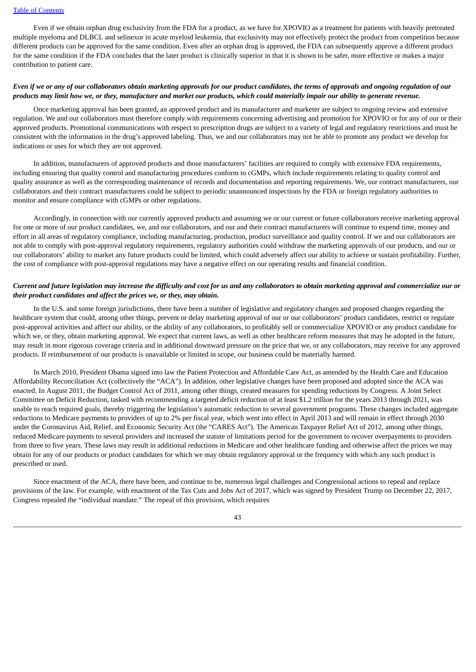Even if we obtain orphan drug exclusivity from the FDA for a product, as we have for XPOVIO as a treatment for patients with heavily pretreated multiple myeloma and DLBCL and selinexor in acute myeloid leukemia, that exclusivity may not effectively protect the product from competition because different products can be approved for the same condition. Even after an orphan drug is approved, the FDA can subsequently approve a different product for the same condition if the FDA concludes that the later product is clinically superior in that it is shown to be safer, more effective or makes a major contribution to patient care.

#### Even if we or any of our collaborators obtain marketing approvals for our product candidates, the terms of approvals and ongoing regulation of our products may limit how we, or they, manufacture and market our products, which could materially impair our ability to generate revenue.

Once marketing approval has been granted, an approved product and its manufacturer and marketer are subject to ongoing review and extensive regulation. We and our collaborators must therefore comply with requirements concerning advertising and promotion for XPOVIO or for any of our or their approved products. Promotional communications with respect to prescription drugs are subject to a variety of legal and regulatory restrictions and must be consistent with the information in the drug's approved labeling. Thus, we and our collaborators may not be able to promote any product we develop for indications or uses for which they are not approved.

In addition, manufacturers of approved products and those manufacturers' facilities are required to comply with extensive FDA requirements, including ensuring that quality control and manufacturing procedures conform to cGMPs, which include requirements relating to quality control and quality assurance as well as the corresponding maintenance of records and documentation and reporting requirements. We, our contract manufacturers, our collaborators and their contract manufacturers could be subject to periodic unannounced inspections by the FDA or foreign regulatory authorities to monitor and ensure compliance with cGMPs or other regulations.

Accordingly, in connection with our currently approved products and assuming we or our current or future collaborators receive marketing approval for one or more of our product candidates, we, and our collaborators, and our and their contract manufacturers will continue to expend time, money and effort in all areas of regulatory compliance, including manufacturing, production, product surveillance and quality control. If we and our collaborators are not able to comply with post-approval regulatory requirements, regulatory authorities could withdraw the marketing approvals of our products, and our or our collaborators' ability to market any future products could be limited, which could adversely affect our ability to achieve or sustain profitability. Further, the cost of compliance with post-approval regulations may have a negative effect on our operating results and financial condition.

## Current and future legislation may increase the difficulty and cost for us and any collaborators to obtain marketing approval and commercialize our or *their product candidates and affect the prices we, or they, may obtain.*

In the U.S. and some foreign jurisdictions, there have been a number of legislative and regulatory changes and proposed changes regarding the healthcare system that could, among other things, prevent or delay marketing approval of our or our collaborators' product candidates, restrict or regulate post-approval activities and affect our ability, or the ability of any collaborators, to profitably sell or commercialize XPOVIO or any product candidate for which we, or they, obtain marketing approval. We expect that current laws, as well as other healthcare reform measures that may be adopted in the future, may result in more rigorous coverage criteria and in additional downward pressure on the price that we, or any collaborators, may receive for any approved products. If reimbursement of our products is unavailable or limited in scope, our business could be materially harmed.

In March 2010, President Obama signed into law the Patient Protection and Affordable Care Act, as amended by the Health Care and Education Affordability Reconciliation Act (collectively the "ACA"). In addition, other legislative changes have been proposed and adopted since the ACA was enacted. In August 2011, the Budget Control Act of 2011, among other things, created measures for spending reductions by Congress. A Joint Select Committee on Deficit Reduction, tasked with recommending a targeted deficit reduction of at least \$1.2 trillion for the years 2013 through 2021, was unable to reach required goals, thereby triggering the legislation's automatic reduction to several government programs. These changes included aggregate reductions to Medicare payments to providers of up to 2% per fiscal year, which went into effect in April 2013 and will remain in effect through 2030 under the Coronavirus Aid, Relief, and Economic Security Act (the "CARES Act"). The American Taxpayer Relief Act of 2012, among other things, reduced Medicare payments to several providers and increased the statute of limitations period for the government to recover overpayments to providers from three to five years. These laws may result in additional reductions in Medicare and other healthcare funding and otherwise affect the prices we may obtain for any of our products or product candidates for which we may obtain regulatory approval or the frequency with which any such product is prescribed or used.

Since enactment of the ACA, there have been, and continue to be, numerous legal challenges and Congressional actions to repeal and replace provisions of the law. For example, with enactment of the Tax Cuts and Jobs Act of 2017, which was signed by President Trump on December 22, 2017, Congress repealed the "individual mandate." The repeal of this provision, which requires

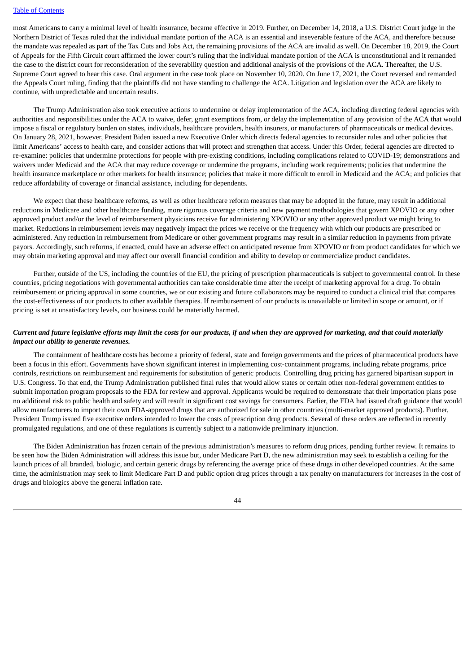most Americans to carry a minimal level of health insurance, became effective in 2019. Further, on December 14, 2018, a U.S. District Court judge in the Northern District of Texas ruled that the individual mandate portion of the ACA is an essential and inseverable feature of the ACA, and therefore because the mandate was repealed as part of the Tax Cuts and Jobs Act, the remaining provisions of the ACA are invalid as well. On December 18, 2019, the Court of Appeals for the Fifth Circuit court affirmed the lower court's ruling that the individual mandate portion of the ACA is unconstitutional and it remanded the case to the district court for reconsideration of the severability question and additional analysis of the provisions of the ACA. Thereafter, the U.S. Supreme Court agreed to hear this case. Oral argument in the case took place on November 10, 2020. On June 17, 2021, the Court reversed and remanded the Appeals Court ruling, finding that the plaintiffs did not have standing to challenge the ACA. Litigation and legislation over the ACA are likely to continue, with unpredictable and uncertain results.

The Trump Administration also took executive actions to undermine or delay implementation of the ACA, including directing federal agencies with authorities and responsibilities under the ACA to waive, defer, grant exemptions from, or delay the implementation of any provision of the ACA that would impose a fiscal or regulatory burden on states, individuals, healthcare providers, health insurers, or manufacturers of pharmaceuticals or medical devices. On January 28, 2021, however, President Biden issued a new Executive Order which directs federal agencies to reconsider rules and other policies that limit Americans' access to health care, and consider actions that will protect and strengthen that access. Under this Order, federal agencies are directed to re-examine: policies that undermine protections for people with pre-existing conditions, including complications related to COVID-19; demonstrations and waivers under Medicaid and the ACA that may reduce coverage or undermine the programs, including work requirements; policies that undermine the health insurance marketplace or other markets for health insurance; policies that make it more difficult to enroll in Medicaid and the ACA; and policies that reduce affordability of coverage or financial assistance, including for dependents.

We expect that these healthcare reforms, as well as other healthcare reform measures that may be adopted in the future, may result in additional reductions in Medicare and other healthcare funding, more rigorous coverage criteria and new payment methodologies that govern XPOVIO or any other approved product and/or the level of reimbursement physicians receive for administering XPOVIO or any other approved product we might bring to market. Reductions in reimbursement levels may negatively impact the prices we receive or the frequency with which our products are prescribed or administered. Any reduction in reimbursement from Medicare or other government programs may result in a similar reduction in payments from private payors. Accordingly, such reforms, if enacted, could have an adverse effect on anticipated revenue from XPOVIO or from product candidates for which we may obtain marketing approval and may affect our overall financial condition and ability to develop or commercialize product candidates.

Further, outside of the US, including the countries of the EU, the pricing of prescription pharmaceuticals is subject to governmental control. In these countries, pricing negotiations with governmental authorities can take considerable time after the receipt of marketing approval for a drug. To obtain reimbursement or pricing approval in some countries, we or our existing and future collaborators may be required to conduct a clinical trial that compares the cost-effectiveness of our products to other available therapies. If reimbursement of our products is unavailable or limited in scope or amount, or if pricing is set at unsatisfactory levels, our business could be materially harmed.

## Current and future legislative efforts may limit the costs for our products, if and when they are approved for marketing, and that could materially *impact our ability to generate revenues.*

The containment of healthcare costs has become a priority of federal, state and foreign governments and the prices of pharmaceutical products have been a focus in this effort. Governments have shown significant interest in implementing cost-containment programs, including rebate programs, price controls, restrictions on reimbursement and requirements for substitution of generic products. Controlling drug pricing has garnered bipartisan support in U.S. Congress. To that end, the Trump Administration published final rules that would allow states or certain other non-federal government entities to submit importation program proposals to the FDA for review and approval. Applicants would be required to demonstrate that their importation plans pose no additional risk to public health and safety and will result in significant cost savings for consumers. Earlier, the FDA had issued draft guidance that would allow manufacturers to import their own FDA-approved drugs that are authorized for sale in other countries (multi-market approved products). Further, President Trump issued five executive orders intended to lower the costs of prescription drug products. Several of these orders are reflected in recently promulgated regulations, and one of these regulations is currently subject to a nationwide preliminary injunction.

The Biden Administration has frozen certain of the previous administration's measures to reform drug prices, pending further review. It remains to be seen how the Biden Administration will address this issue but, under Medicare Part D, the new administration may seek to establish a ceiling for the launch prices of all branded, biologic, and certain generic drugs by referencing the average price of these drugs in other developed countries. At the same time, the administration may seek to limit Medicare Part D and public option drug prices through a tax penalty on manufacturers for increases in the cost of drugs and biologics above the general inflation rate.

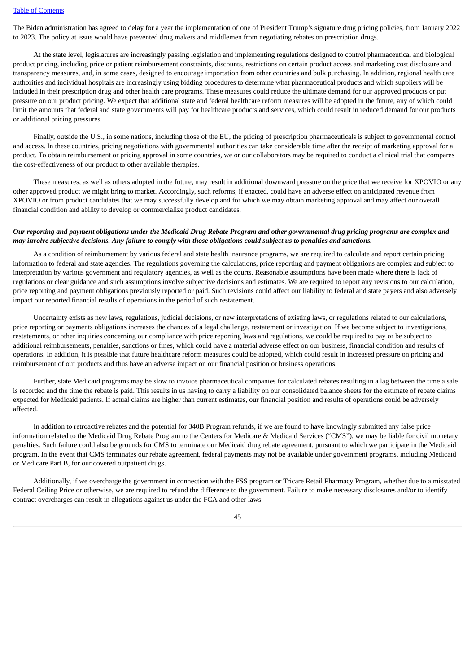The Biden administration has agreed to delay for a year the implementation of one of President Trump's signature drug pricing policies, from January 2022 to 2023. The policy at issue would have prevented drug makers and middlemen from negotiating rebates on prescription drugs.

At the state level, legislatures are increasingly passing legislation and implementing regulations designed to control pharmaceutical and biological product pricing, including price or patient reimbursement constraints, discounts, restrictions on certain product access and marketing cost disclosure and transparency measures, and, in some cases, designed to encourage importation from other countries and bulk purchasing. In addition, regional health care authorities and individual hospitals are increasingly using bidding procedures to determine what pharmaceutical products and which suppliers will be included in their prescription drug and other health care programs. These measures could reduce the ultimate demand for our approved products or put pressure on our product pricing. We expect that additional state and federal healthcare reform measures will be adopted in the future, any of which could limit the amounts that federal and state governments will pay for healthcare products and services, which could result in reduced demand for our products or additional pricing pressures.

Finally, outside the U.S., in some nations, including those of the EU, the pricing of prescription pharmaceuticals is subject to governmental control and access. In these countries, pricing negotiations with governmental authorities can take considerable time after the receipt of marketing approval for a product. To obtain reimbursement or pricing approval in some countries, we or our collaborators may be required to conduct a clinical trial that compares the cost-effectiveness of our product to other available therapies.

These measures, as well as others adopted in the future, may result in additional downward pressure on the price that we receive for XPOVIO or any other approved product we might bring to market. Accordingly, such reforms, if enacted, could have an adverse effect on anticipated revenue from XPOVIO or from product candidates that we may successfully develop and for which we may obtain marketing approval and may affect our overall financial condition and ability to develop or commercialize product candidates.

## Our reporting and payment obligations under the Medicaid Drug Rebate Program and other governmental drug pricing programs are complex and may involve subjective decisions. Any failure to comply with those obligations could subject us to penalties and sanctions.

As a condition of reimbursement by various federal and state health insurance programs, we are required to calculate and report certain pricing information to federal and state agencies. The regulations governing the calculations, price reporting and payment obligations are complex and subject to interpretation by various government and regulatory agencies, as well as the courts. Reasonable assumptions have been made where there is lack of regulations or clear guidance and such assumptions involve subjective decisions and estimates. We are required to report any revisions to our calculation, price reporting and payment obligations previously reported or paid. Such revisions could affect our liability to federal and state payers and also adversely impact our reported financial results of operations in the period of such restatement.

Uncertainty exists as new laws, regulations, judicial decisions, or new interpretations of existing laws, or regulations related to our calculations, price reporting or payments obligations increases the chances of a legal challenge, restatement or investigation. If we become subject to investigations, restatements, or other inquiries concerning our compliance with price reporting laws and regulations, we could be required to pay or be subject to additional reimbursements, penalties, sanctions or fines, which could have a material adverse effect on our business, financial condition and results of operations. In addition, it is possible that future healthcare reform measures could be adopted, which could result in increased pressure on pricing and reimbursement of our products and thus have an adverse impact on our financial position or business operations.

Further, state Medicaid programs may be slow to invoice pharmaceutical companies for calculated rebates resulting in a lag between the time a sale is recorded and the time the rebate is paid. This results in us having to carry a liability on our consolidated balance sheets for the estimate of rebate claims expected for Medicaid patients. If actual claims are higher than current estimates, our financial position and results of operations could be adversely affected.

In addition to retroactive rebates and the potential for 340B Program refunds, if we are found to have knowingly submitted any false price information related to the Medicaid Drug Rebate Program to the Centers for Medicare & Medicaid Services ("CMS"), we may be liable for civil monetary penalties. Such failure could also be grounds for CMS to terminate our Medicaid drug rebate agreement, pursuant to which we participate in the Medicaid program. In the event that CMS terminates our rebate agreement, federal payments may not be available under government programs, including Medicaid or Medicare Part B, for our covered outpatient drugs.

Additionally, if we overcharge the government in connection with the FSS program or Tricare Retail Pharmacy Program, whether due to a misstated Federal Ceiling Price or otherwise, we are required to refund the difference to the government. Failure to make necessary disclosures and/or to identify contract overcharges can result in allegations against us under the FCA and other laws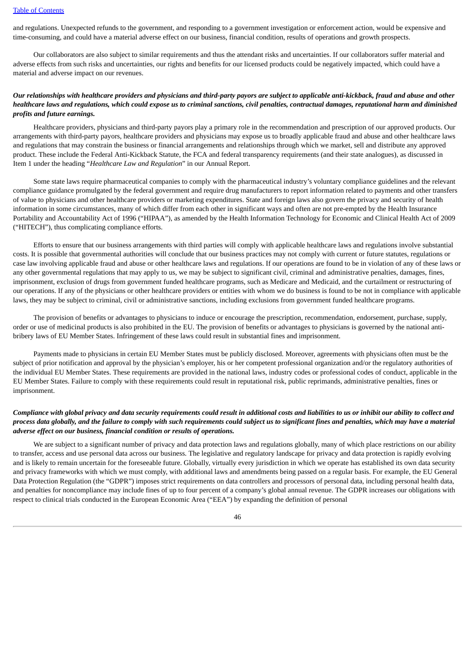and regulations. Unexpected refunds to the government, and responding to a government investigation or enforcement action, would be expensive and time-consuming, and could have a material adverse effect on our business, financial condition, results of operations and growth prospects.

Our collaborators are also subject to similar requirements and thus the attendant risks and uncertainties. If our collaborators suffer material and adverse effects from such risks and uncertainties, our rights and benefits for our licensed products could be negatively impacted, which could have a material and adverse impact on our revenues.

## Our relationships with healthcare providers and physicians and third-party payors are subject to applicable anti-kickback, fraud and abuse and other healthcare laws and regulations, which could expose us to criminal sanctions, civil penalties, contractual damages, reputational harm and diminished *profits and future earnings.*

Healthcare providers, physicians and third-party payors play a primary role in the recommendation and prescription of our approved products. Our arrangements with third-party payors, healthcare providers and physicians may expose us to broadly applicable fraud and abuse and other healthcare laws and regulations that may constrain the business or financial arrangements and relationships through which we market, sell and distribute any approved product. These include the Federal Anti-Kickback Statute, the FCA and federal transparency requirements (and their state analogues), as discussed in Item 1 under the heading "*Healthcare Law and Regulation*" in our Annual Report.

Some state laws require pharmaceutical companies to comply with the pharmaceutical industry's voluntary compliance guidelines and the relevant compliance guidance promulgated by the federal government and require drug manufacturers to report information related to payments and other transfers of value to physicians and other healthcare providers or marketing expenditures. State and foreign laws also govern the privacy and security of health information in some circumstances, many of which differ from each other in significant ways and often are not pre-empted by the Health Insurance Portability and Accountability Act of 1996 ("HIPAA"), as amended by the Health Information Technology for Economic and Clinical Health Act of 2009 ("HITECH"), thus complicating compliance efforts.

Efforts to ensure that our business arrangements with third parties will comply with applicable healthcare laws and regulations involve substantial costs. It is possible that governmental authorities will conclude that our business practices may not comply with current or future statutes, regulations or case law involving applicable fraud and abuse or other healthcare laws and regulations. If our operations are found to be in violation of any of these laws or any other governmental regulations that may apply to us, we may be subject to significant civil, criminal and administrative penalties, damages, fines, imprisonment, exclusion of drugs from government funded healthcare programs, such as Medicare and Medicaid, and the curtailment or restructuring of our operations. If any of the physicians or other healthcare providers or entities with whom we do business is found to be not in compliance with applicable laws, they may be subject to criminal, civil or administrative sanctions, including exclusions from government funded healthcare programs.

The provision of benefits or advantages to physicians to induce or encourage the prescription, recommendation, endorsement, purchase, supply, order or use of medicinal products is also prohibited in the EU. The provision of benefits or advantages to physicians is governed by the national antibribery laws of EU Member States. Infringement of these laws could result in substantial fines and imprisonment.

Payments made to physicians in certain EU Member States must be publicly disclosed. Moreover, agreements with physicians often must be the subject of prior notification and approval by the physician's employer, his or her competent professional organization and/or the regulatory authorities of the individual EU Member States. These requirements are provided in the national laws, industry codes or professional codes of conduct, applicable in the EU Member States. Failure to comply with these requirements could result in reputational risk, public reprimands, administrative penalties, fines or imprisonment.

## Compliance with global privacy and data security requirements could result in additional costs and liabilities to us or inhibit our ability to collect and process data globally, and the failure to comply with such requirements could subject us to significant fines and penalties, which may have a material *adverse effect on our business, financial condition or results of operations.*

We are subject to a significant number of privacy and data protection laws and regulations globally, many of which place restrictions on our ability to transfer, access and use personal data across our business. The legislative and regulatory landscape for privacy and data protection is rapidly evolving and is likely to remain uncertain for the foreseeable future. Globally, virtually every jurisdiction in which we operate has established its own data security and privacy frameworks with which we must comply, with additional laws and amendments being passed on a regular basis. For example, the EU General Data Protection Regulation (the "GDPR") imposes strict requirements on data controllers and processors of personal data, including personal health data, and penalties for noncompliance may include fines of up to four percent of a company's global annual revenue. The GDPR increases our obligations with respect to clinical trials conducted in the European Economic Area ("EEA") by expanding the definition of personal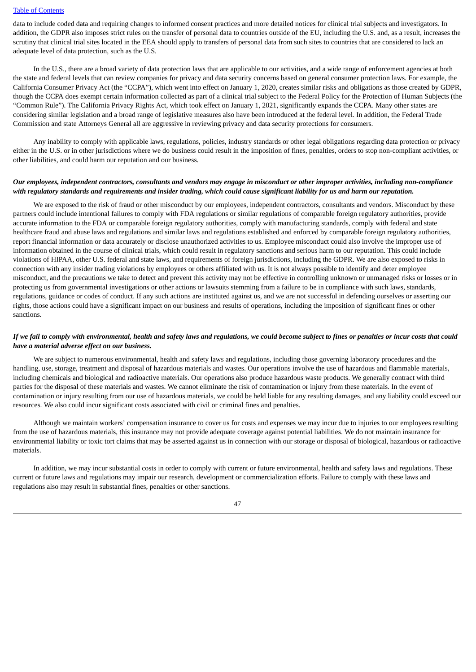data to include coded data and requiring changes to informed consent practices and more detailed notices for clinical trial subjects and investigators. In addition, the GDPR also imposes strict rules on the transfer of personal data to countries outside of the EU, including the U.S. and, as a result, increases the scrutiny that clinical trial sites located in the EEA should apply to transfers of personal data from such sites to countries that are considered to lack an adequate level of data protection, such as the U.S.

In the U.S., there are a broad variety of data protection laws that are applicable to our activities, and a wide range of enforcement agencies at both the state and federal levels that can review companies for privacy and data security concerns based on general consumer protection laws. For example, the California Consumer Privacy Act (the "CCPA"), which went into effect on January 1, 2020, creates similar risks and obligations as those created by GDPR, though the CCPA does exempt certain information collected as part of a clinical trial subject to the Federal Policy for the Protection of Human Subjects (the "Common Rule"). The California Privacy Rights Act, which took effect on January 1, 2021, significantly expands the CCPA. Many other states are considering similar legislation and a broad range of legislative measures also have been introduced at the federal level. In addition, the Federal Trade Commission and state Attorneys General all are aggressive in reviewing privacy and data security protections for consumers.

Any inability to comply with applicable laws, regulations, policies, industry standards or other legal obligations regarding data protection or privacy either in the U.S. or in other jurisdictions where we do business could result in the imposition of fines, penalties, orders to stop non-compliant activities, or other liabilities, and could harm our reputation and our business.

## Our employees, independent contractors, consultants and vendors may engage in misconduct or other improper activities, including non-compliance with regulatory standards and requirements and insider trading, which could cause significant liability for us and harm our reputation.

We are exposed to the risk of fraud or other misconduct by our employees, independent contractors, consultants and vendors. Misconduct by these partners could include intentional failures to comply with FDA regulations or similar regulations of comparable foreign regulatory authorities, provide accurate information to the FDA or comparable foreign regulatory authorities, comply with manufacturing standards, comply with federal and state healthcare fraud and abuse laws and regulations and similar laws and regulations established and enforced by comparable foreign regulatory authorities, report financial information or data accurately or disclose unauthorized activities to us. Employee misconduct could also involve the improper use of information obtained in the course of clinical trials, which could result in regulatory sanctions and serious harm to our reputation. This could include violations of HIPAA, other U.S. federal and state laws, and requirements of foreign jurisdictions, including the GDPR. We are also exposed to risks in connection with any insider trading violations by employees or others affiliated with us. It is not always possible to identify and deter employee misconduct, and the precautions we take to detect and prevent this activity may not be effective in controlling unknown or unmanaged risks or losses or in protecting us from governmental investigations or other actions or lawsuits stemming from a failure to be in compliance with such laws, standards, regulations, guidance or codes of conduct. If any such actions are instituted against us, and we are not successful in defending ourselves or asserting our rights, those actions could have a significant impact on our business and results of operations, including the imposition of significant fines or other sanctions.

## If we fail to comply with environmental, health and safety laws and regulations, we could become subject to fines or penalties or incur costs that could *have a material adverse effect on our business.*

We are subject to numerous environmental, health and safety laws and regulations, including those governing laboratory procedures and the handling, use, storage, treatment and disposal of hazardous materials and wastes. Our operations involve the use of hazardous and flammable materials, including chemicals and biological and radioactive materials. Our operations also produce hazardous waste products. We generally contract with third parties for the disposal of these materials and wastes. We cannot eliminate the risk of contamination or injury from these materials. In the event of contamination or injury resulting from our use of hazardous materials, we could be held liable for any resulting damages, and any liability could exceed our resources. We also could incur significant costs associated with civil or criminal fines and penalties.

Although we maintain workers' compensation insurance to cover us for costs and expenses we may incur due to injuries to our employees resulting from the use of hazardous materials, this insurance may not provide adequate coverage against potential liabilities. We do not maintain insurance for environmental liability or toxic tort claims that may be asserted against us in connection with our storage or disposal of biological, hazardous or radioactive materials.

In addition, we may incur substantial costs in order to comply with current or future environmental, health and safety laws and regulations. These current or future laws and regulations may impair our research, development or commercialization efforts. Failure to comply with these laws and regulations also may result in substantial fines, penalties or other sanctions.

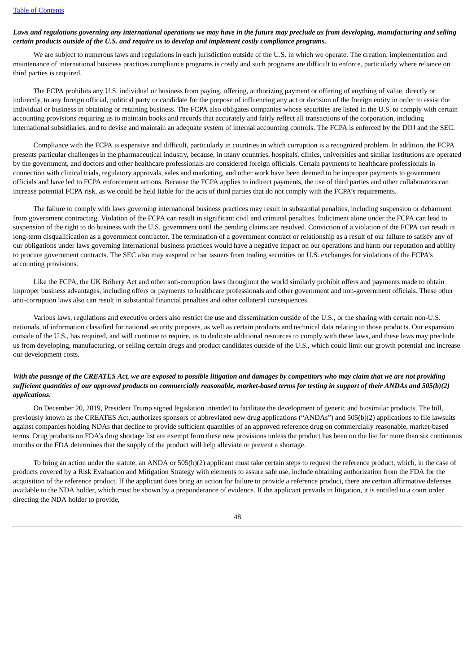## Laws and regulations governing any international operations we may have in the future may preclude us from developing, manufacturing and selling *certain products outside of the U.S. and require us to develop and implement costly compliance programs.*

We are subject to numerous laws and regulations in each jurisdiction outside of the U.S. in which we operate. The creation, implementation and maintenance of international business practices compliance programs is costly and such programs are difficult to enforce, particularly where reliance on third parties is required.

The FCPA prohibits any U.S. individual or business from paying, offering, authorizing payment or offering of anything of value, directly or indirectly, to any foreign official, political party or candidate for the purpose of influencing any act or decision of the foreign entity in order to assist the individual or business in obtaining or retaining business. The FCPA also obligates companies whose securities are listed in the U.S. to comply with certain accounting provisions requiring us to maintain books and records that accurately and fairly reflect all transactions of the corporation, including international subsidiaries, and to devise and maintain an adequate system of internal accounting controls. The FCPA is enforced by the DOJ and the SEC.

Compliance with the FCPA is expensive and difficult, particularly in countries in which corruption is a recognized problem. In addition, the FCPA presents particular challenges in the pharmaceutical industry, because, in many countries, hospitals, clinics, universities and similar institutions are operated by the government, and doctors and other healthcare professionals are considered foreign officials. Certain payments to healthcare professionals in connection with clinical trials, regulatory approvals, sales and marketing, and other work have been deemed to be improper payments to government officials and have led to FCPA enforcement actions. Because the FCPA applies to indirect payments, the use of third parties and other collaborators can increase potential FCPA risk, as we could be held liable for the acts of third parties that do not comply with the FCPA's requirements.

The failure to comply with laws governing international business practices may result in substantial penalties, including suspension or debarment from government contracting. Violation of the FCPA can result in significant civil and criminal penalties. Indictment alone under the FCPA can lead to suspension of the right to do business with the U.S. government until the pending claims are resolved. Conviction of a violation of the FCPA can result in long-term disqualification as a government contractor. The termination of a government contract or relationship as a result of our failure to satisfy any of our obligations under laws governing international business practices would have a negative impact on our operations and harm our reputation and ability to procure government contracts. The SEC also may suspend or bar issuers from trading securities on U.S. exchanges for violations of the FCPA's accounting provisions.

Like the FCPA, the UK Bribery Act and other anti-corruption laws throughout the world similarly prohibit offers and payments made to obtain improper business advantages, including offers or payments to healthcare professionals and other government and non-government officials. These other anti-corruption laws also can result in substantial financial penalties and other collateral consequences.

Various laws, regulations and executive orders also restrict the use and dissemination outside of the U.S., or the sharing with certain non-U.S. nationals, of information classified for national security purposes, as well as certain products and technical data relating to those products. Our expansion outside of the U.S., has required, and will continue to require, us to dedicate additional resources to comply with these laws, and these laws may preclude us from developing, manufacturing, or selling certain drugs and product candidates outside of the U.S., which could limit our growth potential and increase our development costs.

## With the passage of the CREATES Act, we are exposed to possible litigation and damages by competitors who may claim that we are not providing sufficient quantities of our approved products on commercially reasonable, market-based terms for testing in support of their ANDAs and 505(b)(2) *applications.*

On December 20, 2019, President Trump signed legislation intended to facilitate the development of generic and biosimilar products. The bill, previously known as the CREATES Act, authorizes sponsors of abbreviated new drug applications ("ANDAs") and 505(b)(2) applications to file lawsuits against companies holding NDAs that decline to provide sufficient quantities of an approved reference drug on commercially reasonable, market-based terms. Drug products on FDA's drug shortage list are exempt from these new provisions unless the product has been on the list for more than six continuous months or the FDA determines that the supply of the product will help alleviate or prevent a shortage.

To bring an action under the statute, an ANDA or 505(b)(2) applicant must take certain steps to request the reference product, which, in the case of products covered by a Risk Evaluation and Mitigation Strategy with elements to assure safe use, include obtaining authorization from the FDA for the acquisition of the reference product. If the applicant does bring an action for failure to provide a reference product, there are certain affirmative defenses available to the NDA holder, which must be shown by a preponderance of evidence. If the applicant prevails in litigation, it is entitled to a court order directing the NDA holder to provide,

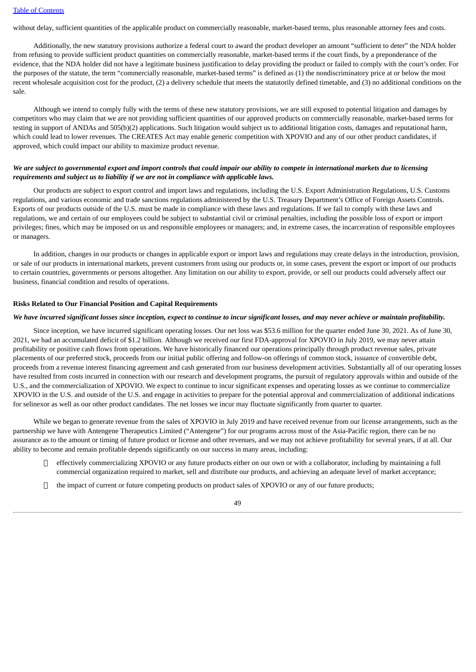without delay, sufficient quantities of the applicable product on commercially reasonable, market-based terms, plus reasonable attorney fees and costs.

Additionally, the new statutory provisions authorize a federal court to award the product developer an amount "sufficient to deter" the NDA holder from refusing to provide sufficient product quantities on commercially reasonable, market-based terms if the court finds, by a preponderance of the evidence, that the NDA holder did not have a legitimate business justification to delay providing the product or failed to comply with the court's order. For the purposes of the statute, the term "commercially reasonable, market-based terms" is defined as (1) the nondiscriminatory price at or below the most recent wholesale acquisition cost for the product, (2) a delivery schedule that meets the statutorily defined timetable, and (3) no additional conditions on the sale.

Although we intend to comply fully with the terms of these new statutory provisions, we are still exposed to potential litigation and damages by competitors who may claim that we are not providing sufficient quantities of our approved products on commercially reasonable, market-based terms for testing in support of ANDAs and 505(b)(2) applications. Such litigation would subject us to additional litigation costs, damages and reputational harm, which could lead to lower revenues. The CREATES Act may enable generic competition with XPOVIO and any of our other product candidates, if approved, which could impact our ability to maximize product revenue.

## We are subject to governmental export and import controls that could impair our ability to compete in international markets due to licensing *requirements and subject us to liability if we are not in compliance with applicable laws.*

Our products are subject to export control and import laws and regulations, including the U.S. Export Administration Regulations, U.S. Customs regulations, and various economic and trade sanctions regulations administered by the U.S. Treasury Department's Office of Foreign Assets Controls. Exports of our products outside of the U.S. must be made in compliance with these laws and regulations. If we fail to comply with these laws and regulations, we and certain of our employees could be subject to substantial civil or criminal penalties, including the possible loss of export or import privileges; fines, which may be imposed on us and responsible employees or managers; and, in extreme cases, the incarceration of responsible employees or managers.

In addition, changes in our products or changes in applicable export or import laws and regulations may create delays in the introduction, provision, or sale of our products in international markets, prevent customers from using our products or, in some cases, prevent the export or import of our products to certain countries, governments or persons altogether. Any limitation on our ability to export, provide, or sell our products could adversely affect our business, financial condition and results of operations.

#### **Risks Related to Our Financial Position and Capital Requirements**

#### We have incurred significant losses since inception, expect to continue to incur significant losses, and may never achieve or maintain profitability.

Since inception, we have incurred significant operating losses. Our net loss was \$53.6 million for the quarter ended June 30, 2021. As of June 30, 2021, we had an accumulated deficit of \$1.2 billion. Although we received our first FDA-approval for XPOVIO in July 2019, we may never attain profitability or positive cash flows from operations. We have historically financed our operations principally through product revenue sales, private placements of our preferred stock, proceeds from our initial public offering and follow-on offerings of common stock, issuance of convertible debt, proceeds from a revenue interest financing agreement and cash generated from our business development activities. Substantially all of our operating losses have resulted from costs incurred in connection with our research and development programs, the pursuit of regulatory approvals within and outside of the U.S., and the commercialization of XPOVIO. We expect to continue to incur significant expenses and operating losses as we continue to commercialize XPOVIO in the U.S. and outside of the U.S. and engage in activities to prepare for the potential approval and commercialization of additional indications for selinexor as well as our other product candidates. The net losses we incur may fluctuate significantly from quarter to quarter.

While we began to generate revenue from the sales of XPOVIO in July 2019 and have received revenue from our license arrangements, such as the partnership we have with Antengene Therapeutics Limited ("Antengene") for our programs across most of the Asia-Pacific region, there can be no assurance as to the amount or timing of future product or license and other revenues, and we may not achieve profitability for several years, if at all. Our ability to become and remain profitable depends significantly on our success in many areas, including:

- $\Box$  effectively commercializing XPOVIO or any future products either on our own or with a collaborator, including by maintaining a full commercial organization required to market, sell and distribute our products, and achieving an adequate level of market acceptance;
- $\Box$  the impact of current or future competing products on product sales of XPOVIO or any of our future products;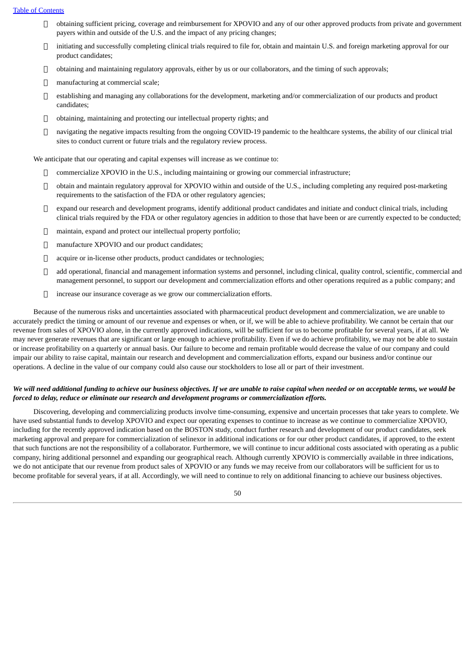- $\Box$  obtaining sufficient pricing, coverage and reimbursement for XPOVIO and any of our other approved products from private and government payers within and outside of the U.S. and the impact of any pricing changes;
- $\Box$  initiating and successfully completing clinical trials required to file for, obtain and maintain U.S. and foreign marketing approval for our product candidates;
- $\Box$  obtaining and maintaining regulatory approvals, either by us or our collaborators, and the timing of such approvals;
- manufacturing at commercial scale;
- establishing and managing any collaborations for the development, marketing and/or commercialization of our products and product candidates;
- obtaining, maintaining and protecting our intellectual property rights; and
- $\Box$  navigating the negative impacts resulting from the ongoing COVID-19 pandemic to the healthcare systems, the ability of our clinical trial sites to conduct current or future trials and the regulatory review process.

We anticipate that our operating and capital expenses will increase as we continue to:

- commercialize XPOVIO in the U.S., including maintaining or growing our commercial infrastructure;
- obtain and maintain regulatory approval for XPOVIO within and outside of the U.S., including completing any required post-marketing requirements to the satisfaction of the FDA or other regulatory agencies;
- $\Box$  expand our research and development programs, identify additional product candidates and initiate and conduct clinical trials, including clinical trials required by the FDA or other regulatory agencies in addition to those that have been or are currently expected to be conducted;
- maintain, expand and protect our intellectual property portfolio;
- manufacture XPOVIO and our product candidates;
- □ acquire or in-license other products, product candidates or technologies;
- add operational, financial and management information systems and personnel, including clinical, quality control, scientific, commercial and management personnel, to support our development and commercialization efforts and other operations required as a public company; and
- increase our insurance coverage as we grow our commercialization efforts.

Because of the numerous risks and uncertainties associated with pharmaceutical product development and commercialization, we are unable to accurately predict the timing or amount of our revenue and expenses or when, or if, we will be able to achieve profitability. We cannot be certain that our revenue from sales of XPOVIO alone, in the currently approved indications, will be sufficient for us to become profitable for several years, if at all. We may never generate revenues that are significant or large enough to achieve profitability. Even if we do achieve profitability, we may not be able to sustain or increase profitability on a quarterly or annual basis. Our failure to become and remain profitable would decrease the value of our company and could impair our ability to raise capital, maintain our research and development and commercialization efforts, expand our business and/or continue our operations. A decline in the value of our company could also cause our stockholders to lose all or part of their investment.

## We will need additional funding to achieve our business objectives. If we are unable to raise capital when needed or on acceptable terms, we would be *forced to delay, reduce or eliminate our research and development programs or commercialization efforts.*

Discovering, developing and commercializing products involve time-consuming, expensive and uncertain processes that take years to complete. We have used substantial funds to develop XPOVIO and expect our operating expenses to continue to increase as we continue to commercialize XPOVIO, including for the recently approved indication based on the BOSTON study, conduct further research and development of our product candidates, seek marketing approval and prepare for commercialization of selinexor in additional indications or for our other product candidates, if approved, to the extent that such functions are not the responsibility of a collaborator. Furthermore, we will continue to incur additional costs associated with operating as a public company, hiring additional personnel and expanding our geographical reach. Although currently XPOVIO is commercially available in three indications, we do not anticipate that our revenue from product sales of XPOVIO or any funds we may receive from our collaborators will be sufficient for us to become profitable for several years, if at all. Accordingly, we will need to continue to rely on additional financing to achieve our business objectives.

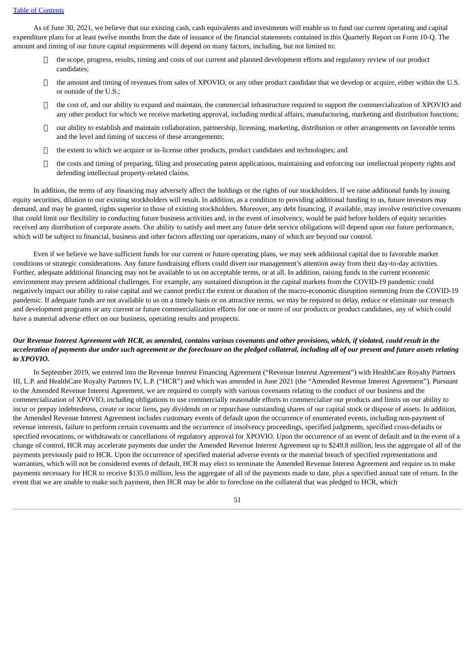As of June 30, 2021, we believe that our existing cash, cash equivalents and investments will enable us to fund our current operating and capital expenditure plans for at least twelve months from the date of issuance of the financial statements contained in this Quarterly Report on Form 10-Q. The amount and timing of our future capital requirements will depend on many factors, including, but not limited to:

- $\Box$  the scope, progress, results, timing and costs of our current and planned development efforts and regulatory review of our product candidates;
- The amount and timing of revenues from sales of XPOVIO, or any other product candidate that we develop or acquire, either within the U.S. or outside of the U.S.;
- $\Box$  the cost of, and our ability to expand and maintain, the commercial infrastructure required to support the commercialization of XPOVIO and any other product for which we receive marketing approval, including medical affairs, manufacturing, marketing and distribution functions;
- $\Box$  our ability to establish and maintain collaboration, partnership, licensing, marketing, distribution or other arrangements on favorable terms and the level and timing of success of these arrangements;
- $\Box$  the extent to which we acquire or in-license other products, product candidates and technologies; and
- $\Box$  the costs and timing of preparing, filing and prosecuting patent applications, maintaining and enforcing our intellectual property rights and defending intellectual property-related claims.

In addition, the terms of any financing may adversely affect the holdings or the rights of our stockholders. If we raise additional funds by issuing equity securities, dilution to our existing stockholders will result. In addition, as a condition to providing additional funding to us, future investors may demand, and may be granted, rights superior to those of existing stockholders. Moreover, any debt financing, if available, may involve restrictive covenants that could limit our flexibility in conducting future business activities and, in the event of insolvency, would be paid before holders of equity securities received any distribution of corporate assets. Our ability to satisfy and meet any future debt service obligations will depend upon our future performance, which will be subject to financial, business and other factors affecting our operations, many of which are beyond our control.

Even if we believe we have sufficient funds for our current or future operating plans, we may seek additional capital due to favorable market conditions or strategic considerations. Any future fundraising efforts could divert our management's attention away from their day-to-day activities. Further, adequate additional financing may not be available to us on acceptable terms, or at all. In addition, raising funds in the current economic environment may present additional challenges. For example, any sustained disruption in the capital markets from the COVID-19 pandemic could negatively impact our ability to raise capital and we cannot predict the extent or duration of the macro-economic disruption stemming from the COVID-19 pandemic. If adequate funds are not available to us on a timely basis or on attractive terms, we may be required to delay, reduce or eliminate our research and development programs or any current or future commercialization efforts for one or more of our products or product candidates, any of which could have a material adverse effect on our business, operating results and prospects.

## Our Revenue Interest Agreement with HCR, as amended, contains various covenants and other provisions, which, if violated, could result in the acceleration of payments due under such agreement or the foreclosure on the pledged collateral, including all of our present and future assets relating *to XPOVIO.*

In September 2019, we entered into the Revenue Interest Financing Agreement ("Revenue Interest Agreement") with HealthCare Royalty Partners III, L.P. and HealthCare Royalty Partners IV, L.P. ("HCR") and which was amended in June 2021 (the "Amended Revenue Interest Agreement"). Pursuant to the Amended Revenue Interest Agreement, we are required to comply with various covenants relating to the conduct of our business and the commercialization of XPOVIO, including obligations to use commercially reasonable efforts to commercialize our products and limits on our ability to incur or prepay indebtedness, create or incur liens, pay dividends on or repurchase outstanding shares of our capital stock or dispose of assets. In addition, the Amended Revenue Interest Agreement includes customary events of default upon the occurrence of enumerated events, including non-payment of revenue interests, failure to perform certain covenants and the occurrence of insolvency proceedings, specified judgments, specified cross-defaults or specified revocations, or withdrawals or cancellations of regulatory approval for XPOVIO. Upon the occurrence of an event of default and in the event of a change of control, HCR may accelerate payments due under the Amended Revenue Interest Agreement up to \$249.8 million, less the aggregate of all of the payments previously paid to HCR. Upon the occurrence of specified material adverse events or the material breach of specified representations and warranties, which will not be considered events of default, HCR may elect to terminate the Amended Revenue Interest Agreement and require us to make payments necessary for HCR to receive \$135.0 million, less the aggregate of all of the payments made to date, plus a specified annual rate of return. In the event that we are unable to make such payment, then HCR may be able to foreclose on the collateral that was pledged to HCR, which

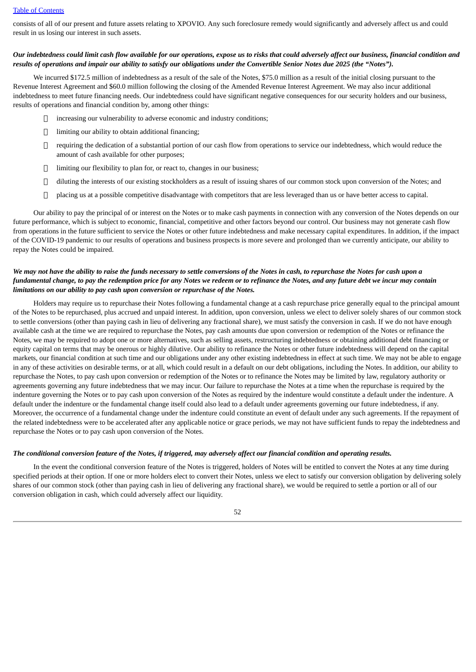consists of all of our present and future assets relating to XPOVIO. Any such foreclosure remedy would significantly and adversely affect us and could result in us losing our interest in such assets.

### Our indebtedness could limit cash flow available for our operations, expose us to risks that could adversely affect our business, financial condition and results of operations and impair our ability to satisfy our obligations under the Convertible Senior Notes due 2025 (the "Notes").

We incurred \$172.5 million of indebtedness as a result of the sale of the Notes, \$75.0 million as a result of the initial closing pursuant to the Revenue Interest Agreement and \$60.0 million following the closing of the Amended Revenue Interest Agreement. We may also incur additional indebtedness to meet future financing needs. Our indebtedness could have significant negative consequences for our security holders and our business, results of operations and financial condition by, among other things:

- increasing our vulnerability to adverse economic and industry conditions;
- $\Box$  limiting our ability to obtain additional financing;
- $\Box$  requiring the dedication of a substantial portion of our cash flow from operations to service our indebtedness, which would reduce the amount of cash available for other purposes;
- limiting our flexibility to plan for, or react to, changes in our business;
- $\Box$  diluting the interests of our existing stockholders as a result of issuing shares of our common stock upon conversion of the Notes; and
- $\Box$  placing us at a possible competitive disadvantage with competitors that are less leveraged than us or have better access to capital.

Our ability to pay the principal of or interest on the Notes or to make cash payments in connection with any conversion of the Notes depends on our future performance, which is subject to economic, financial, competitive and other factors beyond our control. Our business may not generate cash flow from operations in the future sufficient to service the Notes or other future indebtedness and make necessary capital expenditures. In addition, if the impact of the COVID-19 pandemic to our results of operations and business prospects is more severe and prolonged than we currently anticipate, our ability to repay the Notes could be impaired.

## We may not have the ability to raise the funds necessary to settle conversions of the Notes in cash, to repurchase the Notes for cash upon a fundamental change, to pay the redemption price for any Notes we redeem or to refinance the Notes, and any future debt we incur may contain *limitations on our ability to pay cash upon conversion or repurchase of the Notes.*

Holders may require us to repurchase their Notes following a fundamental change at a cash repurchase price generally equal to the principal amount of the Notes to be repurchased, plus accrued and unpaid interest. In addition, upon conversion, unless we elect to deliver solely shares of our common stock to settle conversions (other than paying cash in lieu of delivering any fractional share), we must satisfy the conversion in cash. If we do not have enough available cash at the time we are required to repurchase the Notes, pay cash amounts due upon conversion or redemption of the Notes or refinance the Notes, we may be required to adopt one or more alternatives, such as selling assets, restructuring indebtedness or obtaining additional debt financing or equity capital on terms that may be onerous or highly dilutive. Our ability to refinance the Notes or other future indebtedness will depend on the capital markets, our financial condition at such time and our obligations under any other existing indebtedness in effect at such time. We may not be able to engage in any of these activities on desirable terms, or at all, which could result in a default on our debt obligations, including the Notes. In addition, our ability to repurchase the Notes, to pay cash upon conversion or redemption of the Notes or to refinance the Notes may be limited by law, regulatory authority or agreements governing any future indebtedness that we may incur. Our failure to repurchase the Notes at a time when the repurchase is required by the indenture governing the Notes or to pay cash upon conversion of the Notes as required by the indenture would constitute a default under the indenture. A default under the indenture or the fundamental change itself could also lead to a default under agreements governing our future indebtedness, if any. Moreover, the occurrence of a fundamental change under the indenture could constitute an event of default under any such agreements. If the repayment of the related indebtedness were to be accelerated after any applicable notice or grace periods, we may not have sufficient funds to repay the indebtedness and repurchase the Notes or to pay cash upon conversion of the Notes.

#### The conditional conversion feature of the Notes, if triggered, may adversely affect our financial condition and operating results.

In the event the conditional conversion feature of the Notes is triggered, holders of Notes will be entitled to convert the Notes at any time during specified periods at their option. If one or more holders elect to convert their Notes, unless we elect to satisfy our conversion obligation by delivering solely shares of our common stock (other than paying cash in lieu of delivering any fractional share), we would be required to settle a portion or all of our conversion obligation in cash, which could adversely affect our liquidity.

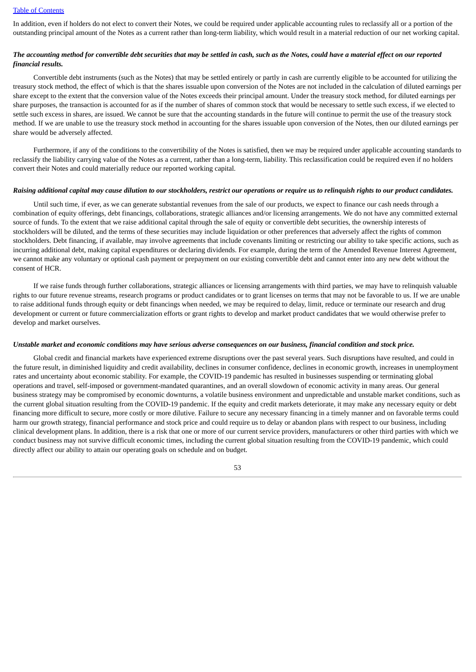In addition, even if holders do not elect to convert their Notes, we could be required under applicable accounting rules to reclassify all or a portion of the outstanding principal amount of the Notes as a current rather than long-term liability, which would result in a material reduction of our net working capital.

## The accounting method for convertible debt securities that may be settled in cash, such as the Notes, could have a material effect on our reported *financial results.*

Convertible debt instruments (such as the Notes) that may be settled entirely or partly in cash are currently eligible to be accounted for utilizing the treasury stock method, the effect of which is that the shares issuable upon conversion of the Notes are not included in the calculation of diluted earnings per share except to the extent that the conversion value of the Notes exceeds their principal amount. Under the treasury stock method, for diluted earnings per share purposes, the transaction is accounted for as if the number of shares of common stock that would be necessary to settle such excess, if we elected to settle such excess in shares, are issued. We cannot be sure that the accounting standards in the future will continue to permit the use of the treasury stock method. If we are unable to use the treasury stock method in accounting for the shares issuable upon conversion of the Notes, then our diluted earnings per share would be adversely affected.

Furthermore, if any of the conditions to the convertibility of the Notes is satisfied, then we may be required under applicable accounting standards to reclassify the liability carrying value of the Notes as a current, rather than a long-term, liability. This reclassification could be required even if no holders convert their Notes and could materially reduce our reported working capital.

#### Raising additional capital may cause dilution to our stockholders, restrict our operations or require us to relinguish rights to our product candidates.

Until such time, if ever, as we can generate substantial revenues from the sale of our products, we expect to finance our cash needs through a combination of equity offerings, debt financings, collaborations, strategic alliances and/or licensing arrangements. We do not have any committed external source of funds. To the extent that we raise additional capital through the sale of equity or convertible debt securities, the ownership interests of stockholders will be diluted, and the terms of these securities may include liquidation or other preferences that adversely affect the rights of common stockholders. Debt financing, if available, may involve agreements that include covenants limiting or restricting our ability to take specific actions, such as incurring additional debt, making capital expenditures or declaring dividends. For example, during the term of the Amended Revenue Interest Agreement, we cannot make any voluntary or optional cash payment or prepayment on our existing convertible debt and cannot enter into any new debt without the consent of HCR.

If we raise funds through further collaborations, strategic alliances or licensing arrangements with third parties, we may have to relinquish valuable rights to our future revenue streams, research programs or product candidates or to grant licenses on terms that may not be favorable to us. If we are unable to raise additional funds through equity or debt financings when needed, we may be required to delay, limit, reduce or terminate our research and drug development or current or future commercialization efforts or grant rights to develop and market product candidates that we would otherwise prefer to develop and market ourselves.

## Unstable market and economic conditions may have serious adverse consequences on our business, financial condition and stock price.

Global credit and financial markets have experienced extreme disruptions over the past several years. Such disruptions have resulted, and could in the future result, in diminished liquidity and credit availability, declines in consumer confidence, declines in economic growth, increases in unemployment rates and uncertainty about economic stability. For example, the COVID-19 pandemic has resulted in businesses suspending or terminating global operations and travel, self-imposed or government-mandated quarantines, and an overall slowdown of economic activity in many areas. Our general business strategy may be compromised by economic downturns, a volatile business environment and unpredictable and unstable market conditions, such as the current global situation resulting from the COVID-19 pandemic. If the equity and credit markets deteriorate, it may make any necessary equity or debt financing more difficult to secure, more costly or more dilutive. Failure to secure any necessary financing in a timely manner and on favorable terms could harm our growth strategy, financial performance and stock price and could require us to delay or abandon plans with respect to our business, including clinical development plans. In addition, there is a risk that one or more of our current service providers, manufacturers or other third parties with which we conduct business may not survive difficult economic times, including the current global situation resulting from the COVID-19 pandemic, which could directly affect our ability to attain our operating goals on schedule and on budget.

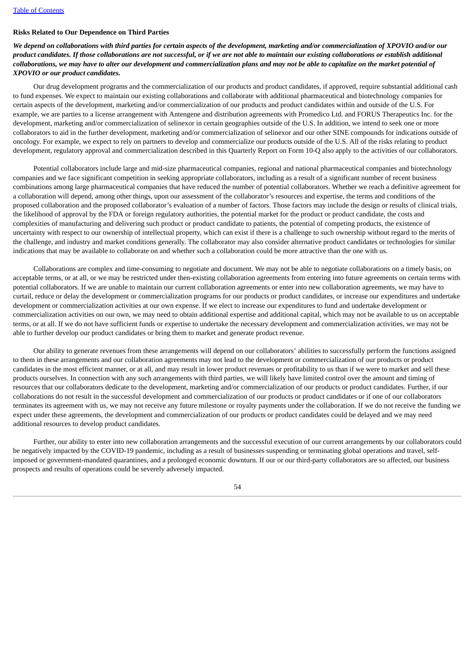## **Risks Related to Our Dependence on Third Parties**

We depend on collaborations with third parties for certain aspects of the development, marketing and/or commercialization of XPOVIO and/or our product candidates. If those collaborations are not successful, or if we are not able to maintain our existing collaborations or establish additional collaborations, we may have to alter our development and commercialization plans and may not be able to capitalize on the market potential of *XPOVIO or our product candidates.*

Our drug development programs and the commercialization of our products and product candidates, if approved, require substantial additional cash to fund expenses. We expect to maintain our existing collaborations and collaborate with additional pharmaceutical and biotechnology companies for certain aspects of the development, marketing and/or commercialization of our products and product candidates within and outside of the U.S. For example, we are parties to a license arrangement with Antengene and distribution agreements with Promedico Ltd. and FORUS Therapeutics Inc. for the development, marketing and/or commercialization of selinexor in certain geographies outside of the U.S. In addition, we intend to seek one or more collaborators to aid in the further development, marketing and/or commercialization of selinexor and our other SINE compounds for indications outside of oncology. For example, we expect to rely on partners to develop and commercialize our products outside of the U.S. All of the risks relating to product development, regulatory approval and commercialization described in this Quarterly Report on Form 10-Q also apply to the activities of our collaborators.

Potential collaborators include large and mid-size pharmaceutical companies, regional and national pharmaceutical companies and biotechnology companies and we face significant competition in seeking appropriate collaborators, including as a result of a significant number of recent business combinations among large pharmaceutical companies that have reduced the number of potential collaborators. Whether we reach a definitive agreement for a collaboration will depend, among other things, upon our assessment of the collaborator's resources and expertise, the terms and conditions of the proposed collaboration and the proposed collaborator's evaluation of a number of factors. Those factors may include the design or results of clinical trials, the likelihood of approval by the FDA or foreign regulatory authorities, the potential market for the product or product candidate, the costs and complexities of manufacturing and delivering such product or product candidate to patients, the potential of competing products, the existence of uncertainty with respect to our ownership of intellectual property, which can exist if there is a challenge to such ownership without regard to the merits of the challenge, and industry and market conditions generally. The collaborator may also consider alternative product candidates or technologies for similar indications that may be available to collaborate on and whether such a collaboration could be more attractive than the one with us.

Collaborations are complex and time-consuming to negotiate and document. We may not be able to negotiate collaborations on a timely basis, on acceptable terms, or at all, or we may be restricted under then-existing collaboration agreements from entering into future agreements on certain terms with potential collaborators. If we are unable to maintain our current collaboration agreements or enter into new collaboration agreements, we may have to curtail, reduce or delay the development or commercialization programs for our products or product candidates, or increase our expenditures and undertake development or commercialization activities at our own expense. If we elect to increase our expenditures to fund and undertake development or commercialization activities on our own, we may need to obtain additional expertise and additional capital, which may not be available to us on acceptable terms, or at all. If we do not have sufficient funds or expertise to undertake the necessary development and commercialization activities, we may not be able to further develop our product candidates or bring them to market and generate product revenue.

Our ability to generate revenues from these arrangements will depend on our collaborators' abilities to successfully perform the functions assigned to them in these arrangements and our collaboration agreements may not lead to the development or commercialization of our products or product candidates in the most efficient manner, or at all, and may result in lower product revenues or profitability to us than if we were to market and sell these products ourselves. In connection with any such arrangements with third parties, we will likely have limited control over the amount and timing of resources that our collaborators dedicate to the development, marketing and/or commercialization of our products or product candidates. Further, if our collaborations do not result in the successful development and commercialization of our products or product candidates or if one of our collaborators terminates its agreement with us, we may not receive any future milestone or royalty payments under the collaboration. If we do not receive the funding we expect under these agreements, the development and commercialization of our products or product candidates could be delayed and we may need additional resources to develop product candidates.

Further, our ability to enter into new collaboration arrangements and the successful execution of our current arrangements by our collaborators could be negatively impacted by the COVID-19 pandemic, including as a result of businesses suspending or terminating global operations and travel, selfimposed or government-mandated quarantines, and a prolonged economic downturn. If our or our third-party collaborators are so affected, our business prospects and results of operations could be severely adversely impacted.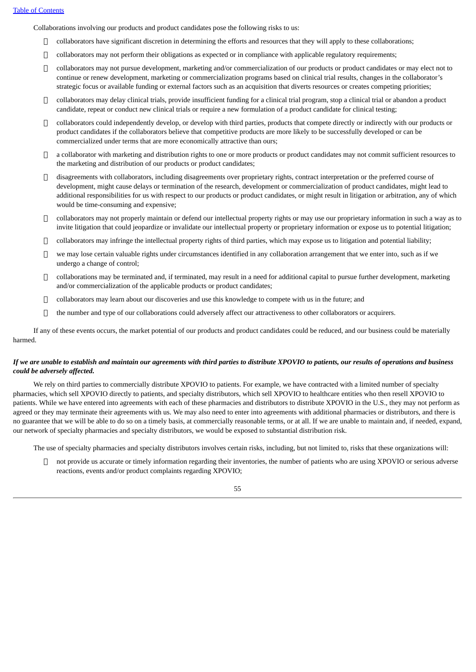Collaborations involving our products and product candidates pose the following risks to us:

- collaborators have significant discretion in determining the efforts and resources that they will apply to these collaborations;
- collaborators may not perform their obligations as expected or in compliance with applicable regulatory requirements;
- $\Box$  collaborators may not pursue development, marketing and/or commercialization of our products or product candidates or may elect not to continue or renew development, marketing or commercialization programs based on clinical trial results, changes in the collaborator's strategic focus or available funding or external factors such as an acquisition that diverts resources or creates competing priorities;
- collaborators may delay clinical trials, provide insufficient funding for a clinical trial program, stop a clinical trial or abandon a product candidate, repeat or conduct new clinical trials or require a new formulation of a product candidate for clinical testing;
- collaborators could independently develop, or develop with third parties, products that compete directly or indirectly with our products or product candidates if the collaborators believe that competitive products are more likely to be successfully developed or can be commercialized under terms that are more economically attractive than ours;
- $\Box$  a collaborator with marketing and distribution rights to one or more products or product candidates may not commit sufficient resources to the marketing and distribution of our products or product candidates;
- $\Box$  disagreements with collaborators, including disagreements over proprietary rights, contract interpretation or the preferred course of development, might cause delays or termination of the research, development or commercialization of product candidates, might lead to additional responsibilities for us with respect to our products or product candidates, or might result in litigation or arbitration, any of which would be time-consuming and expensive;
- collaborators may not properly maintain or defend our intellectual property rights or may use our proprietary information in such a way as to invite litigation that could jeopardize or invalidate our intellectual property or proprietary information or expose us to potential litigation;
- $\Box$  collaborators may infringe the intellectual property rights of third parties, which may expose us to litigation and potential liability;
- $\Box$  we may lose certain valuable rights under circumstances identified in any collaboration arrangement that we enter into, such as if we undergo a change of control;
- $\Box$  collaborations may be terminated and, if terminated, may result in a need for additional capital to pursue further development, marketing and/or commercialization of the applicable products or product candidates;
- collaborators may learn about our discoveries and use this knowledge to compete with us in the future; and
- $\Box$  the number and type of our collaborations could adversely affect our attractiveness to other collaborators or acquirers.

If any of these events occurs, the market potential of our products and product candidates could be reduced, and our business could be materially harmed.

## If we are unable to establish and maintain our agreements with third parties to distribute XPOVIO to patients, our results of operations and business *could be adversely affected.*

We rely on third parties to commercially distribute XPOVIO to patients. For example, we have contracted with a limited number of specialty pharmacies, which sell XPOVIO directly to patients, and specialty distributors, which sell XPOVIO to healthcare entities who then resell XPOVIO to patients. While we have entered into agreements with each of these pharmacies and distributors to distribute XPOVIO in the U.S., they may not perform as agreed or they may terminate their agreements with us. We may also need to enter into agreements with additional pharmacies or distributors, and there is no guarantee that we will be able to do so on a timely basis, at commercially reasonable terms, or at all. If we are unable to maintain and, if needed, expand, our network of specialty pharmacies and specialty distributors, we would be exposed to substantial distribution risk.

The use of specialty pharmacies and specialty distributors involves certain risks, including, but not limited to, risks that these organizations will:

 not provide us accurate or timely information regarding their inventories, the number of patients who are using XPOVIO or serious adverse reactions, events and/or product complaints regarding XPOVIO;

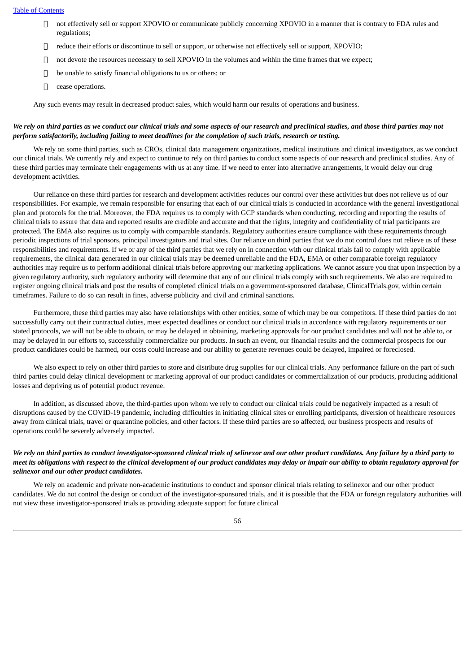- not effectively sell or support XPOVIO or communicate publicly concerning XPOVIO in a manner that is contrary to FDA rules and regulations;
- $\Box$  reduce their efforts or discontinue to sell or support, or otherwise not effectively sell or support, XPOVIO;
- $\Box$  not devote the resources necessary to sell XPOVIO in the volumes and within the time frames that we expect;
- $\Box$  be unable to satisfy financial obligations to us or others; or
- $\Box$  cease operations.

Any such events may result in decreased product sales, which would harm our results of operations and business.

## We rely on third parties as we conduct our clinical trials and some aspects of our research and preclinical studies, and those third parties may not perform satisfactorily, including failing to meet deadlines for the completion of such trials, research or testing.

We rely on some third parties, such as CROs, clinical data management organizations, medical institutions and clinical investigators, as we conduct our clinical trials. We currently rely and expect to continue to rely on third parties to conduct some aspects of our research and preclinical studies. Any of these third parties may terminate their engagements with us at any time. If we need to enter into alternative arrangements, it would delay our drug development activities.

Our reliance on these third parties for research and development activities reduces our control over these activities but does not relieve us of our responsibilities. For example, we remain responsible for ensuring that each of our clinical trials is conducted in accordance with the general investigational plan and protocols for the trial. Moreover, the FDA requires us to comply with GCP standards when conducting, recording and reporting the results of clinical trials to assure that data and reported results are credible and accurate and that the rights, integrity and confidentiality of trial participants are protected. The EMA also requires us to comply with comparable standards. Regulatory authorities ensure compliance with these requirements through periodic inspections of trial sponsors, principal investigators and trial sites. Our reliance on third parties that we do not control does not relieve us of these responsibilities and requirements. If we or any of the third parties that we rely on in connection with our clinical trials fail to comply with applicable requirements, the clinical data generated in our clinical trials may be deemed unreliable and the FDA, EMA or other comparable foreign regulatory authorities may require us to perform additional clinical trials before approving our marketing applications. We cannot assure you that upon inspection by a given regulatory authority, such regulatory authority will determine that any of our clinical trials comply with such requirements. We also are required to register ongoing clinical trials and post the results of completed clinical trials on a government-sponsored database, ClinicalTrials.gov, within certain timeframes. Failure to do so can result in fines, adverse publicity and civil and criminal sanctions.

Furthermore, these third parties may also have relationships with other entities, some of which may be our competitors. If these third parties do not successfully carry out their contractual duties, meet expected deadlines or conduct our clinical trials in accordance with regulatory requirements or our stated protocols, we will not be able to obtain, or may be delayed in obtaining, marketing approvals for our product candidates and will not be able to, or may be delayed in our efforts to, successfully commercialize our products. In such an event, our financial results and the commercial prospects for our product candidates could be harmed, our costs could increase and our ability to generate revenues could be delayed, impaired or foreclosed.

We also expect to rely on other third parties to store and distribute drug supplies for our clinical trials. Any performance failure on the part of such third parties could delay clinical development or marketing approval of our product candidates or commercialization of our products, producing additional losses and depriving us of potential product revenue.

In addition, as discussed above, the third-parties upon whom we rely to conduct our clinical trials could be negatively impacted as a result of disruptions caused by the COVID-19 pandemic, including difficulties in initiating clinical sites or enrolling participants, diversion of healthcare resources away from clinical trials, travel or quarantine policies, and other factors. If these third parties are so affected, our business prospects and results of operations could be severely adversely impacted.

## We rely on third parties to conduct investigator-sponsored clinical trials of selinexor and our other product candidates. Any failure by a third party to meet its obligations with respect to the clinical development of our product candidates may delay or impair our ability to obtain requlatory approval for *selinexor and our other product candidates.*

We rely on academic and private non-academic institutions to conduct and sponsor clinical trials relating to selinexor and our other product candidates. We do not control the design or conduct of the investigator-sponsored trials, and it is possible that the FDA or foreign regulatory authorities will not view these investigator-sponsored trials as providing adequate support for future clinical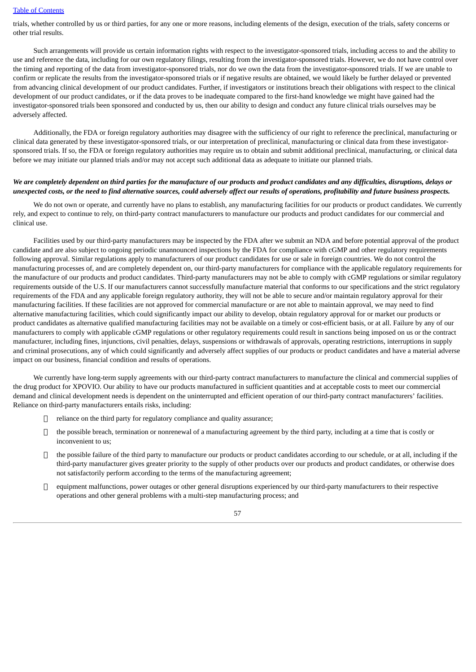trials, whether controlled by us or third parties, for any one or more reasons, including elements of the design, execution of the trials, safety concerns or other trial results.

Such arrangements will provide us certain information rights with respect to the investigator-sponsored trials, including access to and the ability to use and reference the data, including for our own regulatory filings, resulting from the investigator-sponsored trials. However, we do not have control over the timing and reporting of the data from investigator-sponsored trials, nor do we own the data from the investigator-sponsored trials. If we are unable to confirm or replicate the results from the investigator-sponsored trials or if negative results are obtained, we would likely be further delayed or prevented from advancing clinical development of our product candidates. Further, if investigators or institutions breach their obligations with respect to the clinical development of our product candidates, or if the data proves to be inadequate compared to the first-hand knowledge we might have gained had the investigator-sponsored trials been sponsored and conducted by us, then our ability to design and conduct any future clinical trials ourselves may be adversely affected.

Additionally, the FDA or foreign regulatory authorities may disagree with the sufficiency of our right to reference the preclinical, manufacturing or clinical data generated by these investigator-sponsored trials, or our interpretation of preclinical, manufacturing or clinical data from these investigatorsponsored trials. If so, the FDA or foreign regulatory authorities may require us to obtain and submit additional preclinical, manufacturing, or clinical data before we may initiate our planned trials and/or may not accept such additional data as adequate to initiate our planned trials.

## We are completely dependent on third parties for the manufacture of our products and product candidates and any difficulties, disruptions, delays or unexpected costs, or the need to find alternative sources, could adversely affect our results of operations, profitability and future business prospects.

We do not own or operate, and currently have no plans to establish, any manufacturing facilities for our products or product candidates. We currently rely, and expect to continue to rely, on third-party contract manufacturers to manufacture our products and product candidates for our commercial and clinical use.

Facilities used by our third-party manufacturers may be inspected by the FDA after we submit an NDA and before potential approval of the product candidate and are also subject to ongoing periodic unannounced inspections by the FDA for compliance with cGMP and other regulatory requirements following approval. Similar regulations apply to manufacturers of our product candidates for use or sale in foreign countries. We do not control the manufacturing processes of, and are completely dependent on, our third-party manufacturers for compliance with the applicable regulatory requirements for the manufacture of our products and product candidates. Third-party manufacturers may not be able to comply with cGMP regulations or similar regulatory requirements outside of the U.S. If our manufacturers cannot successfully manufacture material that conforms to our specifications and the strict regulatory requirements of the FDA and any applicable foreign regulatory authority, they will not be able to secure and/or maintain regulatory approval for their manufacturing facilities. If these facilities are not approved for commercial manufacture or are not able to maintain approval, we may need to find alternative manufacturing facilities, which could significantly impact our ability to develop, obtain regulatory approval for or market our products or product candidates as alternative qualified manufacturing facilities may not be available on a timely or cost-efficient basis, or at all. Failure by any of our manufacturers to comply with applicable cGMP regulations or other regulatory requirements could result in sanctions being imposed on us or the contract manufacturer, including fines, injunctions, civil penalties, delays, suspensions or withdrawals of approvals, operating restrictions, interruptions in supply and criminal prosecutions, any of which could significantly and adversely affect supplies of our products or product candidates and have a material adverse impact on our business, financial condition and results of operations.

We currently have long-term supply agreements with our third-party contract manufacturers to manufacture the clinical and commercial supplies of the drug product for XPOVIO. Our ability to have our products manufactured in sufficient quantities and at acceptable costs to meet our commercial demand and clinical development needs is dependent on the uninterrupted and efficient operation of our third-party contract manufacturers' facilities. Reliance on third-party manufacturers entails risks, including:

- $\Box$  reliance on the third party for regulatory compliance and quality assurance;
- $\Box$  the possible breach, termination or nonrenewal of a manufacturing agreement by the third party, including at a time that is costly or inconvenient to us;
- $\Box$  the possible failure of the third party to manufacture our products or product candidates according to our schedule, or at all, including if the third-party manufacturer gives greater priority to the supply of other products over our products and product candidates, or otherwise does not satisfactorily perform according to the terms of the manufacturing agreement;
- $\Box$  equipment malfunctions, power outages or other general disruptions experienced by our third-party manufacturers to their respective operations and other general problems with a multi-step manufacturing process; and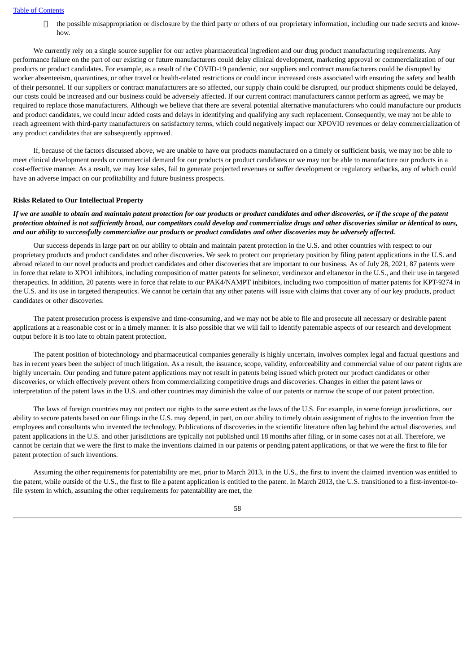$\Box$  the possible misappropriation or disclosure by the third party or others of our proprietary information, including our trade secrets and knowhow.

We currently rely on a single source supplier for our active pharmaceutical ingredient and our drug product manufacturing requirements. Any performance failure on the part of our existing or future manufacturers could delay clinical development, marketing approval or commercialization of our products or product candidates. For example, as a result of the COVID-19 pandemic, our suppliers and contract manufacturers could be disrupted by worker absenteeism, quarantines, or other travel or health-related restrictions or could incur increased costs associated with ensuring the safety and health of their personnel. If our suppliers or contract manufacturers are so affected, our supply chain could be disrupted, our product shipments could be delayed, our costs could be increased and our business could be adversely affected. If our current contract manufacturers cannot perform as agreed, we may be required to replace those manufacturers. Although we believe that there are several potential alternative manufacturers who could manufacture our products and product candidates, we could incur added costs and delays in identifying and qualifying any such replacement. Consequently, we may not be able to reach agreement with third-party manufacturers on satisfactory terms, which could negatively impact our XPOVIO revenues or delay commercialization of any product candidates that are subsequently approved.

If, because of the factors discussed above, we are unable to have our products manufactured on a timely or sufficient basis, we may not be able to meet clinical development needs or commercial demand for our products or product candidates or we may not be able to manufacture our products in a cost-effective manner. As a result, we may lose sales, fail to generate projected revenues or suffer development or regulatory setbacks, any of which could have an adverse impact on our profitability and future business prospects.

#### **Risks Related to Our Intellectual Property**

If we are unable to obtain and maintain patent protection for our products or product candidates and other discoveries, or if the scope of the patent protection obtained is not sufficiently broad, our competitors could develop and commercialize drugs and other discoveries similar or identical to ours, and our ability to successfully commercialize our products or product candidates and other discoveries may be adversely affected.

Our success depends in large part on our ability to obtain and maintain patent protection in the U.S. and other countries with respect to our proprietary products and product candidates and other discoveries. We seek to protect our proprietary position by filing patent applications in the U.S. and abroad related to our novel products and product candidates and other discoveries that are important to our business. As of July 28, 2021, 87 patents were in force that relate to XPO1 inhibitors, including composition of matter patents for selinexor, verdinexor and eltanexor in the U.S., and their use in targeted therapeutics. In addition, 20 patents were in force that relate to our PAK4/NAMPT inhibitors, including two composition of matter patents for KPT-9274 in the U.S. and its use in targeted therapeutics. We cannot be certain that any other patents will issue with claims that cover any of our key products, product candidates or other discoveries.

The patent prosecution process is expensive and time-consuming, and we may not be able to file and prosecute all necessary or desirable patent applications at a reasonable cost or in a timely manner. It is also possible that we will fail to identify patentable aspects of our research and development output before it is too late to obtain patent protection.

The patent position of biotechnology and pharmaceutical companies generally is highly uncertain, involves complex legal and factual questions and has in recent years been the subject of much litigation. As a result, the issuance, scope, validity, enforceability and commercial value of our patent rights are highly uncertain. Our pending and future patent applications may not result in patents being issued which protect our product candidates or other discoveries, or which effectively prevent others from commercializing competitive drugs and discoveries. Changes in either the patent laws or interpretation of the patent laws in the U.S. and other countries may diminish the value of our patents or narrow the scope of our patent protection.

The laws of foreign countries may not protect our rights to the same extent as the laws of the U.S. For example, in some foreign jurisdictions, our ability to secure patents based on our filings in the U.S. may depend, in part, on our ability to timely obtain assignment of rights to the invention from the employees and consultants who invented the technology. Publications of discoveries in the scientific literature often lag behind the actual discoveries, and patent applications in the U.S. and other jurisdictions are typically not published until 18 months after filing, or in some cases not at all. Therefore, we cannot be certain that we were the first to make the inventions claimed in our patents or pending patent applications, or that we were the first to file for patent protection of such inventions.

Assuming the other requirements for patentability are met, prior to March 2013, in the U.S., the first to invent the claimed invention was entitled to the patent, while outside of the U.S., the first to file a patent application is entitled to the patent. In March 2013, the U.S. transitioned to a first-inventor-tofile system in which, assuming the other requirements for patentability are met, the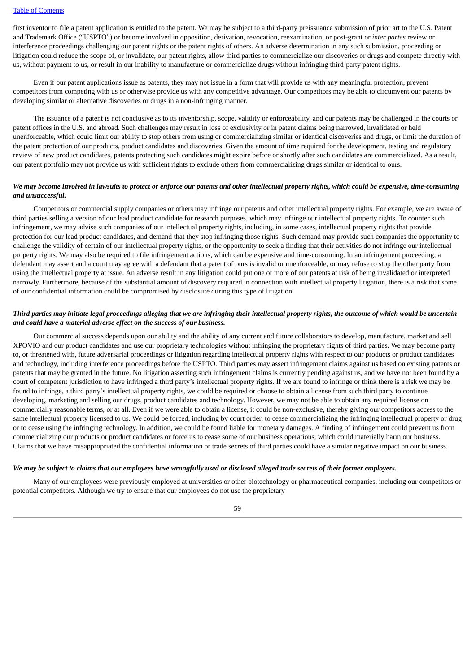first inventor to file a patent application is entitled to the patent. We may be subject to a third-party preissuance submission of prior art to the U.S. Patent and Trademark Office ("USPTO") or become involved in opposition, derivation, revocation, reexamination, or post-grant or *inter partes* review or interference proceedings challenging our patent rights or the patent rights of others. An adverse determination in any such submission, proceeding or litigation could reduce the scope of, or invalidate, our patent rights, allow third parties to commercialize our discoveries or drugs and compete directly with us, without payment to us, or result in our inability to manufacture or commercialize drugs without infringing third-party patent rights.

Even if our patent applications issue as patents, they may not issue in a form that will provide us with any meaningful protection, prevent competitors from competing with us or otherwise provide us with any competitive advantage. Our competitors may be able to circumvent our patents by developing similar or alternative discoveries or drugs in a non-infringing manner.

The issuance of a patent is not conclusive as to its inventorship, scope, validity or enforceability, and our patents may be challenged in the courts or patent offices in the U.S. and abroad. Such challenges may result in loss of exclusivity or in patent claims being narrowed, invalidated or held unenforceable, which could limit our ability to stop others from using or commercializing similar or identical discoveries and drugs, or limit the duration of the patent protection of our products, product candidates and discoveries. Given the amount of time required for the development, testing and regulatory review of new product candidates, patents protecting such candidates might expire before or shortly after such candidates are commercialized. As a result, our patent portfolio may not provide us with sufficient rights to exclude others from commercializing drugs similar or identical to ours.

## We may become involved in lawsuits to protect or enforce our patents and other intellectual property rights, which could be expensive, time-consuming *and unsuccessful.*

Competitors or commercial supply companies or others may infringe our patents and other intellectual property rights. For example, we are aware of third parties selling a version of our lead product candidate for research purposes, which may infringe our intellectual property rights. To counter such infringement, we may advise such companies of our intellectual property rights, including, in some cases, intellectual property rights that provide protection for our lead product candidates, and demand that they stop infringing those rights. Such demand may provide such companies the opportunity to challenge the validity of certain of our intellectual property rights, or the opportunity to seek a finding that their activities do not infringe our intellectual property rights. We may also be required to file infringement actions, which can be expensive and time-consuming. In an infringement proceeding, a defendant may assert and a court may agree with a defendant that a patent of ours is invalid or unenforceable, or may refuse to stop the other party from using the intellectual property at issue. An adverse result in any litigation could put one or more of our patents at risk of being invalidated or interpreted narrowly. Furthermore, because of the substantial amount of discovery required in connection with intellectual property litigation, there is a risk that some of our confidential information could be compromised by disclosure during this type of litigation.

## Third parties may initiate legal proceedings alleging that we are infringing their intellectual property rights, the outcome of which would be uncertain *and could have a material adverse effect on the success of our business.*

Our commercial success depends upon our ability and the ability of any current and future collaborators to develop, manufacture, market and sell XPOVIO and our product candidates and use our proprietary technologies without infringing the proprietary rights of third parties. We may become party to, or threatened with, future adversarial proceedings or litigation regarding intellectual property rights with respect to our products or product candidates and technology, including interference proceedings before the USPTO. Third parties may assert infringement claims against us based on existing patents or patents that may be granted in the future. No litigation asserting such infringement claims is currently pending against us, and we have not been found by a court of competent jurisdiction to have infringed a third party's intellectual property rights. If we are found to infringe or think there is a risk we may be found to infringe, a third party's intellectual property rights, we could be required or choose to obtain a license from such third party to continue developing, marketing and selling our drugs, product candidates and technology. However, we may not be able to obtain any required license on commercially reasonable terms, or at all. Even if we were able to obtain a license, it could be non-exclusive, thereby giving our competitors access to the same intellectual property licensed to us. We could be forced, including by court order, to cease commercializing the infringing intellectual property or drug or to cease using the infringing technology. In addition, we could be found liable for monetary damages. A finding of infringement could prevent us from commercializing our products or product candidates or force us to cease some of our business operations, which could materially harm our business. Claims that we have misappropriated the confidential information or trade secrets of third parties could have a similar negative impact on our business.

## We may be subject to claims that our emplovees have wronafully used or disclosed alleaed trade secrets of their former emplovers.

Many of our employees were previously employed at universities or other biotechnology or pharmaceutical companies, including our competitors or potential competitors. Although we try to ensure that our employees do not use the proprietary

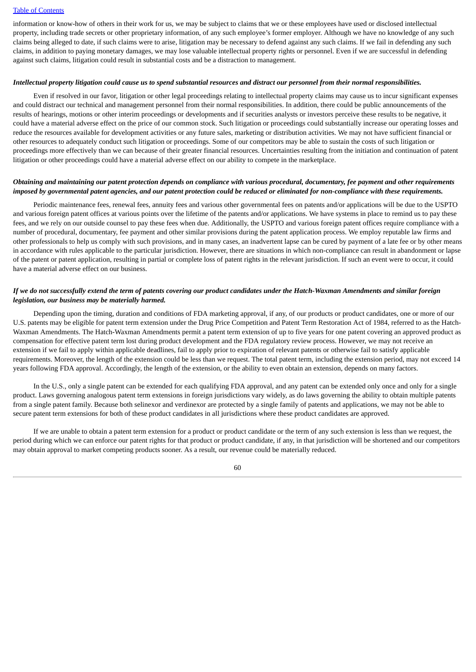information or know-how of others in their work for us, we may be subject to claims that we or these employees have used or disclosed intellectual property, including trade secrets or other proprietary information, of any such employee's former employer. Although we have no knowledge of any such claims being alleged to date, if such claims were to arise, litigation may be necessary to defend against any such claims. If we fail in defending any such claims, in addition to paying monetary damages, we may lose valuable intellectual property rights or personnel. Even if we are successful in defending against such claims, litigation could result in substantial costs and be a distraction to management.

#### Intellectual property litigation could cause us to spend substantial resources and distract our personnel from their normal responsibilities.

Even if resolved in our favor, litigation or other legal proceedings relating to intellectual property claims may cause us to incur significant expenses and could distract our technical and management personnel from their normal responsibilities. In addition, there could be public announcements of the results of hearings, motions or other interim proceedings or developments and if securities analysts or investors perceive these results to be negative, it could have a material adverse effect on the price of our common stock. Such litigation or proceedings could substantially increase our operating losses and reduce the resources available for development activities or any future sales, marketing or distribution activities. We may not have sufficient financial or other resources to adequately conduct such litigation or proceedings. Some of our competitors may be able to sustain the costs of such litigation or proceedings more effectively than we can because of their greater financial resources. Uncertainties resulting from the initiation and continuation of patent litigation or other proceedings could have a material adverse effect on our ability to compete in the marketplace.

## Obtaining and maintaining our patent protection depends on compliance with various procedural, documentary, fee payment and other requirements imposed by governmental patent agencies, and our patent protection could be reduced or eliminated for non-compliance with these requirements.

Periodic maintenance fees, renewal fees, annuity fees and various other governmental fees on patents and/or applications will be due to the USPTO and various foreign patent offices at various points over the lifetime of the patents and/or applications. We have systems in place to remind us to pay these fees, and we rely on our outside counsel to pay these fees when due. Additionally, the USPTO and various foreign patent offices require compliance with a number of procedural, documentary, fee payment and other similar provisions during the patent application process. We employ reputable law firms and other professionals to help us comply with such provisions, and in many cases, an inadvertent lapse can be cured by payment of a late fee or by other means in accordance with rules applicable to the particular jurisdiction. However, there are situations in which non-compliance can result in abandonment or lapse of the patent or patent application, resulting in partial or complete loss of patent rights in the relevant jurisdiction. If such an event were to occur, it could have a material adverse effect on our business.

### If we do not successfully extend the term of patents covering our product candidates under the Hatch-Waxman Amendments and similar foreign *legislation, our business may be materially harmed.*

Depending upon the timing, duration and conditions of FDA marketing approval, if any, of our products or product candidates, one or more of our U.S. patents may be eligible for patent term extension under the Drug Price Competition and Patent Term Restoration Act of 1984, referred to as the Hatch-Waxman Amendments. The Hatch-Waxman Amendments permit a patent term extension of up to five years for one patent covering an approved product as compensation for effective patent term lost during product development and the FDA regulatory review process. However, we may not receive an extension if we fail to apply within applicable deadlines, fail to apply prior to expiration of relevant patents or otherwise fail to satisfy applicable requirements. Moreover, the length of the extension could be less than we request. The total patent term, including the extension period, may not exceed 14 years following FDA approval. Accordingly, the length of the extension, or the ability to even obtain an extension, depends on many factors.

In the U.S., only a single patent can be extended for each qualifying FDA approval, and any patent can be extended only once and only for a single product. Laws governing analogous patent term extensions in foreign jurisdictions vary widely, as do laws governing the ability to obtain multiple patents from a single patent family. Because both selinexor and verdinexor are protected by a single family of patents and applications, we may not be able to secure patent term extensions for both of these product candidates in all jurisdictions where these product candidates are approved.

If we are unable to obtain a patent term extension for a product or product candidate or the term of any such extension is less than we request, the period during which we can enforce our patent rights for that product or product candidate, if any, in that jurisdiction will be shortened and our competitors may obtain approval to market competing products sooner. As a result, our revenue could be materially reduced.

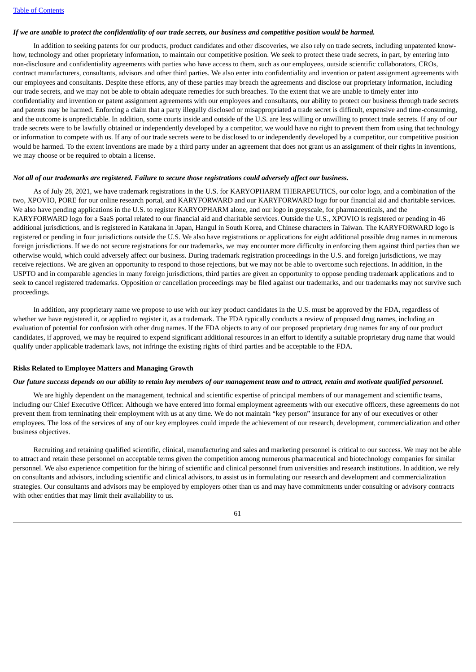## If we are unable to protect the confidentiality of our trade secrets, our business and competitive position would be harmed.

In addition to seeking patents for our products, product candidates and other discoveries, we also rely on trade secrets, including unpatented knowhow, technology and other proprietary information, to maintain our competitive position. We seek to protect these trade secrets, in part, by entering into non-disclosure and confidentiality agreements with parties who have access to them, such as our employees, outside scientific collaborators, CROs, contract manufacturers, consultants, advisors and other third parties. We also enter into confidentiality and invention or patent assignment agreements with our employees and consultants. Despite these efforts, any of these parties may breach the agreements and disclose our proprietary information, including our trade secrets, and we may not be able to obtain adequate remedies for such breaches. To the extent that we are unable to timely enter into confidentiality and invention or patent assignment agreements with our employees and consultants, our ability to protect our business through trade secrets and patents may be harmed. Enforcing a claim that a party illegally disclosed or misappropriated a trade secret is difficult, expensive and time-consuming, and the outcome is unpredictable. In addition, some courts inside and outside of the U.S. are less willing or unwilling to protect trade secrets. If any of our trade secrets were to be lawfully obtained or independently developed by a competitor, we would have no right to prevent them from using that technology or information to compete with us. If any of our trade secrets were to be disclosed to or independently developed by a competitor, our competitive position would be harmed. To the extent inventions are made by a third party under an agreement that does not grant us an assignment of their rights in inventions, we may choose or be required to obtain a license.

#### Not all of our trademarks are registered. Failure to secure those registrations could adversely affect our business.

As of July 28, 2021, we have trademark registrations in the U.S. for KARYOPHARM THERAPEUTICS, our color logo, and a combination of the two, XPOVIO, PORE for our online research portal, and KARYFORWARD and our KARYFORWARD logo for our financial aid and charitable services. We also have pending applications in the U.S. to register KARYOPHARM alone, and our logo in greyscale, for pharmaceuticals, and the KARYFORWARD logo for a SaaS portal related to our financial aid and charitable services. Outside the U.S., XPOVIO is registered or pending in 46 additional jurisdictions, and is registered in Katakana in Japan, Hangul in South Korea, and Chinese characters in Taiwan. The KARYFORWARD logo is registered or pending in four jurisdictions outside the U.S. We also have registrations or applications for eight additional possible drug names in numerous foreign jurisdictions. If we do not secure registrations for our trademarks, we may encounter more difficulty in enforcing them against third parties than we otherwise would, which could adversely affect our business. During trademark registration proceedings in the U.S. and foreign jurisdictions, we may receive rejections. We are given an opportunity to respond to those rejections, but we may not be able to overcome such rejections. In addition, in the USPTO and in comparable agencies in many foreign jurisdictions, third parties are given an opportunity to oppose pending trademark applications and to seek to cancel registered trademarks. Opposition or cancellation proceedings may be filed against our trademarks, and our trademarks may not survive such proceedings.

In addition, any proprietary name we propose to use with our key product candidates in the U.S. must be approved by the FDA, regardless of whether we have registered it, or applied to register it, as a trademark. The FDA typically conducts a review of proposed drug names, including an evaluation of potential for confusion with other drug names. If the FDA objects to any of our proposed proprietary drug names for any of our product candidates, if approved, we may be required to expend significant additional resources in an effort to identify a suitable proprietary drug name that would qualify under applicable trademark laws, not infringe the existing rights of third parties and be acceptable to the FDA.

#### **Risks Related to Employee Matters and Managing Growth**

#### Our future success depends on our ability to retain key members of our management team and to attract, retain and motivate qualified personnel.

We are highly dependent on the management, technical and scientific expertise of principal members of our management and scientific teams, including our Chief Executive Officer. Although we have entered into formal employment agreements with our executive officers, these agreements do not prevent them from terminating their employment with us at any time. We do not maintain "key person" insurance for any of our executives or other employees. The loss of the services of any of our key employees could impede the achievement of our research, development, commercialization and other business objectives.

Recruiting and retaining qualified scientific, clinical, manufacturing and sales and marketing personnel is critical to our success. We may not be able to attract and retain these personnel on acceptable terms given the competition among numerous pharmaceutical and biotechnology companies for similar personnel. We also experience competition for the hiring of scientific and clinical personnel from universities and research institutions. In addition, we rely on consultants and advisors, including scientific and clinical advisors, to assist us in formulating our research and development and commercialization strategies. Our consultants and advisors may be employed by employers other than us and may have commitments under consulting or advisory contracts with other entities that may limit their availability to us.

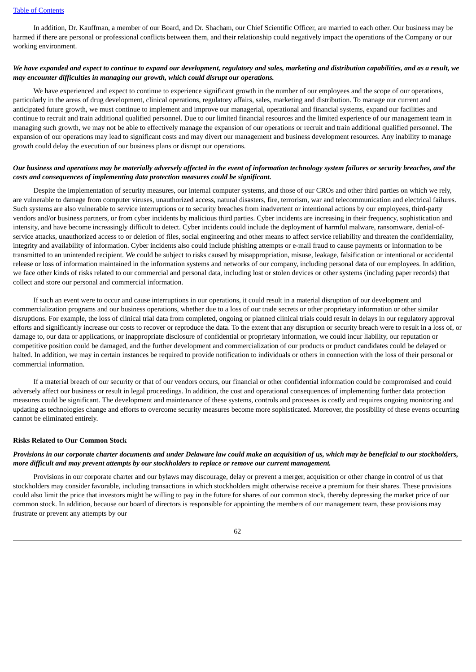In addition, Dr. Kauffman, a member of our Board, and Dr. Shacham, our Chief Scientific Officer, are married to each other. Our business may be harmed if there are personal or professional conflicts between them, and their relationship could negatively impact the operations of the Company or our working environment.

## We have expanded and expect to continue to expand our development, regulatory and sales, marketing and distribution capabilities, and as a result, we *may encounter difficulties in managing our growth, which could disrupt our operations.*

We have experienced and expect to continue to experience significant growth in the number of our employees and the scope of our operations, particularly in the areas of drug development, clinical operations, regulatory affairs, sales, marketing and distribution. To manage our current and anticipated future growth, we must continue to implement and improve our managerial, operational and financial systems, expand our facilities and continue to recruit and train additional qualified personnel. Due to our limited financial resources and the limited experience of our management team in managing such growth, we may not be able to effectively manage the expansion of our operations or recruit and train additional qualified personnel. The expansion of our operations may lead to significant costs and may divert our management and business development resources. Any inability to manage growth could delay the execution of our business plans or disrupt our operations.

## Our business and operations may be materially adversely affected in the event of information technology system failures or security breaches, and the *costs and consequences of implementing data protection measures could be significant.*

Despite the implementation of security measures, our internal computer systems, and those of our CROs and other third parties on which we rely, are vulnerable to damage from computer viruses, unauthorized access, natural disasters, fire, terrorism, war and telecommunication and electrical failures. Such systems are also vulnerable to service interruptions or to security breaches from inadvertent or intentional actions by our employees, third-party vendors and/or business partners, or from cyber incidents by malicious third parties. Cyber incidents are increasing in their frequency, sophistication and intensity, and have become increasingly difficult to detect. Cyber incidents could include the deployment of harmful malware, ransomware, denial-ofservice attacks, unauthorized access to or deletion of files, social engineering and other means to affect service reliability and threaten the confidentiality, integrity and availability of information. Cyber incidents also could include phishing attempts or e-mail fraud to cause payments or information to be transmitted to an unintended recipient. We could be subject to risks caused by misappropriation, misuse, leakage, falsification or intentional or accidental release or loss of information maintained in the information systems and networks of our company, including personal data of our employees. In addition, we face other kinds of risks related to our commercial and personal data, including lost or stolen devices or other systems (including paper records) that collect and store our personal and commercial information.

If such an event were to occur and cause interruptions in our operations, it could result in a material disruption of our development and commercialization programs and our business operations, whether due to a loss of our trade secrets or other proprietary information or other similar disruptions. For example, the loss of clinical trial data from completed, ongoing or planned clinical trials could result in delays in our regulatory approval efforts and significantly increase our costs to recover or reproduce the data. To the extent that any disruption or security breach were to result in a loss of, or damage to, our data or applications, or inappropriate disclosure of confidential or proprietary information, we could incur liability, our reputation or competitive position could be damaged, and the further development and commercialization of our products or product candidates could be delayed or halted. In addition, we may in certain instances be required to provide notification to individuals or others in connection with the loss of their personal or commercial information.

If a material breach of our security or that of our vendors occurs, our financial or other confidential information could be compromised and could adversely affect our business or result in legal proceedings. In addition, the cost and operational consequences of implementing further data protection measures could be significant. The development and maintenance of these systems, controls and processes is costly and requires ongoing monitoring and updating as technologies change and efforts to overcome security measures become more sophisticated. Moreover, the possibility of these events occurring cannot be eliminated entirely.

#### **Risks Related to Our Common Stock**

### Provisions in our corporate charter documents and under Delaware law could make an acquisition of us, which may be beneficial to our stockholders, *more difficult and may prevent attempts by our stockholders to replace or remove our current management.*

Provisions in our corporate charter and our bylaws may discourage, delay or prevent a merger, acquisition or other change in control of us that stockholders may consider favorable, including transactions in which stockholders might otherwise receive a premium for their shares. These provisions could also limit the price that investors might be willing to pay in the future for shares of our common stock, thereby depressing the market price of our common stock. In addition, because our board of directors is responsible for appointing the members of our management team, these provisions may frustrate or prevent any attempts by our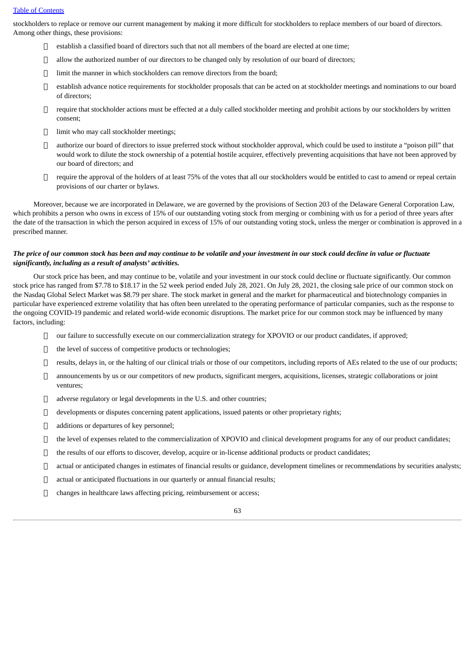stockholders to replace or remove our current management by making it more difficult for stockholders to replace members of our board of directors. Among other things, these provisions:

- $\Box$  establish a classified board of directors such that not all members of the board are elected at one time;
- $\Box$  allow the authorized number of our directors to be changed only by resolution of our board of directors;
- $\Box$  limit the manner in which stockholders can remove directors from the board;
- establish advance notice requirements for stockholder proposals that can be acted on at stockholder meetings and nominations to our board of directors;
- require that stockholder actions must be effected at a duly called stockholder meeting and prohibit actions by our stockholders by written consent;
- limit who may call stockholder meetings;
- authorize our board of directors to issue preferred stock without stockholder approval, which could be used to institute a "poison pill" that would work to dilute the stock ownership of a potential hostile acquirer, effectively preventing acquisitions that have not been approved by our board of directors; and
- $\Box$  require the approval of the holders of at least 75% of the votes that all our stockholders would be entitled to cast to amend or repeal certain provisions of our charter or bylaws.

Moreover, because we are incorporated in Delaware, we are governed by the provisions of Section 203 of the Delaware General Corporation Law, which prohibits a person who owns in excess of 15% of our outstanding voting stock from merging or combining with us for a period of three years after the date of the transaction in which the person acquired in excess of 15% of our outstanding voting stock, unless the merger or combination is approved in a prescribed manner.

## The price of our common stock has been and may continue to be volatile and your investment in our stock could decline in value or fluctuate *significantly, including as a result of analysts' activities.*

Our stock price has been, and may continue to be, volatile and your investment in our stock could decline or fluctuate significantly. Our common stock price has ranged from \$7.78 to \$18.17 in the 52 week period ended July 28, 2021. On July 28, 2021, the closing sale price of our common stock on the Nasdaq Global Select Market was \$8.79 per share. The stock market in general and the market for pharmaceutical and biotechnology companies in particular have experienced extreme volatility that has often been unrelated to the operating performance of particular companies, such as the response to the ongoing COVID-19 pandemic and related world-wide economic disruptions. The market price for our common stock may be influenced by many factors, including:

- $\Box$  our failure to successfully execute on our commercialization strategy for XPOVIO or our product candidates, if approved;
- $\Box$  the level of success of competitive products or technologies:
- $\Box$  results, delays in, or the halting of our clinical trials or those of our competitors, including reports of AEs related to the use of our products;
- $\Box$  announcements by us or our competitors of new products, significant mergers, acquisitions, licenses, strategic collaborations or joint ventures;
- $\Box$  adverse regulatory or legal developments in the U.S. and other countries;
- developments or disputes concerning patent applications, issued patents or other proprietary rights;
- additions or departures of key personnel;
- $\Box$  the level of expenses related to the commercialization of XPOVIO and clinical development programs for any of our product candidates;
- $\Box$  the results of our efforts to discover, develop, acquire or in-license additional products or product candidates;
- actual or anticipated changes in estimates of financial results or guidance, development timelines or recommendations by securities analysts;
- $\Box$  actual or anticipated fluctuations in our quarterly or annual financial results:
- changes in healthcare laws affecting pricing, reimbursement or access;

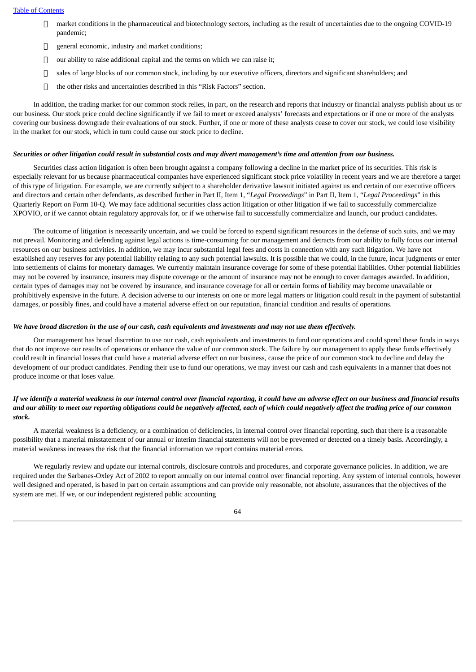- $\Box$  market conditions in the pharmaceutical and biotechnology sectors, including as the result of uncertainties due to the ongoing COVID-19 pandemic;
- $\Box$  general economic, industry and market conditions;
- $\Box$  our ability to raise additional capital and the terms on which we can raise it;
- $\Box$  sales of large blocks of our common stock, including by our executive officers, directors and significant shareholders; and
- $\Box$  the other risks and uncertainties described in this "Risk Factors" section.

In addition, the trading market for our common stock relies, in part, on the research and reports that industry or financial analysts publish about us or our business. Our stock price could decline significantly if we fail to meet or exceed analysts' forecasts and expectations or if one or more of the analysts covering our business downgrade their evaluations of our stock. Further, if one or more of these analysts cease to cover our stock, we could lose visibility in the market for our stock, which in turn could cause our stock price to decline.

#### Securities or other litigation could result in substantial costs and may divert management's time and attention from our business.

Securities class action litigation is often been brought against a company following a decline in the market price of its securities. This risk is especially relevant for us because pharmaceutical companies have experienced significant stock price volatility in recent years and we are therefore a target of this type of litigation. For example, we are currently subject to a shareholder derivative lawsuit initiated against us and certain of our executive officers and directors and certain other defendants, as described further in Part II, Item 1, "*Legal Proceedings*" in Part II, Item 1, "*Legal Proceedings*" in this Quarterly Report on Form 10-Q. We may face additional securities class action litigation or other litigation if we fail to successfully commercialize XPOVIO, or if we cannot obtain regulatory approvals for, or if we otherwise fail to successfully commercialize and launch, our product candidates.

The outcome of litigation is necessarily uncertain, and we could be forced to expend significant resources in the defense of such suits, and we may not prevail. Monitoring and defending against legal actions is time-consuming for our management and detracts from our ability to fully focus our internal resources on our business activities. In addition, we may incur substantial legal fees and costs in connection with any such litigation. We have not established any reserves for any potential liability relating to any such potential lawsuits. It is possible that we could, in the future, incur judgments or enter into settlements of claims for monetary damages. We currently maintain insurance coverage for some of these potential liabilities. Other potential liabilities may not be covered by insurance, insurers may dispute coverage or the amount of insurance may not be enough to cover damages awarded. In addition, certain types of damages may not be covered by insurance, and insurance coverage for all or certain forms of liability may become unavailable or prohibitively expensive in the future. A decision adverse to our interests on one or more legal matters or litigation could result in the payment of substantial damages, or possibly fines, and could have a material adverse effect on our reputation, financial condition and results of operations.

#### We have broad discretion in the use of our cash, cash equivalents and investments and may not use them effectively.

Our management has broad discretion to use our cash, cash equivalents and investments to fund our operations and could spend these funds in ways that do not improve our results of operations or enhance the value of our common stock. The failure by our management to apply these funds effectively could result in financial losses that could have a material adverse effect on our business, cause the price of our common stock to decline and delay the development of our product candidates. Pending their use to fund our operations, we may invest our cash and cash equivalents in a manner that does not produce income or that loses value.

## If we identify a material weakness in our internal control over financial reporting, it could have an adverse effect on our business and financial results and our ability to meet our reporting obligations could be negatively affected, each of which could negatively affect the trading price of our common *stock.*

A material weakness is a deficiency, or a combination of deficiencies, in internal control over financial reporting, such that there is a reasonable possibility that a material misstatement of our annual or interim financial statements will not be prevented or detected on a timely basis. Accordingly, a material weakness increases the risk that the financial information we report contains material errors.

We regularly review and update our internal controls, disclosure controls and procedures, and corporate governance policies. In addition, we are required under the Sarbanes-Oxley Act of 2002 to report annually on our internal control over financial reporting. Any system of internal controls, however well designed and operated, is based in part on certain assumptions and can provide only reasonable, not absolute, assurances that the objectives of the system are met. If we, or our independent registered public accounting

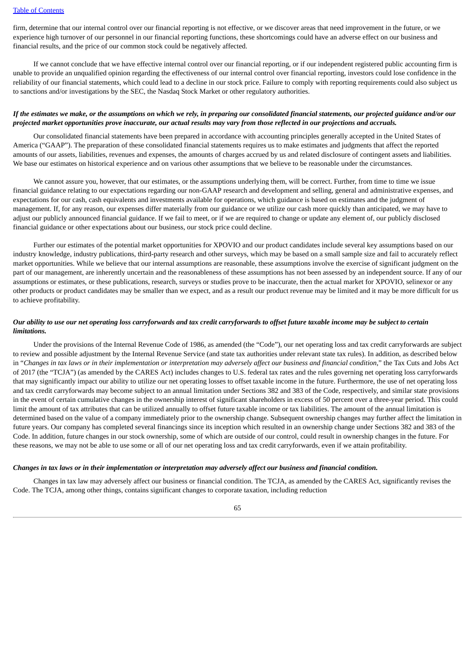firm, determine that our internal control over our financial reporting is not effective, or we discover areas that need improvement in the future, or we experience high turnover of our personnel in our financial reporting functions, these shortcomings could have an adverse effect on our business and financial results, and the price of our common stock could be negatively affected.

If we cannot conclude that we have effective internal control over our financial reporting, or if our independent registered public accounting firm is unable to provide an unqualified opinion regarding the effectiveness of our internal control over financial reporting, investors could lose confidence in the reliability of our financial statements, which could lead to a decline in our stock price. Failure to comply with reporting requirements could also subject us to sanctions and/or investigations by the SEC, the Nasdaq Stock Market or other regulatory authorities.

### If the estimates we make, or the assumptions on which we rely, in preparing our consolidated financial statements, our projected guidance and/or our projected market opportunities prove inaccurate, our actual results may vary from those reflected in our projections and accruals.

Our consolidated financial statements have been prepared in accordance with accounting principles generally accepted in the United States of America ("GAAP"). The preparation of these consolidated financial statements requires us to make estimates and judgments that affect the reported amounts of our assets, liabilities, revenues and expenses, the amounts of charges accrued by us and related disclosure of contingent assets and liabilities. We base our estimates on historical experience and on various other assumptions that we believe to be reasonable under the circumstances.

We cannot assure you, however, that our estimates, or the assumptions underlying them, will be correct. Further, from time to time we issue financial guidance relating to our expectations regarding our non-GAAP research and development and selling, general and administrative expenses, and expectations for our cash, cash equivalents and investments available for operations, which guidance is based on estimates and the judgment of management. If, for any reason, our expenses differ materially from our guidance or we utilize our cash more quickly than anticipated, we may have to adjust our publicly announced financial guidance. If we fail to meet, or if we are required to change or update any element of, our publicly disclosed financial guidance or other expectations about our business, our stock price could decline.

Further our estimates of the potential market opportunities for XPOVIO and our product candidates include several key assumptions based on our industry knowledge, industry publications, third-party research and other surveys, which may be based on a small sample size and fail to accurately reflect market opportunities. While we believe that our internal assumptions are reasonable, these assumptions involve the exercise of significant judgment on the part of our management, are inherently uncertain and the reasonableness of these assumptions has not been assessed by an independent source. If any of our assumptions or estimates, or these publications, research, surveys or studies prove to be inaccurate, then the actual market for XPOVIO, selinexor or any other products or product candidates may be smaller than we expect, and as a result our product revenue may be limited and it may be more difficult for us to achieve profitability.

## Our ability to use our net operating loss carryforwards and tax credit carryforwards to offset future taxable income may be subject to certain *limitations.*

Under the provisions of the Internal Revenue Code of 1986, as amended (the "Code"), our net operating loss and tax credit carryforwards are subject to review and possible adjustment by the Internal Revenue Service (and state tax authorities under relevant state tax rules). In addition, as described below in "Changes in tax laws or in their implementation or interpretation may adversely affect our business and financial condition," the Tax Cuts and Jobs Act of 2017 (the "TCJA") (as amended by the CARES Act) includes changes to U.S. federal tax rates and the rules governing net operating loss carryforwards that may significantly impact our ability to utilize our net operating losses to offset taxable income in the future. Furthermore, the use of net operating loss and tax credit carryforwards may become subject to an annual limitation under Sections 382 and 383 of the Code, respectively, and similar state provisions in the event of certain cumulative changes in the ownership interest of significant shareholders in excess of 50 percent over a three-year period. This could limit the amount of tax attributes that can be utilized annually to offset future taxable income or tax liabilities. The amount of the annual limitation is determined based on the value of a company immediately prior to the ownership change. Subsequent ownership changes may further affect the limitation in future years. Our company has completed several financings since its inception which resulted in an ownership change under Sections 382 and 383 of the Code. In addition, future changes in our stock ownership, some of which are outside of our control, could result in ownership changes in the future. For these reasons, we may not be able to use some or all of our net operating loss and tax credit carryforwards, even if we attain profitability.

#### Changes in tax laws or in their implementation or interpretation may adversely affect our business and financial condition.

Changes in tax law may adversely affect our business or financial condition. The TCJA, as amended by the CARES Act, significantly revises the Code. The TCJA, among other things, contains significant changes to corporate taxation, including reduction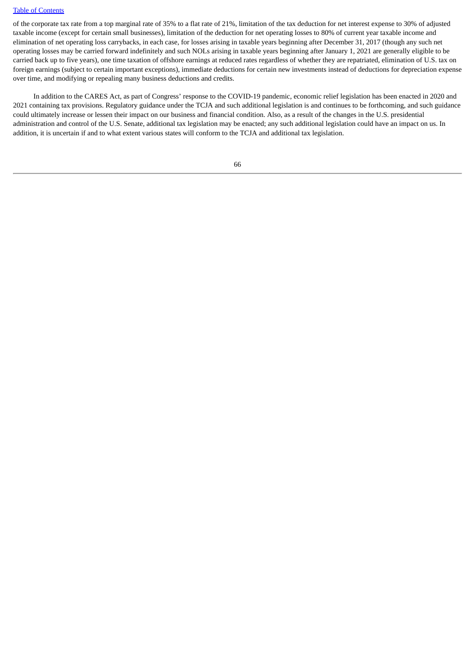of the corporate tax rate from a top marginal rate of 35% to a flat rate of 21%, limitation of the tax deduction for net interest expense to 30% of adjusted taxable income (except for certain small businesses), limitation of the deduction for net operating losses to 80% of current year taxable income and elimination of net operating loss carrybacks, in each case, for losses arising in taxable years beginning after December 31, 2017 (though any such net operating losses may be carried forward indefinitely and such NOLs arising in taxable years beginning after January 1, 2021 are generally eligible to be carried back up to five years), one time taxation of offshore earnings at reduced rates regardless of whether they are repatriated, elimination of U.S. tax on foreign earnings (subject to certain important exceptions), immediate deductions for certain new investments instead of deductions for depreciation expense over time, and modifying or repealing many business deductions and credits.

In addition to the CARES Act, as part of Congress' response to the COVID-19 pandemic, economic relief legislation has been enacted in 2020 and 2021 containing tax provisions. Regulatory guidance under the TCJA and such additional legislation is and continues to be forthcoming, and such guidance could ultimately increase or lessen their impact on our business and financial condition. Also, as a result of the changes in the U.S. presidential administration and control of the U.S. Senate, additional tax legislation may be enacted; any such additional legislation could have an impact on us. In addition, it is uncertain if and to what extent various states will conform to the TCJA and additional tax legislation.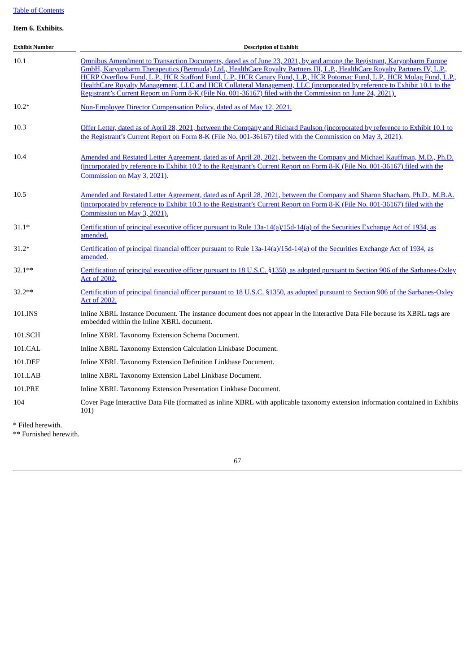## **Item 6. Exhibits.**

| <b>Exhibit Number</b> | <b>Description of Exhibit</b>                                                                                                                                                                                                                                                                                                                                                                                                                                                                                                                                                                                          |  |  |  |
|-----------------------|------------------------------------------------------------------------------------------------------------------------------------------------------------------------------------------------------------------------------------------------------------------------------------------------------------------------------------------------------------------------------------------------------------------------------------------------------------------------------------------------------------------------------------------------------------------------------------------------------------------------|--|--|--|
| 10.1                  | Omnibus Amendment to Transaction Documents, dated as of June 23, 2021, by and among the Registrant, Karyopharm Europe<br>GmbH, Karyopharm Therapeutics (Bermuda) Ltd., HealthCare Royalty Partners III, L.P., HealthCare Royalty Partners IV, L.P.,<br>HCRP Overflow Fund, L.P., HCR Stafford Fund, L.P., HCR Canary Fund, L.P., HCR Potomac Fund, L.P., HCR Molag Fund, L.P.,<br>HealthCare Royalty Management, LLC and HCR Collateral Management, LLC (incorporated by reference to Exhibit 10.1 to the<br>Registrant's Current Report on Form 8-K (File No. 001-36167) filed with the Commission on June 24, 2021). |  |  |  |
| $10.2*$               | Non-Employee Director Compensation Policy, dated as of May 12, 2021.                                                                                                                                                                                                                                                                                                                                                                                                                                                                                                                                                   |  |  |  |
| 10.3                  | Offer Letter, dated as of April 28, 2021, between the Company and Richard Paulson (incorporated by reference to Exhibit 10.1 to<br>the Registrant's Current Report on Form 8-K (File No. 001-36167) filed with the Commission on May 3, 2021).                                                                                                                                                                                                                                                                                                                                                                         |  |  |  |
| 10.4                  | Amended and Restated Letter Agreement, dated as of April 28, 2021, between the Company and Michael Kauffman, M.D., Ph.D.<br>(incorporated by reference to Exhibit 10.2 to the Registrant's Current Report on Form 8-K (File No. 001-36167) filed with the<br>Commission on May 3, 2021).                                                                                                                                                                                                                                                                                                                               |  |  |  |
| 10.5                  | Amended and Restated Letter Agreement, dated as of April 28, 2021, between the Company and Sharon Shacham, Ph.D., M.B.A.<br>(incorporated by reference to Exhibit 10.3 to the Registrant's Current Report on Form 8-K (File No. 001-36167) filed with the<br>Commission on May 3, 2021).                                                                                                                                                                                                                                                                                                                               |  |  |  |
| $31.1*$               | Certification of principal executive officer pursuant to Rule 13a-14(a)/15d-14(a) of the Securities Exchange Act of 1934, as<br>amended.                                                                                                                                                                                                                                                                                                                                                                                                                                                                               |  |  |  |
| $31.2*$               | Certification of principal financial officer pursuant to Rule 13a-14(a)/15d-14(a) of the Securities Exchange Act of 1934, as<br>amended.                                                                                                                                                                                                                                                                                                                                                                                                                                                                               |  |  |  |
| $32.1***$             | Certification of principal executive officer pursuant to 18 U.S.C. §1350, as adopted pursuant to Section 906 of the Sarbanes-Oxley<br><b>Act of 2002.</b>                                                                                                                                                                                                                                                                                                                                                                                                                                                              |  |  |  |
| $32.2**$              | Certification of principal financial officer pursuant to 18 U.S.C. §1350, as adopted pursuant to Section 906 of the Sarbanes-Oxley<br><b>Act of 2002.</b>                                                                                                                                                                                                                                                                                                                                                                                                                                                              |  |  |  |
| 101.INS               | Inline XBRL Instance Document. The instance document does not appear in the Interactive Data File because its XBRL tags are<br>embedded within the Inline XBRL document.                                                                                                                                                                                                                                                                                                                                                                                                                                               |  |  |  |
| 101.SCH               | Inline XBRL Taxonomy Extension Schema Document.                                                                                                                                                                                                                                                                                                                                                                                                                                                                                                                                                                        |  |  |  |
| 101.CAL               | Inline XBRL Taxonomy Extension Calculation Linkbase Document.                                                                                                                                                                                                                                                                                                                                                                                                                                                                                                                                                          |  |  |  |
| 101.DEF               | Inline XBRL Taxonomy Extension Definition Linkbase Document.                                                                                                                                                                                                                                                                                                                                                                                                                                                                                                                                                           |  |  |  |
| 101.LAB               | Inline XBRL Taxonomy Extension Label Linkbase Document.                                                                                                                                                                                                                                                                                                                                                                                                                                                                                                                                                                |  |  |  |
| 101.PRE               | Inline XBRL Taxonomy Extension Presentation Linkbase Document.                                                                                                                                                                                                                                                                                                                                                                                                                                                                                                                                                         |  |  |  |
| 104                   | Cover Page Interactive Data File (formatted as inline XBRL with applicable taxonomy extension information contained in Exhibits<br>101)                                                                                                                                                                                                                                                                                                                                                                                                                                                                                |  |  |  |
| * Filed herewith.     |                                                                                                                                                                                                                                                                                                                                                                                                                                                                                                                                                                                                                        |  |  |  |

\*\* Furnished herewith.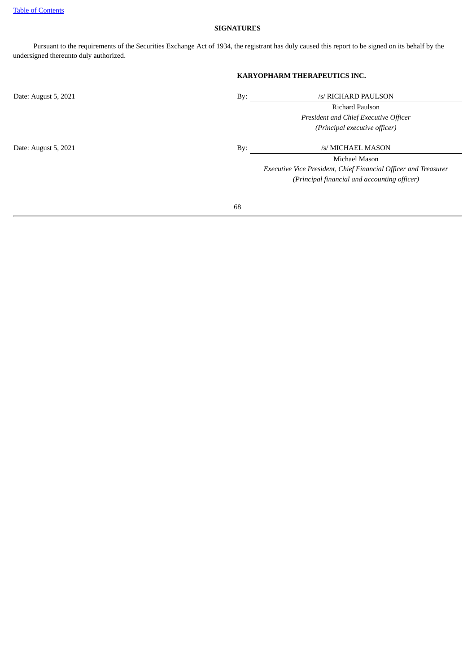## **SIGNATURES**

Pursuant to the requirements of the Securities Exchange Act of 1934, the registrant has duly caused this report to be signed on its behalf by the undersigned thereunto duly authorized.

# **KARYOPHARM THERAPEUTICS INC.**

| Date: August 5, 2021 | By: | /s/ RICHARD PAULSON                                             |
|----------------------|-----|-----------------------------------------------------------------|
|                      |     | Richard Paulson                                                 |
|                      |     | President and Chief Executive Officer                           |
|                      |     | (Principal executive officer)                                   |
| Date: August 5, 2021 | By: | /s/ MICHAEL MASON                                               |
|                      |     | Michael Mason                                                   |
|                      |     | Executive Vice President, Chief Financial Officer and Treasurer |
|                      |     | (Principal financial and accounting officer)                    |
|                      |     |                                                                 |
|                      | 68  |                                                                 |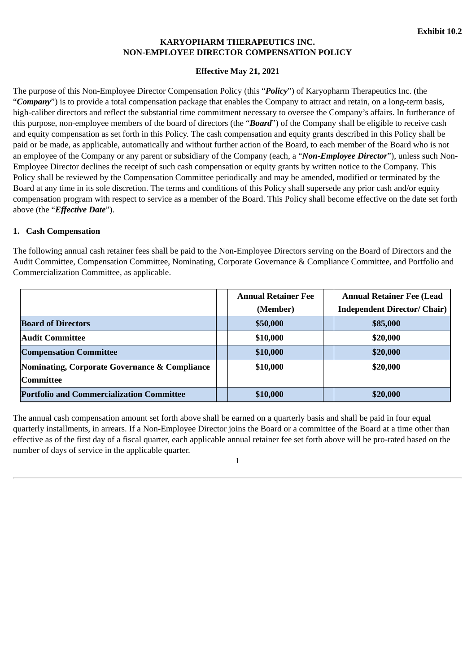## **KARYOPHARM THERAPEUTICS INC. NON-EMPLOYEE DIRECTOR COMPENSATION POLICY**

# **Effective May 21, 2021**

<span id="page-68-0"></span>The purpose of this Non-Employee Director Compensation Policy (this "*Policy*") of Karyopharm Therapeutics Inc. (the "*Company*") is to provide a total compensation package that enables the Company to attract and retain, on a long-term basis, high-caliber directors and reflect the substantial time commitment necessary to oversee the Company's affairs. In furtherance of this purpose, non-employee members of the board of directors (the "*Board*") of the Company shall be eligible to receive cash and equity compensation as set forth in this Policy. The cash compensation and equity grants described in this Policy shall be paid or be made, as applicable, automatically and without further action of the Board, to each member of the Board who is not an employee of the Company or any parent or subsidiary of the Company (each, a "*Non-Employee Director*"), unless such Non-Employee Director declines the receipt of such cash compensation or equity grants by written notice to the Company. This Policy shall be reviewed by the Compensation Committee periodically and may be amended, modified or terminated by the Board at any time in its sole discretion. The terms and conditions of this Policy shall supersede any prior cash and/or equity compensation program with respect to service as a member of the Board. This Policy shall become effective on the date set forth above (the "*Effective Date*").

## **1. Cash Compensation**

The following annual cash retainer fees shall be paid to the Non-Employee Directors serving on the Board of Directors and the Audit Committee, Compensation Committee, Nominating, Corporate Governance & Compliance Committee, and Portfolio and Commercialization Committee, as applicable.

|                                                  |  | <b>Annual Retainer Fee</b> | <b>Annual Retainer Fee (Lead)</b>   |
|--------------------------------------------------|--|----------------------------|-------------------------------------|
|                                                  |  | (Member)                   | <b>Independent Director/ Chair)</b> |
| <b>Board of Directors</b>                        |  | \$50,000                   | \$85,000                            |
| <b>Audit Committee</b>                           |  | \$10,000                   | \$20,000                            |
| <b>Compensation Committee</b>                    |  | \$10,000                   | \$20,000                            |
| Nominating, Corporate Governance & Compliance    |  | \$10,000                   | \$20,000                            |
| Committee                                        |  |                            |                                     |
| <b>Portfolio and Commercialization Committee</b> |  | \$10,000                   | \$20,000                            |

The annual cash compensation amount set forth above shall be earned on a quarterly basis and shall be paid in four equal quarterly installments, in arrears. If a Non-Employee Director joins the Board or a committee of the Board at a time other than effective as of the first day of a fiscal quarter, each applicable annual retainer fee set forth above will be pro-rated based on the number of days of service in the applicable quarter.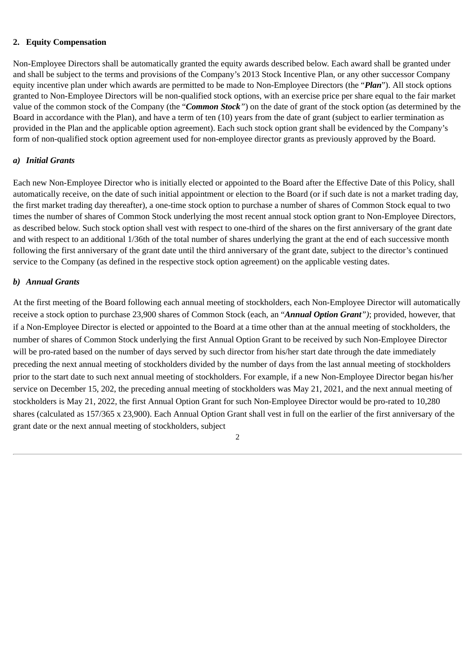# **2. Equity Compensation**

Non-Employee Directors shall be automatically granted the equity awards described below. Each award shall be granted under and shall be subject to the terms and provisions of the Company's 2013 Stock Incentive Plan, or any other successor Company equity incentive plan under which awards are permitted to be made to Non-Employee Directors (the "*Plan*"). All stock options granted to Non-Employee Directors will be non-qualified stock options, with an exercise price per share equal to the fair market value of the common stock of the Company (the "*Common Stock"*) on the date of grant of the stock option (as determined by the Board in accordance with the Plan), and have a term of ten (10) years from the date of grant (subject to earlier termination as provided in the Plan and the applicable option agreement). Each such stock option grant shall be evidenced by the Company's form of non-qualified stock option agreement used for non-employee director grants as previously approved by the Board.

# *a) Initial Grants*

Each new Non-Employee Director who is initially elected or appointed to the Board after the Effective Date of this Policy, shall automatically receive, on the date of such initial appointment or election to the Board (or if such date is not a market trading day, the first market trading day thereafter), a one-time stock option to purchase a number of shares of Common Stock equal to two times the number of shares of Common Stock underlying the most recent annual stock option grant to Non-Employee Directors, as described below. Such stock option shall vest with respect to one-third of the shares on the first anniversary of the grant date and with respect to an additional 1/36th of the total number of shares underlying the grant at the end of each successive month following the first anniversary of the grant date until the third anniversary of the grant date, subject to the director's continued service to the Company (as defined in the respective stock option agreement) on the applicable vesting dates.

# *b) Annual Grants*

At the first meeting of the Board following each annual meeting of stockholders, each Non-Employee Director will automatically receive a stock option to purchase 23,900 shares of Common Stock (each, an "*Annual Option Grant")*; provided, however, that if a Non-Employee Director is elected or appointed to the Board at a time other than at the annual meeting of stockholders, the number of shares of Common Stock underlying the first Annual Option Grant to be received by such Non-Employee Director will be pro-rated based on the number of days served by such director from his/her start date through the date immediately preceding the next annual meeting of stockholders divided by the number of days from the last annual meeting of stockholders prior to the start date to such next annual meeting of stockholders. For example, if a new Non-Employee Director began his/her service on December 15, 202, the preceding annual meeting of stockholders was May 21, 2021, and the next annual meeting of stockholders is May 21, 2022, the first Annual Option Grant for such Non-Employee Director would be pro-rated to 10,280 shares (calculated as 157/365 x 23,900). Each Annual Option Grant shall vest in full on the earlier of the first anniversary of the grant date or the next annual meeting of stockholders, subject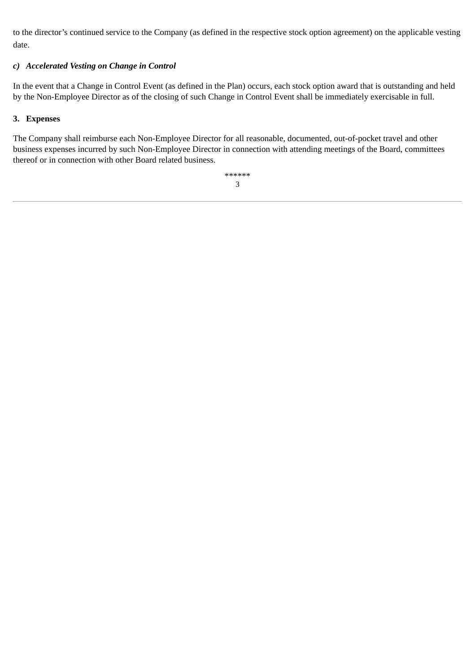to the director's continued service to the Company (as defined in the respective stock option agreement) on the applicable vesting date.

# *c) Accelerated Vesting on Change in Control*

In the event that a Change in Control Event (as defined in the Plan) occurs, each stock option award that is outstanding and held by the Non-Employee Director as of the closing of such Change in Control Event shall be immediately exercisable in full.

# **3. Expenses**

The Company shall reimburse each Non-Employee Director for all reasonable, documented, out-of-pocket travel and other business expenses incurred by such Non-Employee Director in connection with attending meetings of the Board, committees thereof or in connection with other Board related business.

> \*\*\*\*\*\* 3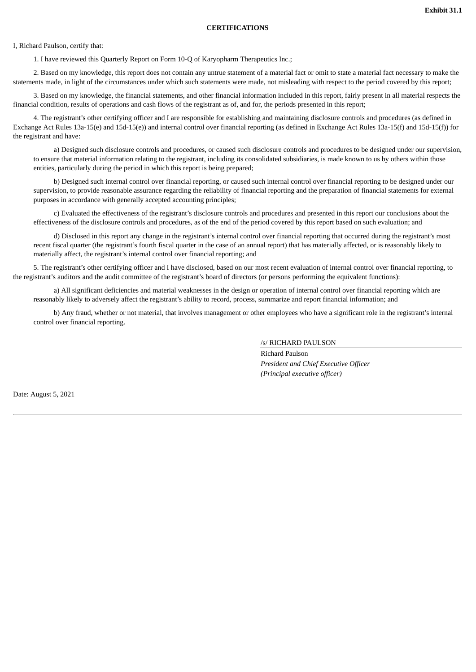#### **CERTIFICATIONS**

<span id="page-71-0"></span>I, Richard Paulson, certify that:

1. I have reviewed this Quarterly Report on Form 10-Q of Karyopharm Therapeutics Inc.;

2. Based on my knowledge, this report does not contain any untrue statement of a material fact or omit to state a material fact necessary to make the statements made, in light of the circumstances under which such statements were made, not misleading with respect to the period covered by this report;

3. Based on my knowledge, the financial statements, and other financial information included in this report, fairly present in all material respects the financial condition, results of operations and cash flows of the registrant as of, and for, the periods presented in this report;

4. The registrant's other certifying officer and I are responsible for establishing and maintaining disclosure controls and procedures (as defined in Exchange Act Rules 13a-15(e) and 15d-15(e)) and internal control over financial reporting (as defined in Exchange Act Rules 13a-15(f) and 15d-15(f)) for the registrant and have:

a) Designed such disclosure controls and procedures, or caused such disclosure controls and procedures to be designed under our supervision, to ensure that material information relating to the registrant, including its consolidated subsidiaries, is made known to us by others within those entities, particularly during the period in which this report is being prepared;

b) Designed such internal control over financial reporting, or caused such internal control over financial reporting to be designed under our supervision, to provide reasonable assurance regarding the reliability of financial reporting and the preparation of financial statements for external purposes in accordance with generally accepted accounting principles;

c) Evaluated the effectiveness of the registrant's disclosure controls and procedures and presented in this report our conclusions about the effectiveness of the disclosure controls and procedures, as of the end of the period covered by this report based on such evaluation; and

d) Disclosed in this report any change in the registrant's internal control over financial reporting that occurred during the registrant's most recent fiscal quarter (the registrant's fourth fiscal quarter in the case of an annual report) that has materially affected, or is reasonably likely to materially affect, the registrant's internal control over financial reporting; and

5. The registrant's other certifying officer and I have disclosed, based on our most recent evaluation of internal control over financial reporting, to the registrant's auditors and the audit committee of the registrant's board of directors (or persons performing the equivalent functions):

a) All significant deficiencies and material weaknesses in the design or operation of internal control over financial reporting which are reasonably likely to adversely affect the registrant's ability to record, process, summarize and report financial information; and

b) Any fraud, whether or not material, that involves management or other employees who have a significant role in the registrant's internal control over financial reporting.

## /s/ RICHARD PAULSON

Richard Paulson *President and Chief Executive Officer (Principal executive officer)*

Date: August 5, 2021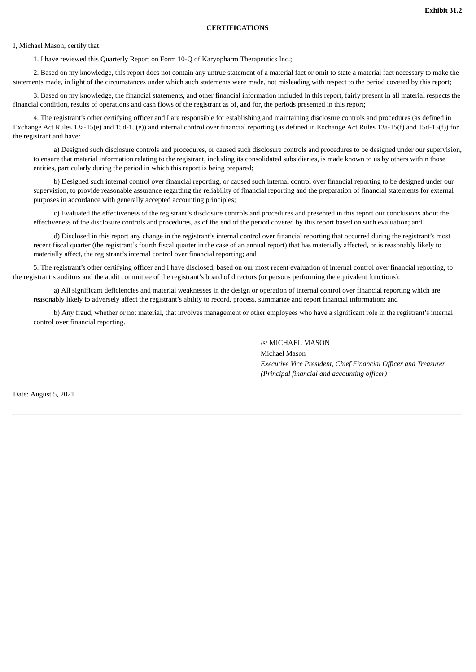## **CERTIFICATIONS**

I, Michael Mason, certify that:

1. I have reviewed this Quarterly Report on Form 10-Q of Karyopharm Therapeutics Inc.;

2. Based on my knowledge, this report does not contain any untrue statement of a material fact or omit to state a material fact necessary to make the statements made, in light of the circumstances under which such statements were made, not misleading with respect to the period covered by this report;

3. Based on my knowledge, the financial statements, and other financial information included in this report, fairly present in all material respects the financial condition, results of operations and cash flows of the registrant as of, and for, the periods presented in this report;

4. The registrant's other certifying officer and I are responsible for establishing and maintaining disclosure controls and procedures (as defined in Exchange Act Rules 13a-15(e) and 15d-15(e)) and internal control over financial reporting (as defined in Exchange Act Rules 13a-15(f) and 15d-15(f)) for the registrant and have:

a) Designed such disclosure controls and procedures, or caused such disclosure controls and procedures to be designed under our supervision, to ensure that material information relating to the registrant, including its consolidated subsidiaries, is made known to us by others within those entities, particularly during the period in which this report is being prepared;

b) Designed such internal control over financial reporting, or caused such internal control over financial reporting to be designed under our supervision, to provide reasonable assurance regarding the reliability of financial reporting and the preparation of financial statements for external purposes in accordance with generally accepted accounting principles;

c) Evaluated the effectiveness of the registrant's disclosure controls and procedures and presented in this report our conclusions about the effectiveness of the disclosure controls and procedures, as of the end of the period covered by this report based on such evaluation; and

d) Disclosed in this report any change in the registrant's internal control over financial reporting that occurred during the registrant's most recent fiscal quarter (the registrant's fourth fiscal quarter in the case of an annual report) that has materially affected, or is reasonably likely to materially affect, the registrant's internal control over financial reporting; and

5. The registrant's other certifying officer and I have disclosed, based on our most recent evaluation of internal control over financial reporting, to the registrant's auditors and the audit committee of the registrant's board of directors (or persons performing the equivalent functions):

a) All significant deficiencies and material weaknesses in the design or operation of internal control over financial reporting which are reasonably likely to adversely affect the registrant's ability to record, process, summarize and report financial information; and

b) Any fraud, whether or not material, that involves management or other employees who have a significant role in the registrant's internal control over financial reporting.

## /s/ MICHAEL MASON

Michael Mason *Executive Vice President, Chief Financial Officer and Treasurer (Principal financial and accounting officer)*

Date: August 5, 2021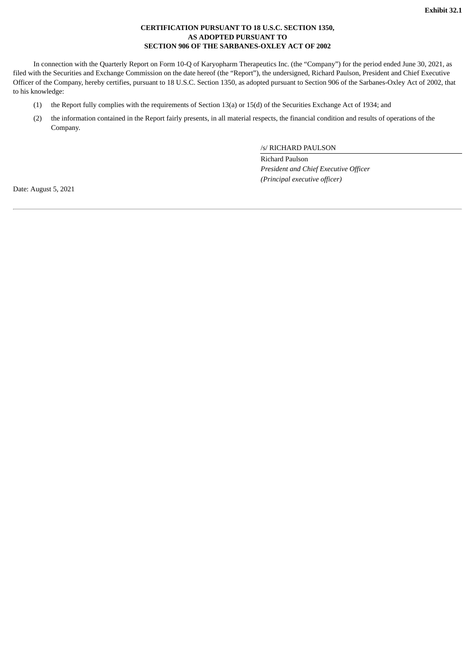## **CERTIFICATION PURSUANT TO 18 U.S.C. SECTION 1350, AS ADOPTED PURSUANT TO SECTION 906 OF THE SARBANES-OXLEY ACT OF 2002**

In connection with the Quarterly Report on Form 10-Q of Karyopharm Therapeutics Inc. (the "Company") for the period ended June 30, 2021, as filed with the Securities and Exchange Commission on the date hereof (the "Report"), the undersigned, Richard Paulson, President and Chief Executive Officer of the Company, hereby certifies, pursuant to 18 U.S.C. Section 1350, as adopted pursuant to Section 906 of the Sarbanes-Oxley Act of 2002, that to his knowledge:

- (1) the Report fully complies with the requirements of Section 13(a) or 15(d) of the Securities Exchange Act of 1934; and
- (2) the information contained in the Report fairly presents, in all material respects, the financial condition and results of operations of the Company.

/s/ RICHARD PAULSON

Richard Paulson *President and Chief Executive Officer (Principal executive officer)*

Date: August 5, 2021